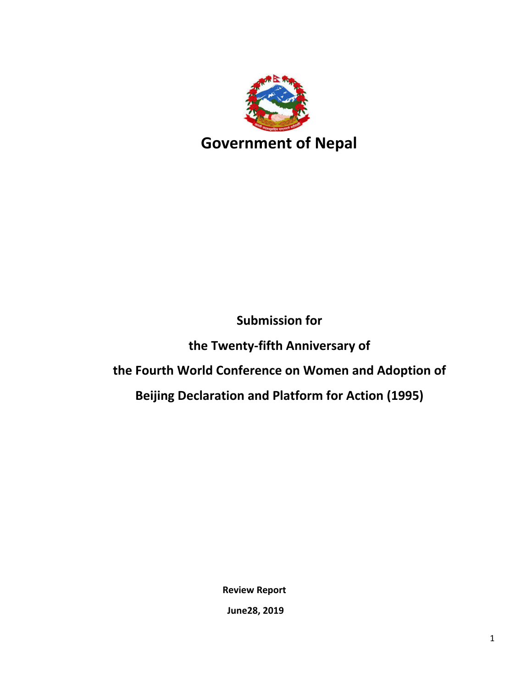

# **Submission for**

**the Twenty-fifth Anniversary of**

# **the Fourth World Conference on Women and Adoption of**

**Beijing Declaration and Platform for Action (1995)**

**Review Report**

**June28, 2019**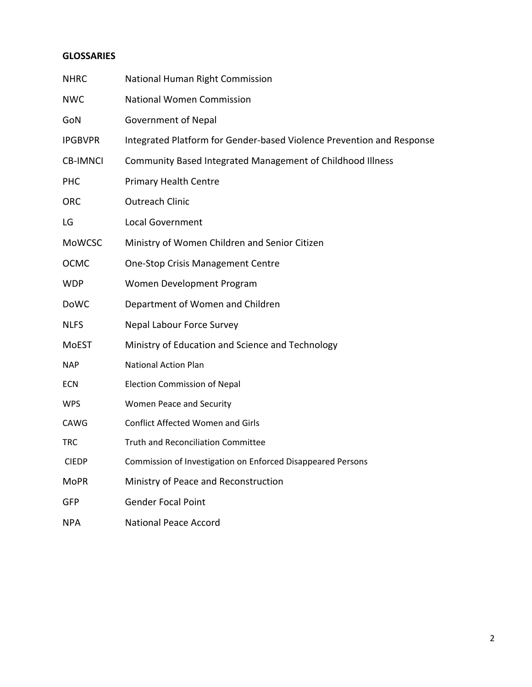#### **GLOSSARIES**

| <b>NHRC</b>     | National Human Right Commission                                       |
|-----------------|-----------------------------------------------------------------------|
| <b>NWC</b>      | <b>National Women Commission</b>                                      |
| GoN             | <b>Government of Nepal</b>                                            |
| <b>IPGBVPR</b>  | Integrated Platform for Gender-based Violence Prevention and Response |
| <b>CB-IMNCI</b> | Community Based Integrated Management of Childhood Illness            |
| <b>PHC</b>      | <b>Primary Health Centre</b>                                          |
| <b>ORC</b>      | <b>Outreach Clinic</b>                                                |
| LG              | <b>Local Government</b>                                               |
| <b>MoWCSC</b>   | Ministry of Women Children and Senior Citizen                         |
| <b>OCMC</b>     | <b>One-Stop Crisis Management Centre</b>                              |
| <b>WDP</b>      | Women Development Program                                             |
| <b>DoWC</b>     | Department of Women and Children                                      |
| <b>NLFS</b>     | Nepal Labour Force Survey                                             |
| <b>MoEST</b>    | Ministry of Education and Science and Technology                      |
| <b>NAP</b>      | <b>National Action Plan</b>                                           |
| <b>ECN</b>      | <b>Election Commission of Nepal</b>                                   |
| <b>WPS</b>      | Women Peace and Security                                              |
| <b>CAWG</b>     | <b>Conflict Affected Women and Girls</b>                              |
| <b>TRC</b>      | <b>Truth and Reconciliation Committee</b>                             |
| <b>CIEDP</b>    | Commission of Investigation on Enforced Disappeared Persons           |
| MoPR            | Ministry of Peace and Reconstruction                                  |
| <b>GFP</b>      | <b>Gender Focal Point</b>                                             |
| <b>NPA</b>      | <b>National Peace Accord</b>                                          |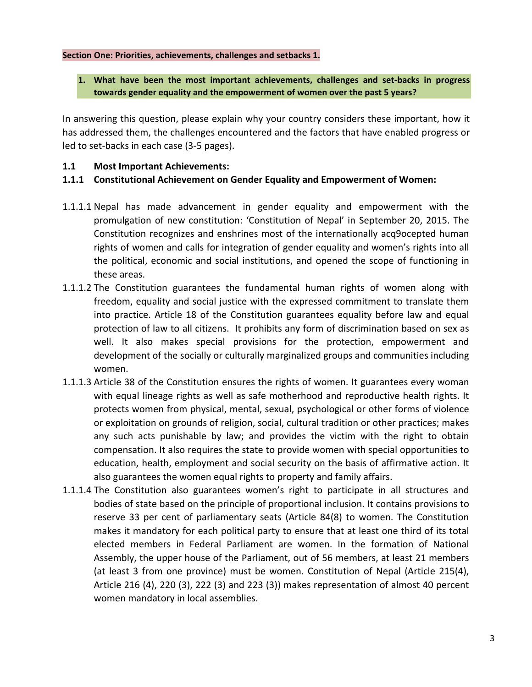#### **Section One: Priorities, achievements, challenges and setbacks 1.**

#### **1. What have been the most important achievements, challenges and set-backs in progress towards gender equality and the empowerment of women over the past 5 years?**

In answering this question, please explain why your country considers these important, how it has addressed them, the challenges encountered and the factors that have enabled progress or led to set-backs in each case (3-5 pages).

#### **1.1 Most Important Achievements:**

#### **1.1.1 Constitutional Achievement on Gender Equality and Empowerment of Women:**

- 1.1.1.1 Nepal has made advancement in gender equality and empowerment with the promulgation of new constitution: 'Constitution of Nepal' in September 20, 2015. The Constitution recognizes and enshrines most of the internationally acq9ocepted human rights of women and calls for integration of gender equality and women's rights into all the political, economic and social institutions, and opened the scope of functioning in these areas.
- 1.1.1.2 The Constitution guarantees the fundamental human rights of women along with freedom, equality and social justice with the expressed commitment to translate them into practice. Article 18 of the Constitution guarantees equality before law and equal protection of law to all citizens. It prohibits any form of discrimination based on sex as well. It also makes special provisions for the protection, empowerment and development of the socially or culturally marginalized groups and communities including women.
- 1.1.1.3 Article 38 of the Constitution ensures the rights of women. It guarantees every woman with equal lineage rights as well as safe motherhood and reproductive health rights. It protects women from physical, mental, sexual, psychological or other forms of violence or exploitation on grounds of religion, social, cultural tradition or other practices; makes any such acts punishable by law; and provides the victim with the right to obtain compensation. It also requires the state to provide women with special opportunities to education, health, employment and social security on the basis of affirmative action. It also guarantees the women equal rights to property and family affairs.
- 1.1.1.4 The Constitution also guarantees women's right to participate in all structures and bodies of state based on the principle of proportional inclusion. It contains provisions to reserve 33 per cent of parliamentary seats (Article 84(8) to women. The Constitution makes it mandatory for each political party to ensure that at least one third of its total elected members in Federal Parliament are women. In the formation of National Assembly, the upper house of the Parliament, out of 56 members, at least 21 members (at least 3 from one province) must be women. Constitution of Nepal (Article 215(4), Article 216 (4), 220 (3), 222 (3) and 223 (3)) makes representation of almost 40 percent women mandatory in local assemblies.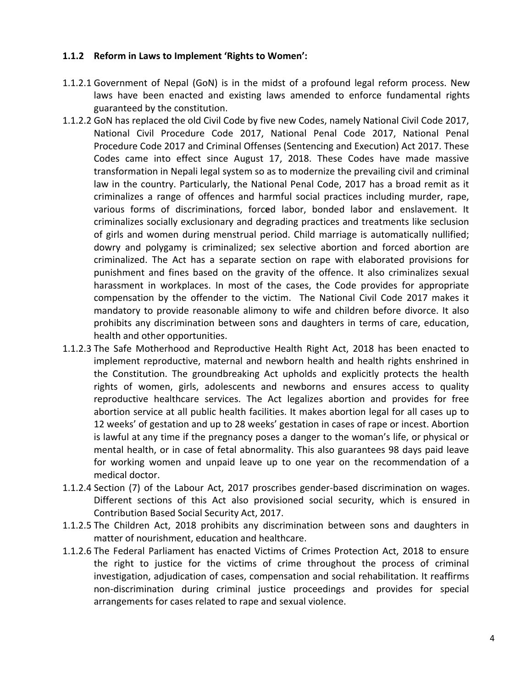#### **1.1.2 Reform in Laws to Implement 'Rights to Women':**

- 1.1.2.1 Government of Nepal (GoN) is in the midst of a profound legal reform process. New laws have been enacted and existing laws amended to enforce fundamental rights guaranteed by the constitution.
- 1.1.2.2 GoN has replaced the old Civil Code by five new Codes, namely National Civil Code 2017, National Civil Procedure Code 2017, National Penal Code 2017, National Penal Procedure Code 2017 and Criminal Offenses (Sentencing and Execution) Act 2017. These Codes came into effect since August 17, 2018. These Codes have made massive transformation in Nepali legal system so as to modernize the prevailing civil and criminal law in the country. Particularly, the National Penal Code, 2017 has a broad remit as it criminalizes a range of offences and harmful social practices including murder, rape, various forms of discriminations, forc**e**d labor, bonded labor and enslavement. It criminalizes socially exclusionary and degrading practices and treatments like seclusion of girls and women during menstrual period. Child marriage is automatically nullified; dowry and polygamy is criminalized; sex selective abortion and forced abortion are criminalized. The Act has a separate section on rape with elaborated provisions for punishment and fines based on the gravity of the offence. It also criminalizes sexual harassment in workplaces. In most of the cases, the Code provides for appropriate compensation by the offender to the victim. The National Civil Code 2017 makes it mandatory to provide reasonable alimony to wife and children before divorce. It also prohibits any discrimination between sons and daughters in terms of care, education, health and other opportunities.
- 1.1.2.3 The Safe Motherhood and Reproductive Health Right Act, 2018 has been enacted to implement reproductive, maternal and newborn health and health rights enshrined in the Constitution. The groundbreaking Act upholds and explicitly protects the health rights of women, girls, adolescents and newborns and ensures access to quality reproductive healthcare services. The Act legalizes abortion and provides for free abortion service at all public health facilities. It makes abortion legal for all cases up to 12 weeks' of gestation and up to 28 weeks' gestation in cases of rape or incest. Abortion is lawful at any time if the pregnancy poses a danger to the woman's life, or physical or mental health, or in case of fetal abnormality. This also guarantees 98 days paid leave for working women and unpaid leave up to one year on the recommendation of a medical doctor.
- 1.1.2.4 Section (7) of the Labour Act, 2017 proscribes gender-based discrimination on wages. Different sections of this Act also provisioned social security, which is ensured in Contribution Based Social Security Act, 2017.
- 1.1.2.5 The Children Act, 2018 prohibits any discrimination between sons and daughters in matter of nourishment, education and healthcare.
- 1.1.2.6 The Federal Parliament has enacted Victims of Crimes Protection Act, 2018 to ensure the right to justice for the victims of crime throughout the process of criminal investigation, adjudication of cases, compensation and social rehabilitation. It reaffirms non-discrimination during criminal justice proceedings and provides for special arrangements for cases related to rape and sexual violence.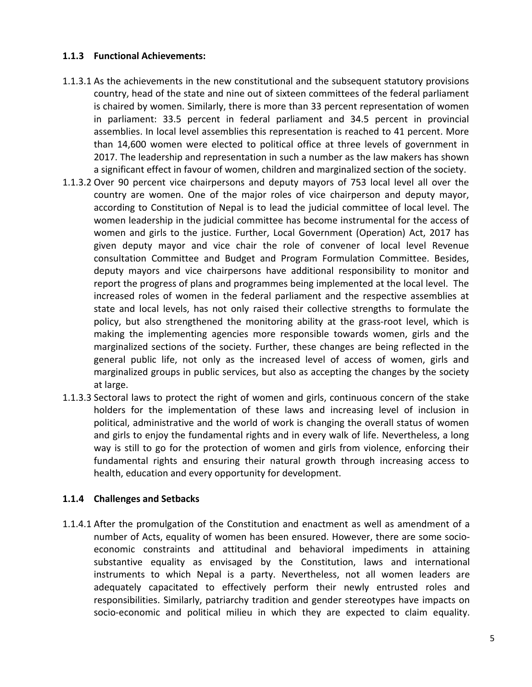#### **1.1.3 Functional Achievements:**

- 1.1.3.1 As the achievements in the new constitutional and the subsequent statutory provisions country, head of the state and nine out of sixteen committees of the federal parliament is chaired by women. Similarly, there is more than 33 percent representation of women in parliament: 33.5 percent in federal parliament and 34.5 percent in provincial assemblies. In local level assemblies this representation is reached to 41 percent. More than 14,600 women were elected to political office at three levels of government in 2017. The leadership and representation in such a number as the law makers has shown a significant effect in favour of women, children and marginalized section of the society.
- 1.1.3.2 Over 90 percent vice chairpersons and deputy mayors of 753 local level all over the country are women. One of the major roles of vice chairperson and deputy mayor, according to Constitution of Nepal is to lead the judicial committee of local level. The women leadership in the judicial committee has become instrumental for the access of women and girls to the justice. Further, Local Government (Operation) Act, 2017 has given deputy mayor and vice chair the role of convener of local level Revenue consultation Committee and Budget and Program Formulation Committee. Besides, deputy mayors and vice chairpersons have additional responsibility to monitor and report the progress of plans and programmes being implemented at the local level. The increased roles of women in the federal parliament and the respective assemblies at state and local levels, has not only raised their collective strengths to formulate the policy, but also strengthened the monitoring ability at the grass-root level, which is making the implementing agencies more responsible towards women, girls and the marginalized sections of the society. Further, these changes are being reflected in the general public life, not only as the increased level of access of women, girls and marginalized groups in public services, but also as accepting the changes by the society at large.
- 1.1.3.3 Sectoral laws to protect the right of women and girls, continuous concern of the stake holders for the implementation of these laws and increasing level of inclusion in political, administrative and the world of work is changing the overall status of women and girls to enjoy the fundamental rights and in every walk of life. Nevertheless, a long way is still to go for the protection of women and girls from violence, enforcing their fundamental rights and ensuring their natural growth through increasing access to health, education and every opportunity for development.

#### **1.1.4 Challenges and Setbacks**

1.1.4.1 After the promulgation of the Constitution and enactment as well as amendment of a number of Acts, equality of women has been ensured. However, there are some socioeconomic constraints and attitudinal and behavioral impediments in attaining substantive equality as envisaged by the Constitution, laws and international instruments to which Nepal is a party. Nevertheless, not all women leaders are adequately capacitated to effectively perform their newly entrusted roles and responsibilities. Similarly, patriarchy tradition and gender stereotypes have impacts on socio-economic and political milieu in which they are expected to claim equality.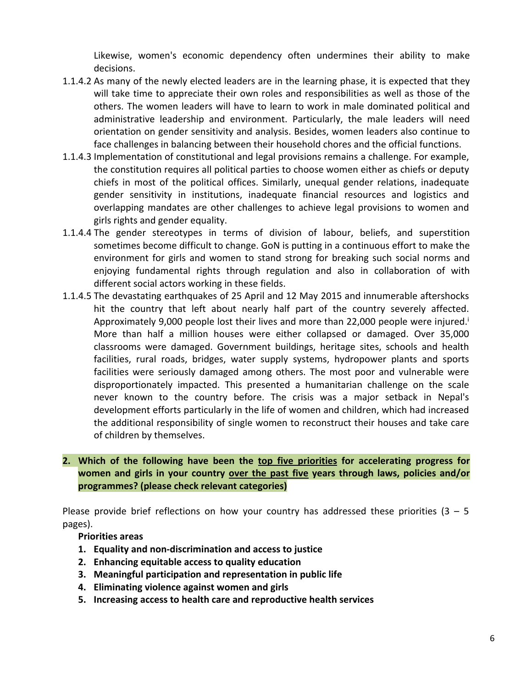Likewise, women's economic dependency often undermines their ability to make decisions.

- 1.1.4.2 As many of the newly elected leaders are in the learning phase, it is expected that they will take time to appreciate their own roles and responsibilities as well as those of the others. The women leaders will have to learn to work in male dominated political and administrative leadership and environment. Particularly, the male leaders will need orientation on gender sensitivity and analysis. Besides, women leaders also continue to face challenges in balancing between their household chores and the official functions.
- 1.1.4.3 Implementation of constitutional and legal provisions remains a challenge. For example, the constitution requires all political parties to choose women either as chiefs or deputy chiefs in most of the political offices. Similarly, unequal gender relations, inadequate gender sensitivity in institutions, inadequate financial resources and logistics and overlapping mandates are other challenges to achieve legal provisions to women and girls rights and gender equality.
- 1.1.4.4 The gender stereotypes in terms of division of labour, beliefs, and superstition sometimes become difficult to change. GoN is putting in a continuous effort to make the environment for girls and women to stand strong for breaking such social norms and enjoying fundamental rights through regulation and also in collaboration of with different social actors working in these fields.
- 1.1.4.5 The devastating earthquakes of 25 April and 12 May 2015 and innumerable aftershocks hit the country that left about nearly half part of the country severely affected. Approximately 9,000 people lost their lives and more than 22,000 people were injured.<sup>i</sup> More than half a million houses were either collapsed or damaged. Over 35,000 classrooms were damaged. Government buildings, heritage sites, schools and health facilities, rural roads, bridges, water supply systems, hydropower plants and sports facilities were seriously damaged among others. The most poor and vulnerable were disproportionately impacted. This presented a humanitarian challenge on the scale never known to the country before. The crisis was a major setback in Nepal's development efforts particularly in the life of women and children, which had increased the additional responsibility of single women to reconstruct their houses and take care of children by themselves.

# **2. Which of the following have been the top five priorities for accelerating progress for women and girls in your country over the past five years through laws, policies and/or programmes? (please check relevant categories)**

Please provide brief reflections on how your country has addressed these priorities  $(3 - 5)$ pages).

**Priorities areas**

- **1. Equality and non-discrimination and access to justice**
- **2. Enhancing equitable access to quality education**
- **3. Meaningful participation and representation in public life**
- **4. Eliminating violence against women and girls**
- **5. Increasing access to health care and reproductive health services**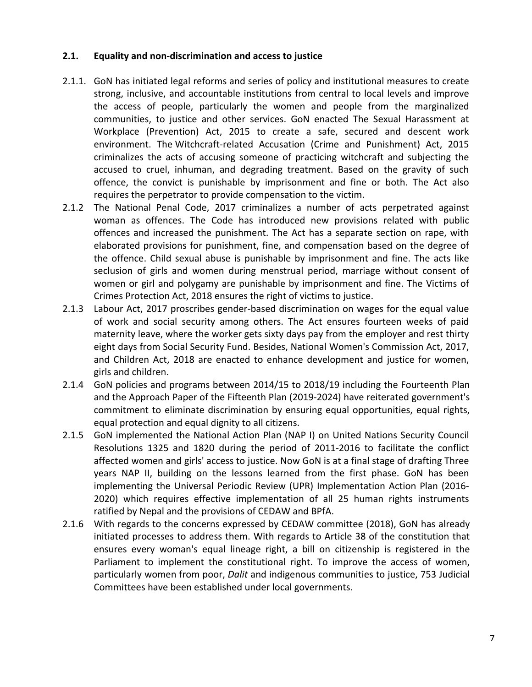#### **2.1. Equality and non-discrimination and access to justice**

- 2.1.1. GoN has initiated legal reforms and series of policy and institutional measures to create strong, inclusive, and accountable institutions from central to local levels and improve the access of people, particularly the women and people from the marginalized communities, to justice and other services. GoN enacted The Sexual Harassment at Workplace (Prevention) Act, 2015 to create a safe, secured and descent work environment. The Witchcraft-related Accusation (Crime and Punishment) Act, 2015 criminalizes the acts of accusing someone of practicing witchcraft and subjecting the accused to cruel, inhuman, and degrading treatment. Based on the gravity of such offence, the convict is punishable by imprisonment and fine or both. The Act also requires the perpetrator to provide compensation to the victim.
- 2.1.2 The National Penal Code, 2017 criminalizes a number of acts perpetrated against woman as offences. The Code has introduced new provisions related with public offences and increased the punishment. The Act has a separate section on rape, with elaborated provisions for punishment, fine, and compensation based on the degree of the offence. Child sexual abuse is punishable by imprisonment and fine. The acts like seclusion of girls and women during menstrual period, marriage without consent of women or girl and polygamy are punishable by imprisonment and fine. The Victims of Crimes Protection Act, 2018 ensures the right of victims to justice.
- 2.1.3 Labour Act, 2017 proscribes gender-based discrimination on wages for the equal value of work and social security among others. The Act ensures fourteen weeks of paid maternity leave, where the worker gets sixty days pay from the employer and rest thirty eight days from Social Security Fund. Besides, National Women's Commission Act, 2017, and Children Act, 2018 are enacted to enhance development and justice for women, girls and children.
- 2.1.4 GoN policies and programs between 2014/15 to 2018/19 including the Fourteenth Plan and the Approach Paper of the Fifteenth Plan (2019-2024) have reiterated government's commitment to eliminate discrimination by ensuring equal opportunities, equal rights, equal protection and equal dignity to all citizens.
- 2.1.5 GoN implemented the National Action Plan (NAP I) on United Nations Security Council Resolutions 1325 and 1820 during the period of 2011-2016 to facilitate the conflict affected women and girls' access to justice. Now GoN is at a final stage of drafting Three years NAP II, building on the lessons learned from the first phase. GoN has been implementing the Universal Periodic Review (UPR) Implementation Action Plan (2016- 2020) which requires effective implementation of all 25 human rights instruments ratified by Nepal and the provisions of CEDAW and BPfA.
- 2.1.6 With regards to the concerns expressed by CEDAW committee (2018), GoN has already initiated processes to address them. With regards to Article 38 of the constitution that ensures every woman's equal lineage right, a bill on citizenship is registered in the Parliament to implement the constitutional right. To improve the access of women, particularly women from poor, *Dalit* and indigenous communities to justice, 753 Judicial Committees have been established under local governments.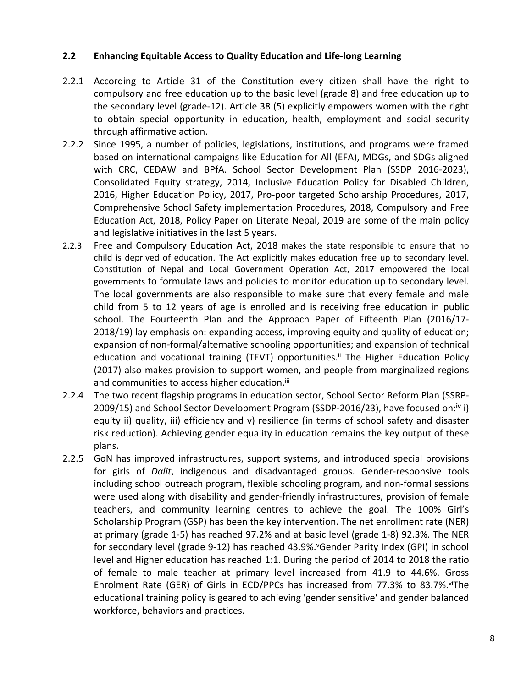#### **2.2 Enhancing Equitable Access to Quality Education and Life-long Learning**

- 2.2.1 According to Article 31 of the Constitution every citizen shall have the right to compulsory and free education up to the basic level (grade 8) and free education up to the secondary level (grade-12). Article 38 (5) explicitly empowers women with the right to obtain special opportunity in education, health, employment and social security through affirmative action.
- 2.2.2 Since 1995, a number of policies, legislations, institutions, and programs were framed based on international campaigns like Education for All (EFA), MDGs, and SDGs aligned with CRC, CEDAW and BPfA. School Sector Development Plan (SSDP 2016-2023), Consolidated Equity strategy, 2014, Inclusive Education Policy for Disabled Children, 2016, Higher Education Policy, 2017, Pro-poor targeted Scholarship Procedures, 2017, Comprehensive School Safety implementation Procedures, 2018, Compulsory and Free Education Act, 2018, Policy Paper on Literate Nepal, 2019 are some of the main policy and legislative initiatives in the last 5 years.
- 2.2.3 Free and Compulsory Education Act, 2018 makes the state responsible to ensure that no child is deprived of education. The Act explicitly makes education free up to secondary level. Constitution of Nepal and Local Government Operation Act, 2017 empowered the local governments to formulate laws and policies to monitor education up to secondary level. The local governments are also responsible to make sure that every female and male child from 5 to 12 years of age is enrolled and is receiving free education in public school. The Fourteenth Plan and the Approach Paper of Fifteenth Plan (2016/17- 2018/19) lay emphasis on: expanding access, improving equity and quality of education; expansion of non-formal/alternative schooling opportunities; and expansion of technical education and vocational training (TEVT) opportunities.<sup>ii</sup> The Higher Education Policy (2017) also makes provision to support women, and people from marginalized regions and communities to access higher education.<sup>iii</sup>
- 2.2.4 The two recent flagship programs in education sector, School Sector Reform Plan (SSRP-2009/15) and School Sector Development Program (SSDP-2016/23), have focused on:**iv** i) equity ii) quality, iii) efficiency and v) resilience (in terms of school safety and disaster risk reduction). Achieving gender equality in education remains the key output of these plans.
- 2.2.5 GoN has improved infrastructures, support systems, and introduced special provisions for girls of *Dalit*, indigenous and disadvantaged groups. Gender-responsive tools including school outreach program, flexible schooling program, and non-formal sessions were used along with disability and gender-friendly infrastructures, provision of female teachers, and community learning centres to achieve the goal. The 100% Girl's Scholarship Program (GSP) has been the key intervention. The net enrollment rate (NER) at primary (grade 1-5) has reached 97.2% and at basic level (grade 1-8) 92.3%. The NER for secondary level (grade 9-12) has reached 43.9%. "Gender Parity Index (GPI) in school level and Higher education has reached 1:1. During the period of 2014 to 2018 the ratio of female to male teacher at primary level increased from 41.9 to 44.6%. Gross Enrolment Rate (GER) of Girls in ECD/PPCs has increased from 77.3% to 83.7%.viThe educational training policy is geared to achieving 'gender sensitive' and gender balanced workforce, behaviors and practices.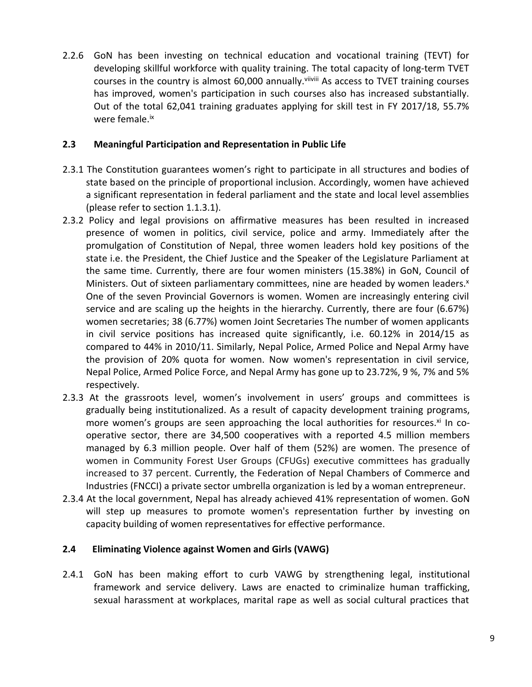2.2.6 GoN has been investing on technical education and vocational training (TEVT) for developing skillful workforce with quality training. The total capacity of long-term TVET courses in the country is almost 60,000 annually. Vilivili As access to TVET training courses has improved, women's participation in such courses also has increased substantially. Out of the total 62,041 training graduates applying for skill test in FY 2017/18, 55.7% were female.<sup>ix</sup>

#### **2.3 Meaningful Participation and Representation in Public Life**

- 2.3.1 The Constitution guarantees women's right to participate in all structures and bodies of state based on the principle of proportional inclusion. Accordingly, women have achieved a significant representation in federal parliament and the state and local level assemblies (please refer to section 1.1.3.1).
- 2.3.2 Policy and legal provisions on affirmative measures has been resulted in increased presence of women in politics, civil service, police and army. Immediately after the promulgation of Constitution of Nepal, three women leaders hold key positions of the state i.e. the President, the Chief Justice and the Speaker of the Legislature Parliament at the same time. Currently, there are four women ministers (15.38%) in GoN, Council of Ministers. Out of sixteen parliamentary committees, nine are headed by women leaders.<sup>x</sup> One of the seven Provincial Governors is women. Women are increasingly entering civil service and are scaling up the heights in the hierarchy. Currently, there are four (6.67%) women secretaries; 38 (6.77%) women Joint Secretaries The number of women applicants in civil service positions has increased quite significantly, i.e. 60.12% in 2014/15 as compared to 44% in 2010/11. Similarly, Nepal Police, Armed Police and Nepal Army have the provision of 20% quota for women. Now women's representation in civil service, Nepal Police, Armed Police Force, and Nepal Army has gone up to 23.72%, 9 %, 7% and 5% respectively.
- 2.3.3 At the grassroots level, women's involvement in users' groups and committees is gradually being institutionalized. As a result of capacity development training programs, more women's groups are seen approaching the local authorities for resources. $x_i$  In cooperative sector, there are 34,500 cooperatives with a reported 4.5 million members managed by 6.3 million people. Over half of them (52%) are women. The presence of women in Community Forest User Groups (CFUGs) executive committees has gradually increased to 37 percent. Currently, the Federation of Nepal Chambers of Commerce and Industries (FNCCI) a private sector umbrella organization is led by a woman entrepreneur.
- 2.3.4 At the local government, Nepal has already achieved 41% representation of women. GoN will step up measures to promote women's representation further by investing on capacity building of women representatives for effective performance.

# **2.4 Eliminating Violence against Women and Girls (VAWG)**

2.4.1 GoN has been making effort to curb VAWG by strengthening legal, institutional framework and service delivery. Laws are enacted to criminalize human trafficking, sexual harassment at workplaces, marital rape as well as social cultural practices that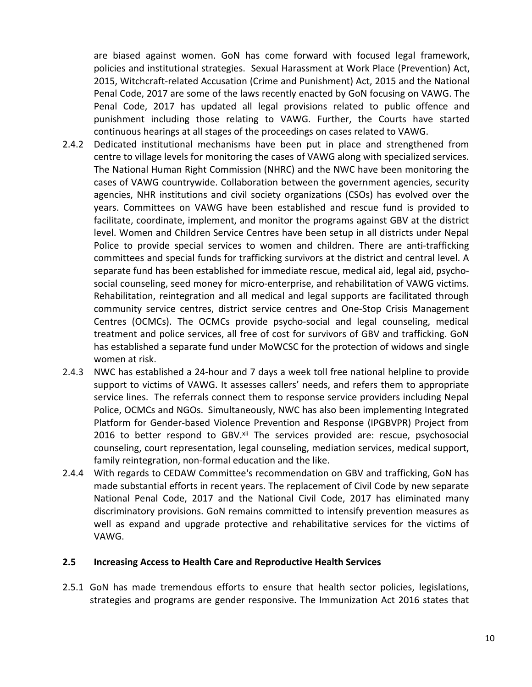are biased against women. GoN has come forward with focused legal framework, policies and institutional strategies. Sexual Harassment at Work Place (Prevention) Act, 2015, Witchcraft-related Accusation (Crime and Punishment) Act, 2015 and the National Penal Code, 2017 are some of the laws recently enacted by GoN focusing on VAWG. The Penal Code, 2017 has updated all legal provisions related to public offence and punishment including those relating to VAWG. Further, the Courts have started continuous hearings at all stages of the proceedings on cases related to VAWG.

- 2.4.2 Dedicated institutional mechanisms have been put in place and strengthened from centre to village levels for monitoring the cases of VAWG along with specialized services. The National Human Right Commission (NHRC) and the NWC have been monitoring the cases of VAWG countrywide. Collaboration between the government agencies, security agencies, NHR institutions and civil society organizations (CSOs) has evolved over the years. Committees on VAWG have been established and rescue fund is provided to facilitate, coordinate, implement, and monitor the programs against GBV at the district level. Women and Children Service Centres have been setup in all districts under Nepal Police to provide special services to women and children. There are anti-trafficking committees and special funds for trafficking survivors at the district and central level. A separate fund has been established for immediate rescue, medical aid, legal aid, psychosocial counseling, seed money for micro-enterprise, and rehabilitation of VAWG victims. Rehabilitation, reintegration and all medical and legal supports are facilitated through community service centres, district service centres and One-Stop Crisis Management Centres (OCMCs). The OCMCs provide psycho-social and legal counseling, medical treatment and police services, all free of cost for survivors of GBV and trafficking. GoN has established a separate fund under MoWCSC for the protection of widows and single women at risk.
- 2.4.3 NWC has established a 24-hour and 7 days a week toll free national helpline to provide support to victims of VAWG. It assesses callers' needs, and refers them to appropriate service lines. The referrals connect them to response service providers including Nepal Police, OCMCs and NGOs. Simultaneously, NWC has also been implementing Integrated Platform for Gender-based Violence Prevention and Response (IPGBVPR) Project from 2016 to better respond to GBV.<sup>xii</sup> The services provided are: rescue, psychosocial counseling, court representation, legal counseling, mediation services, medical support, family reintegration, non-formal education and the like.
- 2.4.4 With regards to CEDAW Committee's recommendation on GBV and trafficking, GoN has made substantial efforts in recent years. The replacement of Civil Code by new separate National Penal Code, 2017 and the National Civil Code, 2017 has eliminated many discriminatory provisions. GoN remains committed to intensify prevention measures as well as expand and upgrade protective and rehabilitative services for the victims of VAWG.

#### **2.5 Increasing Access to Health Care and Reproductive Health Services**

2.5.1 GoN has made tremendous efforts to ensure that health sector policies, legislations, strategies and programs are gender responsive. The Immunization Act 2016 states that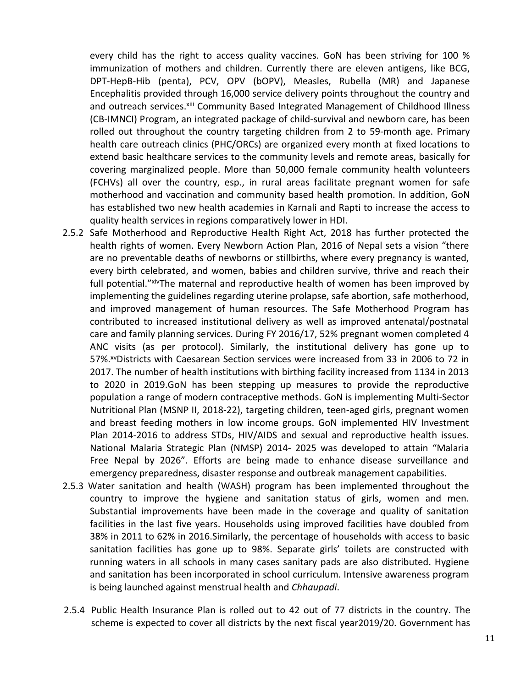every child has the right to access quality vaccines. GoN has been striving for 100 % immunization of mothers and children. Currently there are eleven antigens, like BCG, DPT-HepB-Hib (penta), PCV, OPV (bOPV), Measles, Rubella (MR) and Japanese Encephalitis provided through 16,000 service delivery points throughout the country and and outreach services. Xiii Community Based Integrated Management of Childhood Illness (CB-IMNCI) Program, an integrated package of child-survival and newborn care, has been rolled out throughout the country targeting children from 2 to 59-month age. Primary health care outreach clinics (PHC/ORCs) are organized every month at fixed locations to extend basic healthcare services to the community levels and remote areas, basically for covering marginalized people. More than 50,000 female community health volunteers (FCHVs) all over the country, esp., in rural areas facilitate pregnant women for safe motherhood and vaccination and community based health promotion. In addition, GoN has established two new health academies in Karnali and Rapti to increase the access to quality health services in regions comparatively lower in HDI.

- 2.5.2 Safe Motherhood and Reproductive Health Right Act, 2018 has further protected the health rights of women. Every Newborn Action Plan, 2016 of Nepal sets a vision "there are no preventable deaths of newborns or stillbirths, where every pregnancy is wanted, every birth celebrated, and women, babies and children survive, thrive and reach their full potential." *xiv*The maternal and reproductive health of women has been improved by implementing the guidelines regarding uterine prolapse, safe abortion, safe motherhood, and improved management of human resources. The Safe Motherhood Program has contributed to increased institutional delivery as well as improved antenatal/postnatal care and family planning services. During FY 2016/17, 52% pregnant women completed 4 ANC visits (as per protocol). Similarly, the institutional delivery has gone up to 57%.<sup>xv</sup>Districts with Caesarean Section services were increased from 33 in 2006 to 72 in 2017. The number of health institutions with birthing facility increased from 1134 in 2013 to 2020 in 2019.GoN has been stepping up measures to provide the reproductive population a range of modern contraceptive methods. GoN is implementing Multi-Sector Nutritional Plan (MSNP II, 2018-22), targeting children, teen-aged girls, pregnant women and breast feeding mothers in low income groups. GoN implemented HIV Investment Plan 2014-2016 to address STDs, HIV/AIDS and sexual and reproductive health issues. National Malaria Strategic Plan (NMSP) 2014- 2025 was developed to attain "Malaria Free Nepal by 2026". Efforts are being made to enhance disease surveillance and emergency preparedness, disaster response and outbreak management capabilities.
- 2.5.3 Water sanitation and health (WASH) program has been implemented throughout the country to improve the hygiene and sanitation status of girls, women and men. Substantial improvements have been made in the coverage and quality of sanitation facilities in the last five years. Households using improved facilities have doubled from 38% in 2011 to 62% in 2016.Similarly, the percentage of households with access to basic sanitation facilities has gone up to 98%. Separate girls' toilets are constructed with running waters in all schools in many cases sanitary pads are also distributed. Hygiene and sanitation has been incorporated in school curriculum. Intensive awareness program is being launched against menstrual health and *Chhaupadi*.
- 2.5.4 Public Health Insurance Plan is rolled out to 42 out of 77 districts in the country. The scheme is expected to cover all districts by the next fiscal year2019/20. Government has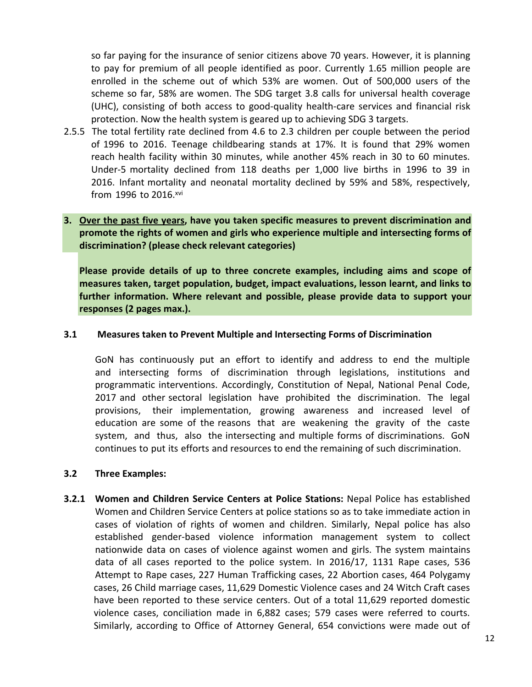so far paying for the insurance of senior citizens above 70 years. However, it is planning to pay for premium of all people identified as poor. Currently 1.65 million people are enrolled in the scheme out of which 53% are women. Out of 500,000 users of the scheme so far, 58% are women. The SDG target 3.8 calls for universal health coverage (UHC), consisting of both access to good-quality health-care services and financial risk protection. Now the health system is geared up to achieving SDG 3 targets.

2.5.5 The total fertility rate declined from 4.6 to 2.3 children per couple between the period of 1996 to 2016. Teenage childbearing stands at 17%. It is found that 29% women reach health facility within 30 minutes, while another 45% reach in 30 to 60 minutes. Under-5 mortality declined from 118 deaths per 1,000 live births in 1996 to 39 in 2016. Infant mortality and neonatal mortality declined by 59% and 58%, respectively, from 1996 to 2016.xvi

# **3. Over the past five years, have you taken specific measures to prevent discrimination and promote the rights of women and girls who experience multiple and intersecting forms of discrimination? (please check relevant categories)**

**Please provide details of up to three concrete examples, including aims and scope of measures taken, target population, budget, impact evaluations, lesson learnt, and links to further information. Where relevant and possible, please provide data to support your responses (2 pages max.).**

## **3.1 Measures taken to Prevent Multiple and Intersecting Forms of Discrimination**

GoN has continuously put an effort to identify and address to end the multiple and intersecting forms of discrimination through legislations, institutions and programmatic interventions. Accordingly, Constitution of Nepal, National Penal Code, 2017 and other sectoral legislation have prohibited the discrimination. The legal provisions, their implementation, growing awareness and increased level of education are some of the reasons that are weakening the gravity of the caste system, and thus, also the intersecting and multiple forms of discriminations. GoN continues to put its efforts and resources to end the remaining of such discrimination.

#### **3.2 Three Examples:**

**3.2.1 Women and Children Service Centers at Police Stations:** Nepal Police has established Women and Children Service Centers at police stations so as to take immediate action in cases of violation of rights of women and children. Similarly, Nepal police has also established gender-based violence information management system to collect nationwide data on cases of violence against women and girls. The system maintains data of all cases reported to the police system. In 2016/17, 1131 Rape cases, 536 Attempt to Rape cases, 227 Human Trafficking cases, 22 Abortion cases, 464 Polygamy cases, 26 Child marriage cases, 11,629 Domestic Violence cases and 24 Witch Craft cases have been reported to these service centers. Out of a total 11,629 reported domestic violence cases, conciliation made in 6,882 cases; 579 cases were referred to courts. Similarly, according to Office of Attorney General, 654 convictions were made out of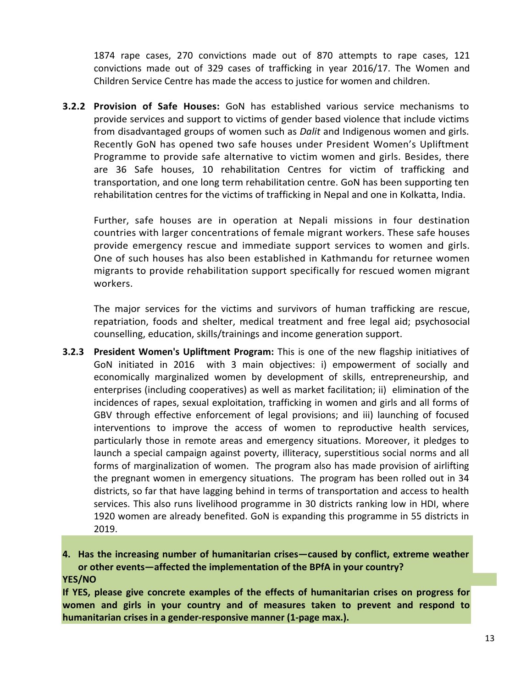1874 rape cases, 270 convictions made out of 870 attempts to rape cases, 121 convictions made out of 329 cases of trafficking in year 2016/17. The Women and Children Service Centre has made the access to justice for women and children.

**3.2.2 Provision of Safe Houses:** GoN has established various service mechanisms to provide services and support to victims of gender based violence that include victims from disadvantaged groups of women such as *Dalit* and Indigenous women and girls. Recently GoN has opened two safe houses under President Women's Upliftment Programme to provide safe alternative to victim women and girls. Besides, there are 36 Safe houses, 10 rehabilitation Centres for victim of trafficking and transportation, and one long term rehabilitation centre. GoN has been supporting ten rehabilitation centres for the victims of trafficking in Nepal and one in Kolkatta, India.

Further, safe houses are in operation at Nepali missions in four destination countries with larger concentrations of female migrant workers. These safe houses provide emergency rescue and immediate support services to women and girls. One of such houses has also been established in Kathmandu for returnee women migrants to provide rehabilitation support specifically for rescued women migrant workers.

The major services for the victims and survivors of human trafficking are rescue, repatriation, foods and shelter, medical treatment and free legal aid; psychosocial counselling, education, skills/trainings and income generation support.

**3.2.3 President Women's Upliftment Program:** This is one of the new flagship initiatives of GoN initiated in 2016 with 3 main objectives: i) empowerment of socially and economically marginalized women by development of skills, entrepreneurship, and enterprises (including cooperatives) as well as market facilitation; ii) elimination of the incidences of rapes, sexual exploitation, trafficking in women and girls and all forms of GBV through effective enforcement of legal provisions; and iii) launching of focused interventions to improve the access of women to reproductive health services, particularly those in remote areas and emergency situations. Moreover, it pledges to launch a special campaign against poverty, illiteracy, superstitious social norms and all forms of marginalization of women. The program also has made provision of airlifting the pregnant women in emergency situations. The program has been rolled out in 34 districts, so far that have lagging behind in terms of transportation and access to health services. This also runs livelihood programme in 30 districts ranking low in HDI, where 1920 women are already benefited. GoN is expanding this programme in 55 districts in 2019.

**4. Has the increasing number of humanitarian crises—caused by conflict, extreme weather or other events—affected the implementation of the BPfA in your country? YES/NO**

**If YES, please give concrete examples of the effects of humanitarian crises on progress for women and girls in your country and of measures taken to prevent and respond to humanitarian crises in a gender-responsive manner (1-page max.).**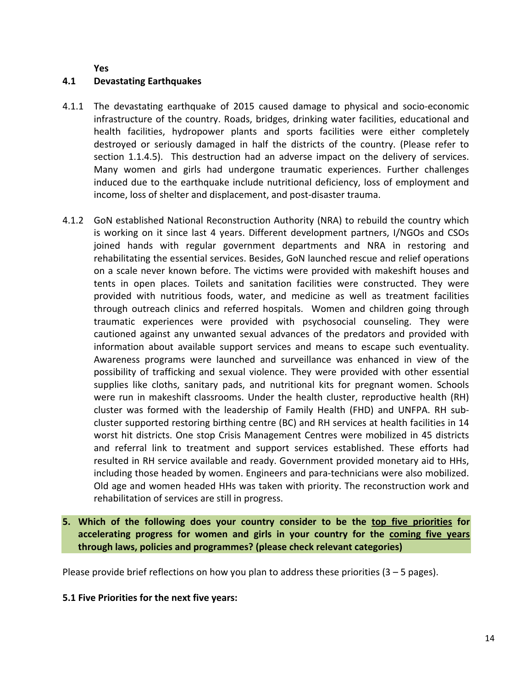**Yes**

#### **4.1 Devastating Earthquakes**

- 4.1.1 The devastating earthquake of 2015 caused damage to physical and socio-economic infrastructure of the country. Roads, bridges, drinking water facilities, educational and health facilities, hydropower plants and sports facilities were either completely destroyed or seriously damaged in half the districts of the country. (Please refer to section 1.1.4.5). This destruction had an adverse impact on the delivery of services. Many women and girls had undergone traumatic experiences. Further challenges induced due to the earthquake include nutritional deficiency, loss of employment and income, loss of shelter and displacement, and post-disaster trauma.
- 4.1.2 GoN established National Reconstruction Authority (NRA) to rebuild the country which is working on it since last 4 years. Different development partners, I/NGOs and CSOs joined hands with regular government departments and NRA in restoring and rehabilitating the essential services. Besides, GoN launched rescue and relief operations on a scale never known before. The victims were provided with makeshift houses and tents in open places. Toilets and sanitation facilities were constructed. They were provided with nutritious foods, water, and medicine as well as treatment facilities through outreach clinics and referred hospitals. Women and children going through traumatic experiences were provided with psychosocial counseling. They were cautioned against any unwanted sexual advances of the predators and provided with information about available support services and means to escape such eventuality. Awareness programs were launched and surveillance was enhanced in view of the possibility of trafficking and sexual violence. They were provided with other essential supplies like cloths, sanitary pads, and nutritional kits for pregnant women. Schools were run in makeshift classrooms. Under the health cluster, reproductive health (RH) cluster was formed with the leadership of Family Health (FHD) and UNFPA. RH subcluster supported restoring birthing centre (BC) and RH services at health facilities in 14 worst hit districts. One stop Crisis Management Centres were mobilized in 45 districts and referral link to treatment and support services established. These efforts had resulted in RH service available and ready. Government provided monetary aid to HHs, including those headed by women. Engineers and para-technicians were also mobilized. Old age and women headed HHs was taken with priority. The reconstruction work and rehabilitation of services are still in progress.
- **5. Which of the following does your country consider to be the top five priorities for accelerating progress for women and girls in your country for the coming five years through laws, policies and programmes? (please check relevant categories)**

Please provide brief reflections on how you plan to address these priorities  $(3 - 5$  pages).

#### **5.1 Five Priorities for the next five years:**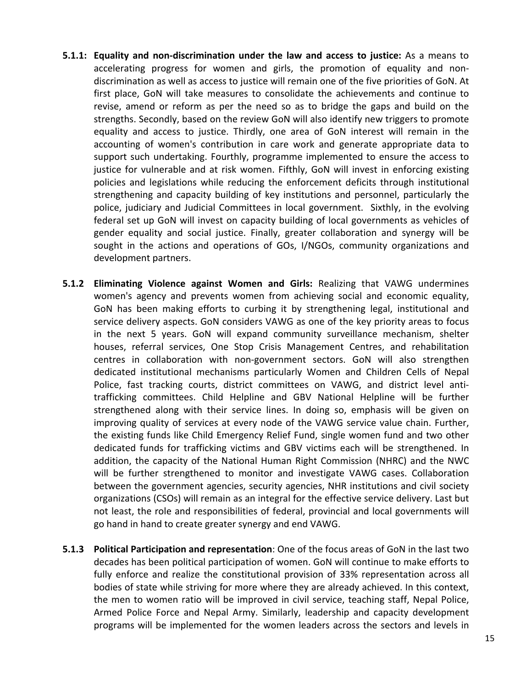- **5.1.1: Equality and non-discrimination under the law and access to justice:** As a means to accelerating progress for women and girls, the promotion of equality and nondiscrimination as well as access to justice will remain one of the five priorities of GoN. At first place, GoN will take measures to consolidate the achievements and continue to revise, amend or reform as per the need so as to bridge the gaps and build on the strengths. Secondly, based on the review GoN will also identify new triggers to promote equality and access to justice. Thirdly, one area of GoN interest will remain in the accounting of women's contribution in care work and generate appropriate data to support such undertaking. Fourthly, programme implemented to ensure the access to justice for vulnerable and at risk women. Fifthly, GoN will invest in enforcing existing policies and legislations while reducing the enforcement deficits through institutional strengthening and capacity building of key institutions and personnel, particularly the police, judiciary and Judicial Committees in local government. Sixthly, in the evolving federal set up GoN will invest on capacity building of local governments as vehicles of gender equality and social justice. Finally, greater collaboration and synergy will be sought in the actions and operations of GOs, I/NGOs, community organizations and development partners.
- **5.1.2 Eliminating Violence against Women and Girls:** Realizing that VAWG undermines women's agency and prevents women from achieving social and economic equality, GoN has been making efforts to curbing it by strengthening legal, institutional and service delivery aspects. GoN considers VAWG as one of the key priority areas to focus in the next 5 years. GoN will expand community surveillance mechanism, shelter houses, referral services, One Stop Crisis Management Centres, and rehabilitation centres in collaboration with non-government sectors. GoN will also strengthen dedicated institutional mechanisms particularly Women and Children Cells of Nepal Police, fast tracking courts, district committees on VAWG, and district level antitrafficking committees. Child Helpline and GBV National Helpline will be further strengthened along with their service lines. In doing so, emphasis will be given on improving quality of services at every node of the VAWG service value chain. Further, the existing funds like Child Emergency Relief Fund, single women fund and two other dedicated funds for trafficking victims and GBV victims each will be strengthened. In addition, the capacity of the National Human Right Commission (NHRC) and the NWC will be further strengthened to monitor and investigate VAWG cases. Collaboration between the government agencies, security agencies, NHR institutions and civil society organizations (CSOs) will remain as an integral for the effective service delivery. Last but not least, the role and responsibilities of federal, provincial and local governments will go hand in hand to create greater synergy and end VAWG.
- **5.1.3 Political Participation and representation**: One of the focus areas of GoN in the last two decades has been political participation of women. GoN will continue to make efforts to fully enforce and realize the constitutional provision of 33% representation across all bodies of state while striving for more where they are already achieved. In this context, the men to women ratio will be improved in civil service, teaching staff, Nepal Police, Armed Police Force and Nepal Army. Similarly, leadership and capacity development programs will be implemented for the women leaders across the sectors and levels in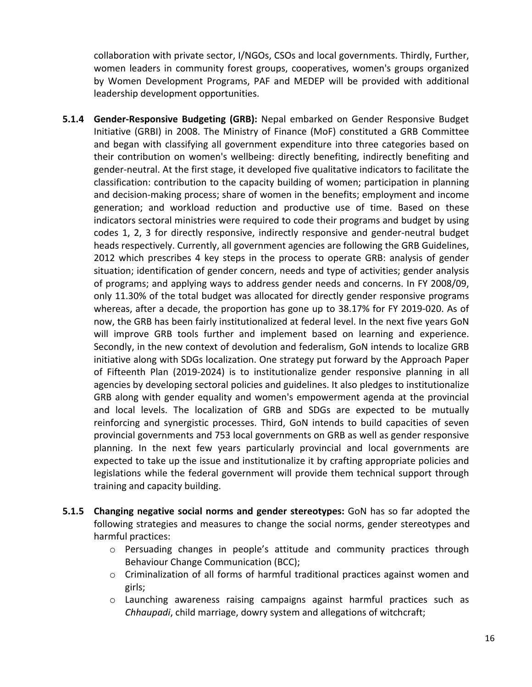collaboration with private sector, I/NGOs, CSOs and local governments. Thirdly, Further, women leaders in community forest groups, cooperatives, women's groups organized by Women Development Programs, PAF and MEDEP will be provided with additional leadership development opportunities.

- **5.1.4 Gender-Responsive Budgeting (GRB):** Nepal embarked on Gender Responsive Budget Initiative (GRBI) in 2008. The Ministry of Finance (MoF) constituted a GRB Committee and began with classifying all government expenditure into three categories based on their contribution on women's wellbeing: directly benefiting, indirectly benefiting and gender-neutral. At the first stage, it developed five qualitative indicators to facilitate the classification: contribution to the capacity building of women; participation in planning and decision-making process; share of women in the benefits; employment and income generation; and workload reduction and productive use of time. Based on these indicators sectoral ministries were required to code their programs and budget by using codes 1, 2, 3 for directly responsive, indirectly responsive and gender-neutral budget heads respectively. Currently, all government agencies are following the GRB Guidelines, 2012 which prescribes 4 key steps in the process to operate GRB: analysis of gender situation; identification of gender concern, needs and type of activities; gender analysis of programs; and applying ways to address gender needs and concerns. In FY 2008/09, only 11.30% of the total budget was allocated for directly gender responsive programs whereas, after a decade, the proportion has gone up to 38.17% for FY 2019-020. As of now, the GRB has been fairly institutionalized at federal level. In the next five years GoN will improve GRB tools further and implement based on learning and experience. Secondly, in the new context of devolution and federalism, GoN intends to localize GRB initiative along with SDGs localization. One strategy put forward by the Approach Paper of Fifteenth Plan (2019-2024) is to institutionalize gender responsive planning in all agencies by developing sectoral policies and guidelines. It also pledges to institutionalize GRB along with gender equality and women's empowerment agenda at the provincial and local levels. The localization of GRB and SDGs are expected to be mutually reinforcing and synergistic processes. Third, GoN intends to build capacities of seven provincial governments and 753 local governments on GRB as well as gender responsive planning. In the next few years particularly provincial and local governments are expected to take up the issue and institutionalize it by crafting appropriate policies and legislations while the federal government will provide them technical support through training and capacity building.
- **5.1.5 Changing negative social norms and gender stereotypes:** GoN has so far adopted the following strategies and measures to change the social norms, gender stereotypes and harmful practices:
	- $\circ$  Persuading changes in people's attitude and community practices through Behaviour Change Communication (BCC);
	- $\circ$  Criminalization of all forms of harmful traditional practices against women and girls;
	- o Launching awareness raising campaigns against harmful practices such as *Chhaupadi*, child marriage, dowry system and allegations of witchcraft;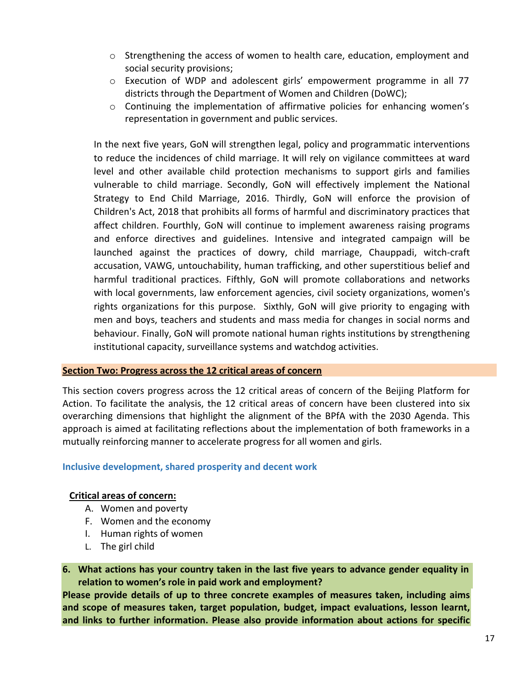- o Strengthening the access of women to health care, education, employment and social security provisions;
- o Execution of WDP and adolescent girls' empowerment programme in all 77 districts through the Department of Women and Children (DoWC);
- $\circ$  Continuing the implementation of affirmative policies for enhancing women's representation in government and public services.

In the next five years, GoN will strengthen legal, policy and programmatic interventions to reduce the incidences of child marriage. It will rely on vigilance committees at ward level and other available child protection mechanisms to support girls and families vulnerable to child marriage. Secondly, GoN will effectively implement the National Strategy to End Child Marriage, 2016. Thirdly, GoN will enforce the provision of Children's Act, 2018 that prohibits all forms of harmful and discriminatory practices that affect children. Fourthly, GoN will continue to implement awareness raising programs and enforce directives and guidelines. Intensive and integrated campaign will be launched against the practices of dowry, child marriage, Chauppadi, witch-craft accusation, VAWG, untouchability, human trafficking, and other superstitious belief and harmful traditional practices. Fifthly, GoN will promote collaborations and networks with local governments, law enforcement agencies, civil society organizations, women's rights organizations for this purpose. Sixthly, GoN will give priority to engaging with men and boys, teachers and students and mass media for changes in social norms and behaviour. Finally, GoN will promote national human rights institutions by strengthening institutional capacity, surveillance systems and watchdog activities.

#### **Section Two: Progress across the 12 critical areas of concern**

This section covers progress across the 12 critical areas of concern of the Beijing Platform for Action. To facilitate the analysis, the 12 critical areas of concern have been clustered into six overarching dimensions that highlight the alignment of the BPfA with the 2030 Agenda. This approach is aimed at facilitating reflections about the implementation of both frameworks in a mutually reinforcing manner to accelerate progress for all women and girls.

#### **Inclusive development, shared prosperity and decent work**

#### **Critical areas of concern:**

- A. Women and poverty
- F. Women and the economy
- I. Human rights of women
- L. The girl child

**6. What actions has your country taken in the last five years to advance gender equality in relation to women's role in paid work and employment?**

**Please provide details of up to three concrete examples of measures taken, including aims and scope of measures taken, target population, budget, impact evaluations, lesson learnt, and links to further information. Please also provide information about actions for specific**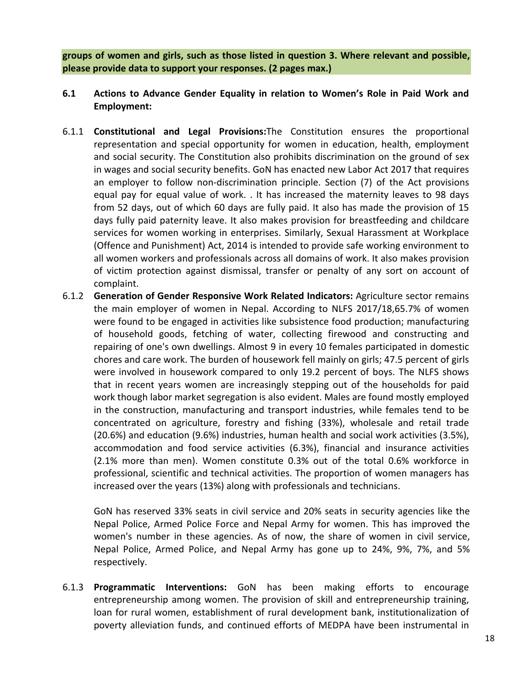**groups of women and girls, such as those listed in question 3. Where relevant and possible, please provide data to support your responses. (2 pages max.)**

- **6.1 Actions to Advance Gender Equality in relation to Women's Role in Paid Work and Employment:**
- 6.1.1 **Constitutional and Legal Provisions:**The Constitution ensures the proportional representation and special opportunity for women in education, health, employment and social security. The Constitution also prohibits discrimination on the ground of sex in wages and social security benefits. GoN has enacted new Labor Act 2017 that requires an employer to follow non-discrimination principle. Section (7) of the Act provisions equal pay for equal value of work. . It has increased the maternity leaves to 98 days from 52 days, out of which 60 days are fully paid. It also has made the provision of 15 days fully paid paternity leave. It also makes provision for breastfeeding and childcare services for women working in enterprises. Similarly, Sexual Harassment at Workplace (Offence and Punishment) Act, 2014 is intended to provide safe working environment to all women workers and professionals across all domains of work. It also makes provision of victim protection against dismissal, transfer or penalty of any sort on account of complaint.
- 6.1.2 **Generation of Gender Responsive Work Related Indicators:** Agriculture sector remains the main employer of women in Nepal. According to NLFS 2017/18,65.7% of women were found to be engaged in activities like subsistence food production; manufacturing of household goods, fetching of water, collecting firewood and constructing and repairing of one's own dwellings. Almost 9 in every 10 females participated in domestic chores and care work. The burden of housework fell mainly on girls; 47.5 percent of girls were involved in housework compared to only 19.2 percent of boys. The NLFS shows that in recent years women are increasingly stepping out of the households for paid work though labor market segregation is also evident. Males are found mostly employed in the construction, manufacturing and transport industries, while females tend to be concentrated on agriculture, forestry and fishing (33%), wholesale and retail trade (20.6%) and education (9.6%) industries, human health and social work activities (3.5%), accommodation and food service activities (6.3%), financial and insurance activities (2.1% more than men). Women constitute 0.3% out of the total 0.6% workforce in professional, scientific and technical activities. The proportion of women managers has increased over the years (13%) along with professionals and technicians.

GoN has reserved 33% seats in civil service and 20% seats in security agencies like the Nepal Police, Armed Police Force and Nepal Army for women. This has improved the women's number in these agencies. As of now, the share of women in civil service, Nepal Police, Armed Police, and Nepal Army has gone up to 24%, 9%, 7%, and 5% respectively.

6.1.3 **Programmatic Interventions:** GoN has been making efforts to encourage entrepreneurship among women. The provision of skill and entrepreneurship training, loan for rural women, establishment of rural development bank, institutionalization of poverty alleviation funds, and continued efforts of MEDPA have been instrumental in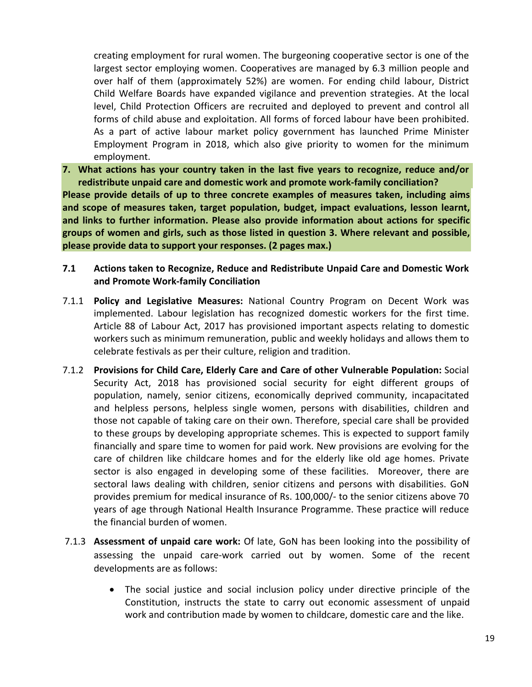creating employment for rural women. The burgeoning cooperative sector is one of the largest sector employing women. Cooperatives are managed by 6.3 million people and over half of them (approximately 52%) are women. For ending child labour, District Child Welfare Boards have expanded vigilance and prevention strategies. At the local level, Child Protection Officers are recruited and deployed to prevent and control all forms of child abuse and exploitation. All forms of forced labour have been prohibited. As a part of active labour market policy government has launched Prime Minister Employment Program in 2018, which also give priority to women for the minimum employment.

**7. What actions has your country taken in the last five years to recognize, reduce and/or redistribute unpaid care and domestic work and promote work-family conciliation? Please provide details of up to three concrete examples of measures taken, including aims and scope of measures taken, target population, budget, impact evaluations, lesson learnt, and links to further information. Please also provide information about actions for specific groups of women and girls, such as those listed in question 3. Where relevant and possible, please provide data to support your responses. (2 pages max.)**

- **7.1 Actions taken to Recognize, Reduce and Redistribute Unpaid Care and Domestic Work and Promote Work-family Conciliation**
- 7.1.1 **Policy and Legislative Measures:** National Country Program on Decent Work was implemented. Labour legislation has recognized domestic workers for the first time. Article 88 of Labour Act, 2017 has provisioned important aspects relating to domestic workers such as minimum remuneration, public and weekly holidays and allows them to celebrate festivals as per their culture, religion and tradition.
- 7.1.2 **Provisions for Child Care, Elderly Care and Care of other Vulnerable Population:** Social Security Act, 2018 has provisioned social security for eight different groups of population, namely, senior citizens, economically deprived community, incapacitated and helpless persons, helpless single women, persons with disabilities, children and those not capable of taking care on their own. Therefore, special care shall be provided to these groups by developing appropriate schemes. This is expected to support family financially and spare time to women for paid work. New provisions are evolving for the care of children like childcare homes and for the elderly like old age homes. Private sector is also engaged in developing some of these facilities. Moreover, there are sectoral laws dealing with children, senior citizens and persons with disabilities. GoN provides premium for medical insurance of Rs. 100,000/- to the senior citizens above 70 years of age through National Health Insurance Programme. These practice will reduce the financial burden of women.
- 7.1.3 **Assessment of unpaid care work:** Of late, GoN has been looking into the possibility of assessing the unpaid care-work carried out by women. Some of the recent developments are as follows:
	- The social justice and social inclusion policy under directive principle of the Constitution, instructs the state to carry out economic assessment of unpaid work and contribution made by women to childcare, domestic care and the like.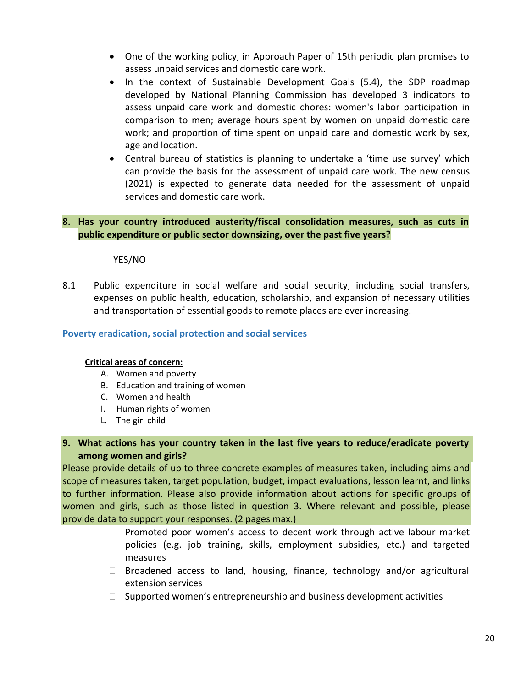- One of the working policy, in Approach Paper of 15th periodic plan promises to assess unpaid services and domestic care work.
- In the context of Sustainable Development Goals (5.4), the SDP roadmap developed by National Planning Commission has developed 3 indicators to assess unpaid care work and domestic chores: women's labor participation in comparison to men; average hours spent by women on unpaid domestic care work; and proportion of time spent on unpaid care and domestic work by sex, age and location.
- Central bureau of statistics is planning to undertake a 'time use survey' which can provide the basis for the assessment of unpaid care work. The new census (2021) is expected to generate data needed for the assessment of unpaid services and domestic care work.

## **8. Has your country introduced austerity/fiscal consolidation measures, such as cuts in public expenditure or public sector downsizing, over the past five years?**

YES/NO

8.1 Public expenditure in social welfare and social security, including social transfers, expenses on public health, education, scholarship, and expansion of necessary utilities and transportation of essential goods to remote places are ever increasing.

#### **Poverty eradication, social protection and social services**

#### **Critical areas of concern:**

- A. Women and poverty
- B. Education and training of women
- C. Women and health
- I. Human rights of women
- L. The girl child

# **9. What actions has your country taken in the last five years to reduce/eradicate poverty among women and girls?**

Please provide details of up to three concrete examples of measures taken, including aims and scope of measures taken, target population, budget, impact evaluations, lesson learnt, and links to further information. Please also provide information about actions for specific groups of women and girls, such as those listed in question 3. Where relevant and possible, please provide data to support your responses. (2 pages max.)

- $\Box$  Promoted poor women's access to decent work through active labour market policies (e.g. job training, skills, employment subsidies, etc.) and targeted measures
- $\Box$  Broadened access to land, housing, finance, technology and/or agricultural extension services
- $\Box$  Supported women's entrepreneurship and business development activities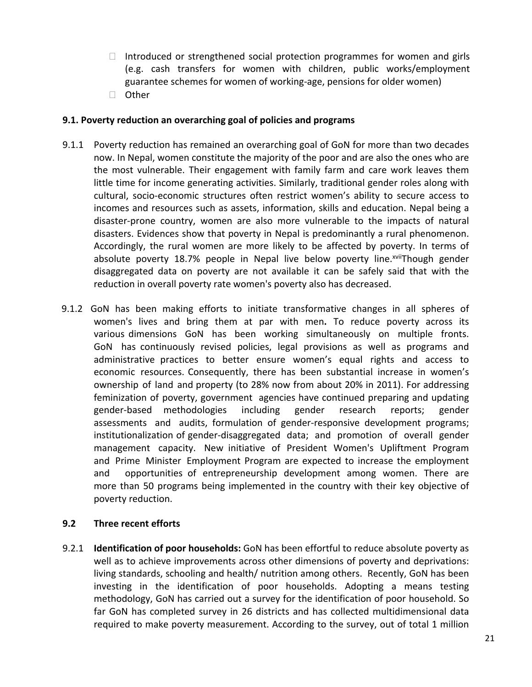- $\Box$  Introduced or strengthened social protection programmes for women and girls (e.g. cash transfers for women with children, public works/employment guarantee schemes for women of working-age, pensions for older women)
- □ Other

#### **9.1. Poverty reduction an overarching goal of policies and programs**

- 9.1.1 Poverty reduction has remained an overarching goal of GoN for more than two decades now. In Nepal, women constitute the majority of the poor and are also the ones who are the most vulnerable. Their engagement with family farm and care work leaves them little time for income generating activities. Similarly, traditional gender roles along with cultural, socio-economic structures often restrict women's ability to secure access to incomes and resources such as assets, information, skills and education. Nepal being a disaster-prone country, women are also more vulnerable to the impacts of natural disasters. Evidences show that poverty in Nepal is predominantly a rural phenomenon. Accordingly, the rural women are more likely to be affected by poverty. In terms of absolute poverty 18.7% people in Nepal live below poverty line.<sup>xvii</sup>Though gender disaggregated data on poverty are not available it can be safely said that with the reduction in overall poverty rate women's poverty also has decreased.
- 9.1.2 GoN has been making efforts to initiate transformative changes in all spheres of women's lives and bring them at par with men**.** To reduce poverty across its various dimensions GoN has been working simultaneously on multiple fronts. GoN has continuously revised policies, legal provisions as well as programs and administrative practices to better ensure women's equal rights and access to economic resources. Consequently, there has been substantial increase in women's ownership of land and property (to 28% now from about 20% in 2011). For addressing feminization of poverty, government agencies have continued preparing and updating gender-based methodologies including gender research reports; gender assessments and audits, formulation of gender-responsive development programs; institutionalization of gender-disaggregated data; and promotion of overall gender management capacity. New initiative of President Women's Upliftment Program and Prime Minister Employment Program are expected to increase the employment and opportunities of entrepreneurship development among women. There are more than 50 programs being implemented in the country with their key objective of poverty reduction.

#### **9.2 Three recent efforts**

9.2.1 **Identification of poor households:** GoN has been effortful to reduce absolute poverty as well as to achieve improvements across other dimensions of poverty and deprivations: living standards, schooling and health/ nutrition among others. Recently, GoN has been investing in the identification of poor households. Adopting a means testing methodology, GoN has carried out a survey for the identification of poor household. So far GoN has completed survey in 26 districts and has collected multidimensional data required to make poverty measurement. According to the survey, out of total 1 million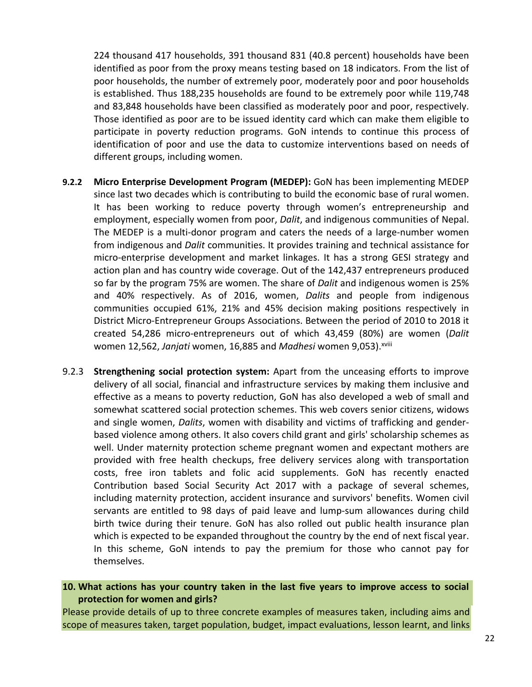224 thousand 417 households, 391 thousand 831 (40.8 percent) households have been identified as poor from the proxy means testing based on 18 indicators. From the list of poor households, the number of extremely poor, moderately poor and poor households is established. Thus 188,235 households are found to be extremely poor while 119,748 and 83,848 households have been classified as moderately poor and poor, respectively. Those identified as poor are to be issued identity card which can make them eligible to participate in poverty reduction programs. GoN intends to continue this process of identification of poor and use the data to customize interventions based on needs of different groups, including women.

- **9.2.2 Micro Enterprise Development Program (MEDEP):** GoN has been implementing MEDEP since last two decades which is contributing to build the economic base of rural women. It has been working to reduce poverty through women's entrepreneurship and employment, especially women from poor, *Dalit*, and indigenous communities of Nepal. The MEDEP is a multi-donor program and caters the needs of a large-number women from indigenous and *Dalit* communities. It provides training and technical assistance for micro-enterprise development and market linkages. It has a strong GESI strategy and action plan and has country wide coverage. Out of the 142,437 entrepreneurs produced so far by the program 75% are women. The share of *Dalit* and indigenous women is 25% and 40% respectively. As of 2016, women, *Dalits* and people from indigenous communities occupied 61%, 21% and 45% decision making positions respectively in District Micro-Entrepreneur Groups Associations. Between the period of 2010 to 2018 it created 54,286 micro-entrepreneurs out of which 43,459 (80%) are women (*Dalit* women 12,562, *Janjati* women, 16,885 and *Madhesi* women 9,053).xviii
- 9.2.3 **Strengthening social protection system:** Apart from the unceasing efforts to improve delivery of all social, financial and infrastructure services by making them inclusive and effective as a means to poverty reduction, GoN has also developed a web of small and somewhat scattered social protection schemes. This web covers senior citizens, widows and single women, *Dalits*, women with disability and victims of trafficking and genderbased violence among others. It also covers child grant and girls' scholarship schemes as well. Under maternity protection scheme pregnant women and expectant mothers are provided with free health checkups, free delivery services along with transportation costs, free iron tablets and folic acid supplements. GoN has recently enacted Contribution based Social Security Act 2017 with a package of several schemes, including maternity protection, accident insurance and survivors' benefits. Women civil servants are entitled to 98 days of paid leave and lump-sum allowances during child birth twice during their tenure. GoN has also rolled out public health insurance plan which is expected to be expanded throughout the country by the end of next fiscal year. In this scheme, GoN intends to pay the premium for those who cannot pay for themselves.

#### **10. What actions has your country taken in the last five years to improve access to social protection for women and girls?**

Please provide details of up to three concrete examples of measures taken, including aims and scope of measures taken, target population, budget, impact evaluations, lesson learnt, and links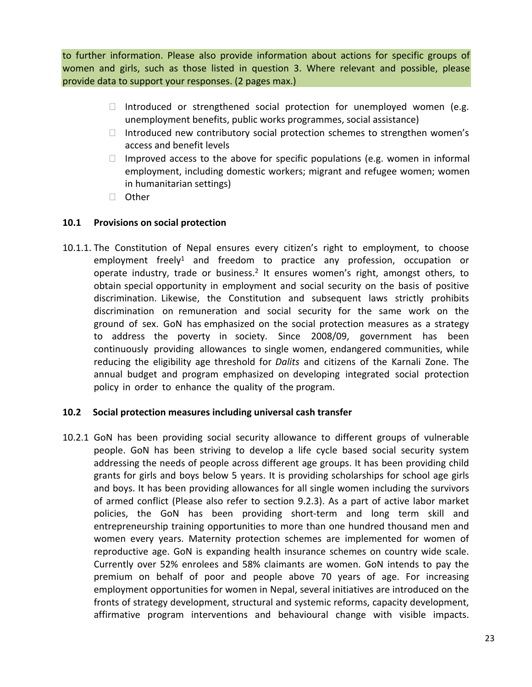to further information. Please also provide information about actions for specific groups of women and girls, such as those listed in question 3. Where relevant and possible, please provide data to support your responses. (2 pages max.)

- $\Box$  Introduced or strengthened social protection for unemployed women (e.g. unemployment benefits, public works programmes, social assistance)
- $\Box$  Introduced new contributory social protection schemes to strengthen women's access and benefit levels
- Improved access to the above for specific populations (e.g. women in informal employment, including domestic workers; migrant and refugee women; women in humanitarian settings)
- □ Other

# **10.1 Provisions on social protection**

10.1.1. The Constitution of Nepal ensures every citizen's right to employment, to choose employment freely<sup>1</sup> and freedom to practice any profession, occupation or operate industry, trade or business.<sup>2</sup> It ensures women's right, amongst others, to obtain special opportunity in employment and social security on the basis of positive discrimination. Likewise, the Constitution and subsequent laws strictly prohibits discrimination on remuneration and social security for the same work on the ground of sex. GoN has emphasized on the social protection measures as a strategy to address the poverty in society. Since 2008/09, government has been continuously providing allowances to single women, endangered communities, while reducing the eligibility age threshold for *Dalits* and citizens of the Karnali Zone. The annual budget and program emphasized on developing integrated social protection policy in order to enhance the quality of the program.

# **10.2 Social protection measures including universal cash transfer**

10.2.1 GoN has been providing social security allowance to different groups of vulnerable people. GoN has been striving to develop a life cycle based social security system addressing the needs of people across different age groups. It has been providing child grants for girls and boys below 5 years. It is providing scholarships for school age girls and boys. It has been providing allowances for all single women including the survivors of armed conflict (Please also refer to section 9.2.3). As a part of active labor market policies, the GoN has been providing short-term and long term skill and entrepreneurship training opportunities to more than one hundred thousand men and women every years. Maternity protection schemes are implemented for women of reproductive age. GoN is expanding health insurance schemes on country wide scale. Currently over 52% enrolees and 58% claimants are women. GoN intends to pay the premium on behalf of poor and people above 70 years of age. For increasing employment opportunities for women in Nepal, several initiatives are introduced on the fronts of strategy development, structural and systemic reforms, capacity development, affirmative program interventions and behavioural change with visible impacts.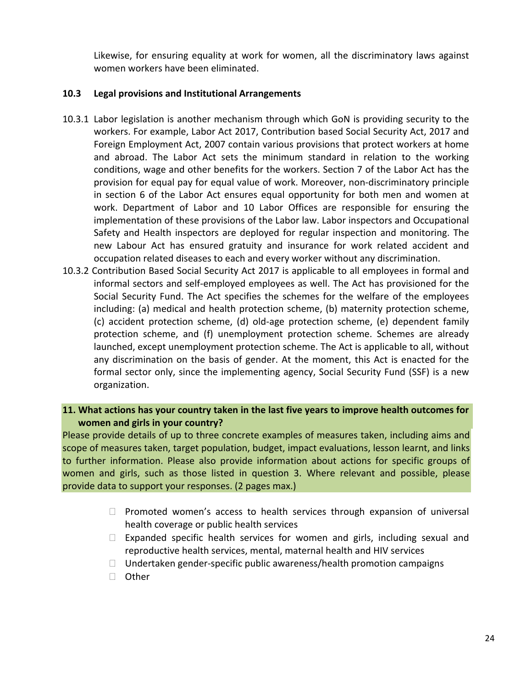Likewise, for ensuring equality at work for women, all the discriminatory laws against women workers have been eliminated.

## **10.3 Legal provisions and Institutional Arrangements**

- 10.3.1 Labor legislation is another mechanism through which GoN is providing security to the workers. For example, Labor Act 2017, Contribution based Social Security Act, 2017 and Foreign Employment Act, 2007 contain various provisions that protect workers at home and abroad. The Labor Act sets the minimum standard in relation to the working conditions, wage and other benefits for the workers. Section 7 of the Labor Act has the provision for equal pay for equal value of work. Moreover, non-discriminatory principle in section 6 of the Labor Act ensures equal opportunity for both men and women at work. Department of Labor and 10 Labor Offices are responsible for ensuring the implementation of these provisions of the Labor law. Labor inspectors and Occupational Safety and Health inspectors are deployed for regular inspection and monitoring. The new Labour Act has ensured gratuity and insurance for work related accident and occupation related diseases to each and every worker without any discrimination.
- 10.3.2 Contribution Based Social Security Act 2017 is applicable to all employees in formal and informal sectors and self-employed employees as well. The Act has provisioned for the Social Security Fund. The Act specifies the schemes for the welfare of the employees including: (a) medical and health protection scheme, (b) maternity protection scheme, (c) accident protection scheme, (d) old-age protection scheme, (e) dependent family protection scheme, and (f) unemployment protection scheme. Schemes are already launched, except unemployment protection scheme. The Act is applicable to all, without any discrimination on the basis of gender. At the moment, this Act is enacted for the formal sector only, since the implementing agency, Social Security Fund (SSF) is a new organization.

# **11. What actions has your country taken in the last five years to improve health outcomes for women and girls in your country?**

Please provide details of up to three concrete examples of measures taken, including aims and scope of measures taken, target population, budget, impact evaluations, lesson learnt, and links to further information. Please also provide information about actions for specific groups of women and girls, such as those listed in question 3. Where relevant and possible, please provide data to support your responses. (2 pages max.)

- $\Box$  Promoted women's access to health services through expansion of universal health coverage or public health services
- $\Box$  Expanded specific health services for women and girls, including sexual and reproductive health services, mental, maternal health and HIV services
- $\Box$  Undertaken gender-specific public awareness/health promotion campaigns
- □ Other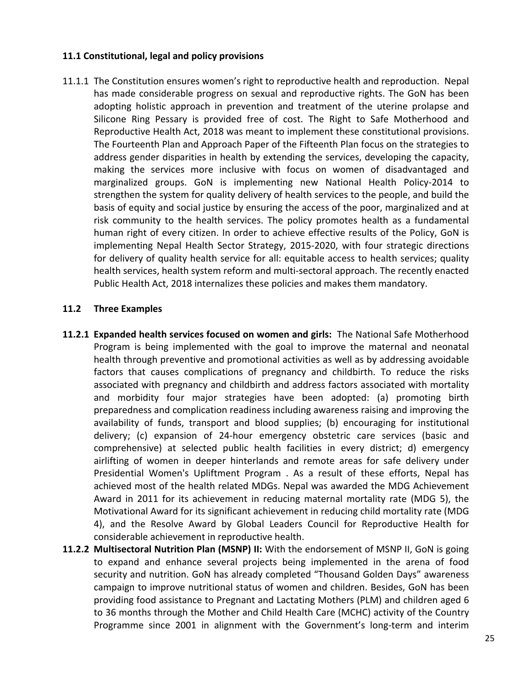#### **11.1 Constitutional, legal and policy provisions**

11.1.1 The Constitution ensures women's right to reproductive health and reproduction. Nepal has made considerable progress on sexual and reproductive rights. The GoN has been adopting holistic approach in prevention and treatment of the uterine prolapse and Silicone Ring Pessary is provided free of cost. The Right to Safe Motherhood and Reproductive Health Act, 2018 was meant to implement these constitutional provisions. The Fourteenth Plan and Approach Paper of the Fifteenth Plan focus on the strategies to address gender disparities in health by extending the services, developing the capacity, making the services more inclusive with focus on women of disadvantaged and marginalized groups. GoN is implementing new National Health Policy-2014 to strengthen the system for quality delivery of health services to the people, and build the basis of equity and social justice by ensuring the access of the poor, marginalized and at risk community to the health services. The policy promotes health as a fundamental human right of every citizen. In order to achieve effective results of the Policy, GoN is implementing Nepal Health Sector Strategy, 2015-2020, with four strategic directions for delivery of quality health service for all: equitable access to health services; quality health services, health system reform and multi-sectoral approach. The recently enacted Public Health Act, 2018 internalizes these policies and makes them mandatory.

#### **11.2 Three Examples**

- **11.2.1 Expanded health services focused on women and girls:** The National Safe Motherhood Program is being implemented with the goal to improve the maternal and neonatal health through preventive and promotional activities as well as by addressing avoidable factors that causes complications of pregnancy and childbirth. To reduce the risks associated with pregnancy and childbirth and address factors associated with mortality and morbidity four major strategies have been adopted: (a) promoting birth preparedness and complication readiness including awareness raising and improving the availability of funds, transport and blood supplies; (b) encouraging for institutional delivery; (c) expansion of 24-hour emergency obstetric care services (basic and comprehensive) at selected public health facilities in every district; d) emergency airlifting of women in deeper hinterlands and remote areas for safe delivery under Presidential Women's Upliftment Program . As a result of these efforts, Nepal has achieved most of the health related MDGs. Nepal was awarded the MDG Achievement Award in 2011 for its achievement in reducing maternal mortality rate (MDG 5), the Motivational Award for its significant achievement in reducing child mortality rate (MDG 4), and the Resolve Award by Global Leaders Council for Reproductive Health for considerable achievement in reproductive health.
- **11.2.2 Multisectoral Nutrition Plan (MSNP) II:** With the endorsement of MSNP II, GoN is going to expand and enhance several projects being implemented in the arena of food security and nutrition. GoN has already completed "Thousand Golden Days" awareness campaign to improve nutritional status of women and children. Besides, GoN has been providing food assistance to Pregnant and Lactating Mothers (PLM) and children aged 6 to 36 months through the Mother and Child Health Care (MCHC) activity of the Country Programme since 2001 in alignment with the Government's long-term and interim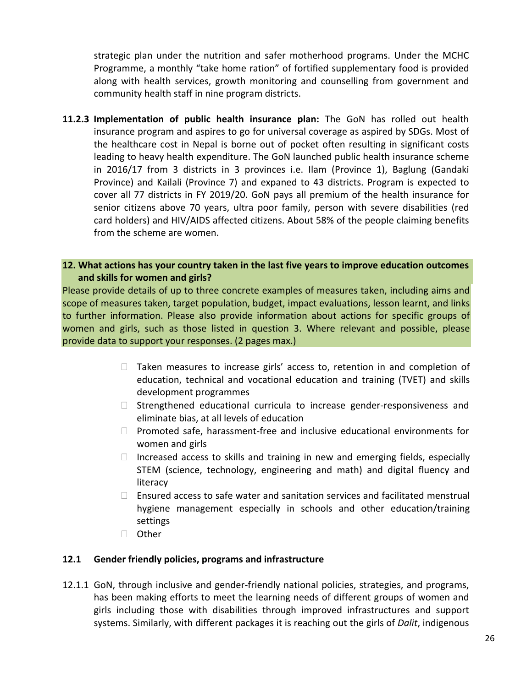strategic plan under the nutrition and safer motherhood programs. Under the MCHC Programme, a monthly "take home ration" of fortified supplementary food is provided along with health services, growth monitoring and counselling from government and community health staff in nine program districts.

**11.2.3 Implementation of public health insurance plan:** The GoN has rolled out health insurance program and aspires to go for universal coverage as aspired by SDGs. Most of the healthcare cost in Nepal is borne out of pocket often resulting in significant costs leading to heavy health expenditure. The GoN launched public health insurance scheme in 2016/17 from 3 districts in 3 provinces i.e. Ilam (Province 1), Baglung (Gandaki Province) and Kailali (Province 7) and expaned to 43 districts. Program is expected to cover all 77 districts in FY 2019/20. GoN pays all premium of the health insurance for senior citizens above 70 years, ultra poor family, person with severe disabilities (red card holders) and HIV/AIDS affected citizens. About 58% of the people claiming benefits from the scheme are women.

## **12. What actions has your country taken in the last five years to improve education outcomes and skills for women and girls?**

Please provide details of up to three concrete examples of measures taken, including aims and scope of measures taken, target population, budget, impact evaluations, lesson learnt, and links to further information. Please also provide information about actions for specific groups of women and girls, such as those listed in question 3. Where relevant and possible, please provide data to support your responses. (2 pages max.)

- $\Box$  Taken measures to increase girls' access to, retention in and completion of education, technical and vocational education and training (TVET) and skills development programmes
- $\Box$  Strengthened educational curricula to increase gender-responsiveness and eliminate bias, at all levels of education
- $\Box$  Promoted safe, harassment-free and inclusive educational environments for women and girls
- $\Box$  Increased access to skills and training in new and emerging fields, especially STEM (science, technology, engineering and math) and digital fluency and literacy
- $\Box$  Ensured access to safe water and sanitation services and facilitated menstrual hygiene management especially in schools and other education/training settings
- □ Other

#### **12.1 Gender friendly policies, programs and infrastructure**

12.1.1 GoN, through inclusive and gender-friendly national policies, strategies, and programs, has been making efforts to meet the learning needs of different groups of women and girls including those with disabilities through improved infrastructures and support systems. Similarly, with different packages it is reaching out the girls of *Dalit*, indigenous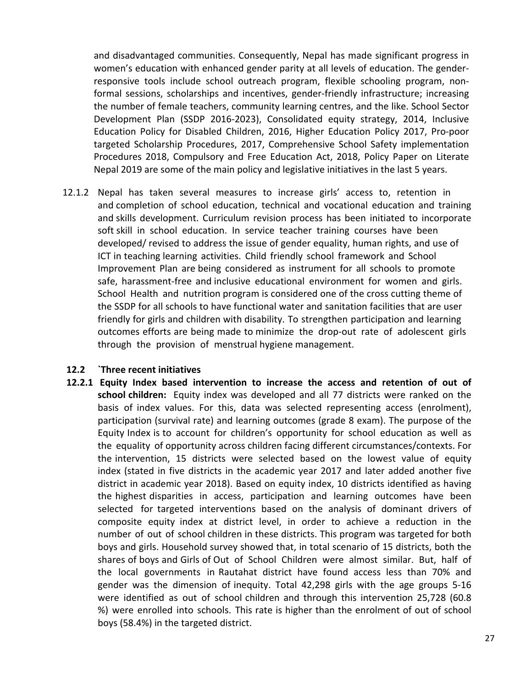and disadvantaged communities. Consequently, Nepal has made significant progress in women's education with enhanced gender parity at all levels of education. The genderresponsive tools include school outreach program, flexible schooling program, nonformal sessions, scholarships and incentives, gender-friendly infrastructure; increasing the number of female teachers, community learning centres, and the like. School Sector Development Plan (SSDP 2016-2023), Consolidated equity strategy, 2014, Inclusive Education Policy for Disabled Children, 2016, Higher Education Policy 2017, Pro-poor targeted Scholarship Procedures, 2017, Comprehensive School Safety implementation Procedures 2018, Compulsory and Free Education Act, 2018, Policy Paper on Literate Nepal 2019 are some of the main policy and legislative initiatives in the last 5 years.

12.1.2 Nepal has taken several measures to increase girls' access to, retention in and completion of school education, technical and vocational education and training and skills development. Curriculum revision process has been initiated to incorporate soft skill in school education. In service teacher training courses have been developed/ revised to address the issue of gender equality, human rights, and use of ICT in teaching learning activities. Child friendly school framework and School Improvement Plan are being considered as instrument for all schools to promote safe, harassment-free and inclusive educational environment for women and girls. School Health and nutrition program is considered one of the cross cutting theme of the SSDP for all schools to have functional water and sanitation facilities that are user friendly for girls and children with disability. To strengthen participation and learning outcomes efforts are being made to minimize the drop-out rate of adolescent girls through the provision of menstrual hygiene management.

#### **12.2 `Three recent initiatives**

**12.2.1 Equity Index based intervention to increase the access and retention of out of school children:** Equity index was developed and all 77 districts were ranked on the basis of index values. For this, data was selected representing access (enrolment), participation (survival rate) and learning outcomes (grade 8 exam). The purpose of the Equity Index is to account for children's opportunity for school education as well as the equality of opportunity across children facing different circumstances/contexts. For the intervention, 15 districts were selected based on the lowest value of equity index (stated in five districts in the academic year 2017 and later added another five district in academic year 2018). Based on equity index, 10 districts identified as having the highest disparities in access, participation and learning outcomes have been selected for targeted interventions based on the analysis of dominant drivers of composite equity index at district level, in order to achieve a reduction in the number of out of school children in these districts. This program was targeted for both boys and girls. Household survey showed that, in total scenario of 15 districts, both the shares of boys and Girls of Out of School Children were almost similar. But, half of the local governments in Rautahat district have found access less than 70% and gender was the dimension of inequity. Total 42,298 girls with the age groups 5-16 were identified as out of school children and through this intervention 25,728 (60.8 %) were enrolled into schools. This rate is higher than the enrolment of out of school boys (58.4%) in the targeted district.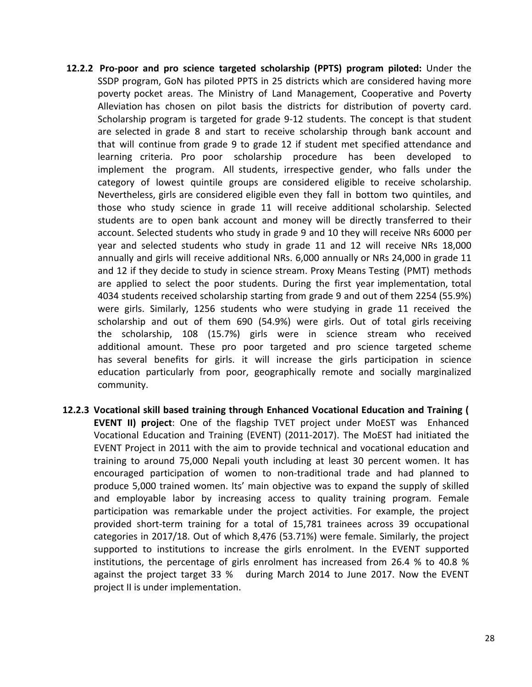- **12.2.2 Pro-poor and pro science targeted scholarship (PPTS) program piloted:** Under the SSDP program, GoN has piloted PPTS in 25 districts which are considered having more poverty pocket areas. The Ministry of Land Management, Cooperative and Poverty Alleviation has chosen on pilot basis the districts for distribution of poverty card. Scholarship program is targeted for grade 9-12 students. The concept is that student are selected in grade 8 and start to receive scholarship through bank account and that will continue from grade 9 to grade 12 if student met specified attendance and learning criteria. Pro poor scholarship procedure has been developed to implement the program. All students, irrespective gender, who falls under the category of lowest quintile groups are considered eligible to receive scholarship. Nevertheless, girls are considered eligible even they fall in bottom two quintiles, and those who study science in grade 11 will receive additional scholarship. Selected students are to open bank account and money will be directly transferred to their account. Selected students who study in grade 9 and 10 they will receive NRs 6000 per year and selected students who study in grade 11 and 12 will receive NRs 18,000 annually and girls will receive additional NRs. 6,000 annually or NRs 24,000 in grade 11 and 12 if they decide to study in science stream. Proxy Means Testing (PMT) methods are applied to select the poor students. During the first year implementation, total 4034 students received scholarship starting from grade 9 and out of them 2254 (55.9%) were girls. Similarly, 1256 students who were studying in grade 11 received the scholarship and out of them 690 (54.9%) were girls. Out of total girls receiving the scholarship, 108 (15.7%) girls were in science stream who received additional amount. These pro poor targeted and pro science targeted scheme has several benefits for girls. it will increase the girls participation in science education particularly from poor, geographically remote and socially marginalized community.
- **12.2.3 Vocational skill based training through Enhanced Vocational Education and Training ( EVENT II) project**: One of the flagship TVET project under MoEST was Enhanced Vocational Education and Training (EVENT) (2011-2017). The MoEST had initiated the EVENT Project in 2011 with the aim to provide technical and vocational education and training to around 75,000 Nepali youth including at least 30 percent women. It has encouraged participation of women to non-traditional trade and had planned to produce 5,000 trained women. Its' main objective was to expand the supply of skilled and employable labor by increasing access to quality training program. Female participation was remarkable under the project activities. For example, the project provided short-term training for a total of 15,781 trainees across 39 occupational categories in 2017/18. Out of which 8,476 (53.71%) were female. Similarly, the project supported to institutions to increase the girls enrolment. In the EVENT supported institutions, the percentage of girls enrolment has increased from 26.4 % to 40.8 % against the project target 33 % during March 2014 to June 2017. Now the EVENT project II is under implementation.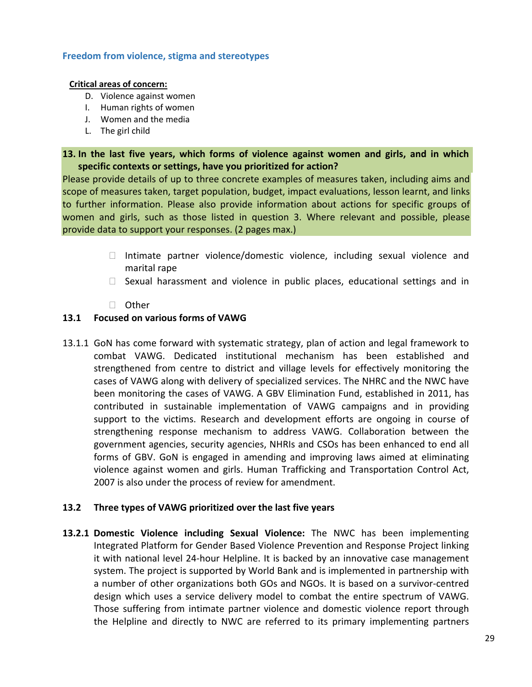#### **Freedom from violence, stigma and stereotypes**

#### **Critical areas of concern:**

- D. Violence against women
- I. Human rights of women
- J. Women and the media
- L. The girl child

# **13. In the last five years, which forms of violence against women and girls, and in which specific contexts or settings, have you prioritized for action?**

Please provide details of up to three concrete examples of measures taken, including aims and scope of measures taken, target population, budget, impact evaluations, lesson learnt, and links to further information. Please also provide information about actions for specific groups of women and girls, such as those listed in question 3. Where relevant and possible, please provide data to support your responses. (2 pages max.)

- Intimate partner violence/domestic violence, including sexual violence and marital rape
- $\Box$  Sexual harassment and violence in public places, educational settings and in
- □ Other

## **13.1 Focused on various forms of VAWG**

13.1.1 GoN has come forward with systematic strategy, plan of action and legal framework to combat VAWG. Dedicated institutional mechanism has been established and strengthened from centre to district and village levels for effectively monitoring the cases of VAWG along with delivery of specialized services. The NHRC and the NWC have been monitoring the cases of VAWG. A GBV Elimination Fund, established in 2011, has contributed in sustainable implementation of VAWG campaigns and in providing support to the victims. Research and development efforts are ongoing in course of strengthening response mechanism to address VAWG. Collaboration between the government agencies, security agencies, NHRIs and CSOs has been enhanced to end all forms of GBV. GoN is engaged in amending and improving laws aimed at eliminating violence against women and girls. Human Trafficking and Transportation Control Act, 2007 is also under the process of review for amendment.

# **13.2 Three types of VAWG prioritized over the last five years**

**13.2.1 Domestic Violence including Sexual Violence:** The NWC has been implementing Integrated Platform for Gender Based Violence Prevention and Response Project linking it with national level 24-hour Helpline. It is backed by an innovative case management system. The project is supported by World Bank and is implemented in partnership with a number of other organizations both GOs and NGOs. It is based on a survivor-centred design which uses a service delivery model to combat the entire spectrum of VAWG. Those suffering from intimate partner violence and domestic violence report through the Helpline and directly to NWC are referred to its primary implementing partners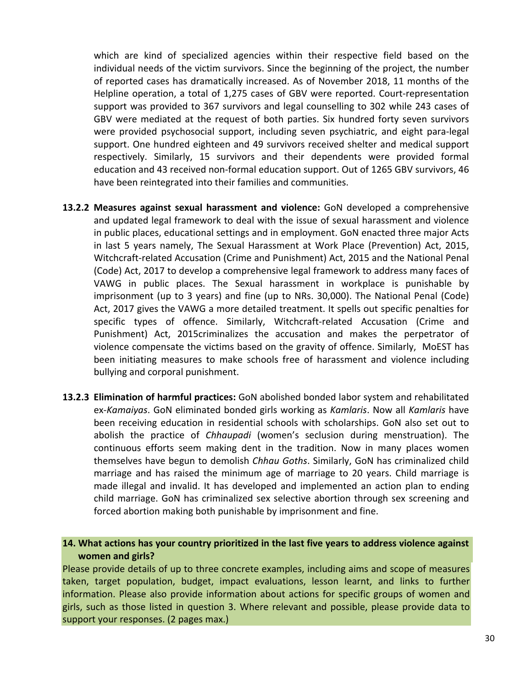which are kind of specialized agencies within their respective field based on the individual needs of the victim survivors. Since the beginning of the project, the number of reported cases has dramatically increased. As of November 2018, 11 months of the Helpline operation, a total of 1,275 cases of GBV were reported. Court-representation support was provided to 367 survivors and legal counselling to 302 while 243 cases of GBV were mediated at the request of both parties. Six hundred forty seven survivors were provided psychosocial support, including seven psychiatric, and eight para-legal support. One hundred eighteen and 49 survivors received shelter and medical support respectively. Similarly, 15 survivors and their dependents were provided formal education and 43 received non-formal education support. Out of 1265 GBV survivors, 46 have been reintegrated into their families and communities.

- **13.2.2 Measures against sexual harassment and violence:** GoN developed a comprehensive and updated legal framework to deal with the issue of sexual harassment and violence in public places, educational settings and in employment. GoN enacted three major Acts in last 5 years namely, The Sexual Harassment at Work Place (Prevention) Act, 2015, Witchcraft-related Accusation (Crime and Punishment) Act, 2015 and the National Penal (Code) Act, 2017 to develop a comprehensive legal framework to address many faces of VAWG in public places. The Sexual harassment in workplace is punishable by imprisonment (up to 3 years) and fine (up to NRs. 30,000). The National Penal (Code) Act, 2017 gives the VAWG a more detailed treatment. It spells out specific penalties for specific types of offence. Similarly, Witchcraft-related Accusation (Crime and Punishment) Act, 2015criminalizes the accusation and makes the perpetrator of violence compensate the victims based on the gravity of offence. Similarly, MoEST has been initiating measures to make schools free of harassment and violence including bullying and corporal punishment.
- **13.2.3 Elimination of harmful practices:** GoN abolished bonded labor system and rehabilitated ex-*Kamaiyas*. GoN eliminated bonded girls working as *Kamlaris*. Now all *Kamlaris* have been receiving education in residential schools with scholarships. GoN also set out to abolish the practice of *Chhaupadi* (women's seclusion during menstruation). The continuous efforts seem making dent in the tradition. Now in many places women themselves have begun to demolish *Chhau Goths*. Similarly, GoN has criminalized child marriage and has raised the minimum age of marriage to 20 years. Child marriage is made illegal and invalid. It has developed and implemented an action plan to ending child marriage. GoN has criminalized sex selective abortion through sex screening and forced abortion making both punishable by imprisonment and fine.

#### **14. What actions has your country prioritized in the last five years to address violence against women and girls?**

Please provide details of up to three concrete examples, including aims and scope of measures taken, target population, budget, impact evaluations, lesson learnt, and links to further information. Please also provide information about actions for specific groups of women and girls, such as those listed in question 3. Where relevant and possible, please provide data to support your responses. (2 pages max.)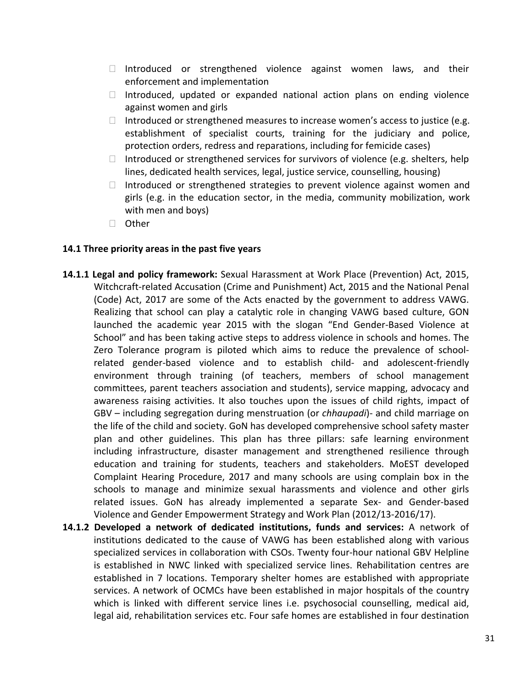- $\Box$  Introduced or strengthened violence against women laws, and their enforcement and implementation
- $\Box$  Introduced, updated or expanded national action plans on ending violence against women and girls
- Introduced or strengthened measures to increase women's access to justice (e.g. establishment of specialist courts, training for the judiciary and police, protection orders, redress and reparations, including for femicide cases)
- Introduced or strengthened services for survivors of violence (e.g. shelters, help lines, dedicated health services, legal, justice service, counselling, housing)
- $\Box$  Introduced or strengthened strategies to prevent violence against women and girls (e.g. in the education sector, in the media, community mobilization, work with men and boys)
- □ Other

## **14.1 Three priority areas in the past five years**

- **14.1.1 Legal and policy framework:** Sexual Harassment at Work Place (Prevention) Act, 2015, Witchcraft-related Accusation (Crime and Punishment) Act, 2015 and the National Penal (Code) Act, 2017 are some of the Acts enacted by the government to address VAWG. Realizing that school can play a catalytic role in changing VAWG based culture, GON launched the academic year 2015 with the slogan "End Gender-Based Violence at School" and has been taking active steps to address violence in schools and homes. The Zero Tolerance program is piloted which aims to reduce the prevalence of schoolrelated gender-based violence and to establish child- and adolescent-friendly environment through training (of teachers, members of school management committees, parent teachers association and students), service mapping, advocacy and awareness raising activities. It also touches upon the issues of child rights, impact of GBV – including segregation during menstruation (or *chhaupadi*)- and child marriage on the life of the child and society. GoN has developed comprehensive school safety master plan and other guidelines. This plan has three pillars: safe learning environment including infrastructure, disaster management and strengthened resilience through education and training for students, teachers and stakeholders. MoEST developed Complaint Hearing Procedure, 2017 and many schools are using complain box in the schools to manage and minimize sexual harassments and violence and other girls related issues. GoN has already implemented a separate Sex- and Gender-based Violence and Gender Empowerment Strategy and Work Plan (2012/13-2016/17).
- **14.1.2 Developed a network of dedicated institutions, funds and services:** A network of institutions dedicated to the cause of VAWG has been established along with various specialized services in collaboration with CSOs. Twenty four-hour national GBV Helpline is established in NWC linked with specialized service lines. Rehabilitation centres are established in 7 locations. Temporary shelter homes are established with appropriate services. A network of OCMCs have been established in major hospitals of the country which is linked with different service lines i.e. psychosocial counselling, medical aid, legal aid, rehabilitation services etc. Four safe homes are established in four destination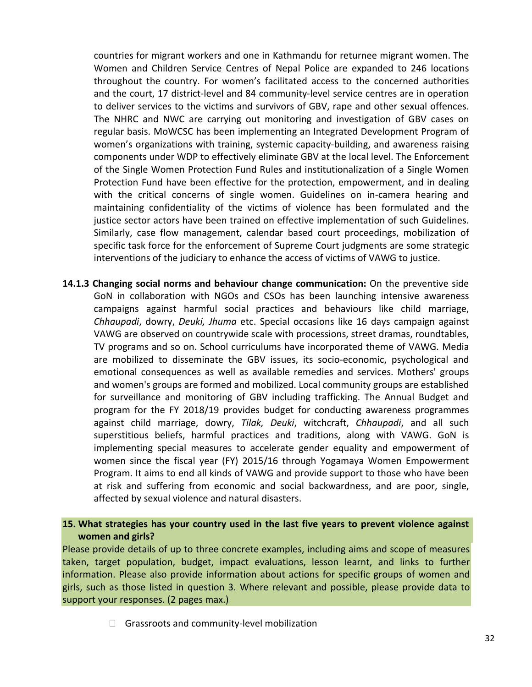countries for migrant workers and one in Kathmandu for returnee migrant women. The Women and Children Service Centres of Nepal Police are expanded to 246 locations throughout the country. For women's facilitated access to the concerned authorities and the court, 17 district-level and 84 community-level service centres are in operation to deliver services to the victims and survivors of GBV, rape and other sexual offences. The NHRC and NWC are carrying out monitoring and investigation of GBV cases on regular basis. MoWCSC has been implementing an Integrated Development Program of women's organizations with training, systemic capacity-building, and awareness raising components under WDP to effectively eliminate GBV at the local level. The Enforcement of the Single Women Protection Fund Rules and institutionalization of a Single Women Protection Fund have been effective for the protection, empowerment, and in dealing with the critical concerns of single women. Guidelines on in-camera hearing and maintaining confidentiality of the victims of violence has been formulated and the justice sector actors have been trained on effective implementation of such Guidelines. Similarly, case flow management, calendar based court proceedings, mobilization of specific task force for the enforcement of Supreme Court judgments are some strategic interventions of the judiciary to enhance the access of victims of VAWG to justice.

**14.1.3 Changing social norms and behaviour change communication:** On the preventive side GoN in collaboration with NGOs and CSOs has been launching intensive awareness campaigns against harmful social practices and behaviours like child marriage, *Chhaupadi*, dowry, *Deuki, Jhuma* etc. Special occasions like 16 days campaign against VAWG are observed on countrywide scale with processions, street dramas, roundtables, TV programs and so on. School curriculums have incorporated theme of VAWG. Media are mobilized to disseminate the GBV issues, its socio-economic, psychological and emotional consequences as well as available remedies and services. Mothers' groups and women's groups are formed and mobilized. Local community groups are established for surveillance and monitoring of GBV including trafficking. The Annual Budget and program for the FY 2018/19 provides budget for conducting awareness programmes against child marriage, dowry, *Tilak, Deuki*, witchcraft, *Chhaupadi*, and all such superstitious beliefs, harmful practices and traditions, along with VAWG. GoN is implementing special measures to accelerate gender equality and empowerment of women since the fiscal year (FY) 2015/16 through Yogamaya Women Empowerment Program. It aims to end all kinds of VAWG and provide support to those who have been at risk and suffering from economic and social backwardness, and are poor, single, affected by sexual violence and natural disasters.

## **15. What strategies has your country used in the last five years to prevent violence against women and girls?**

Please provide details of up to three concrete examples, including aims and scope of measures taken, target population, budget, impact evaluations, lesson learnt, and links to further information. Please also provide information about actions for specific groups of women and girls, such as those listed in question 3. Where relevant and possible, please provide data to support your responses. (2 pages max.)

 $\Box$  Grassroots and community-level mobilization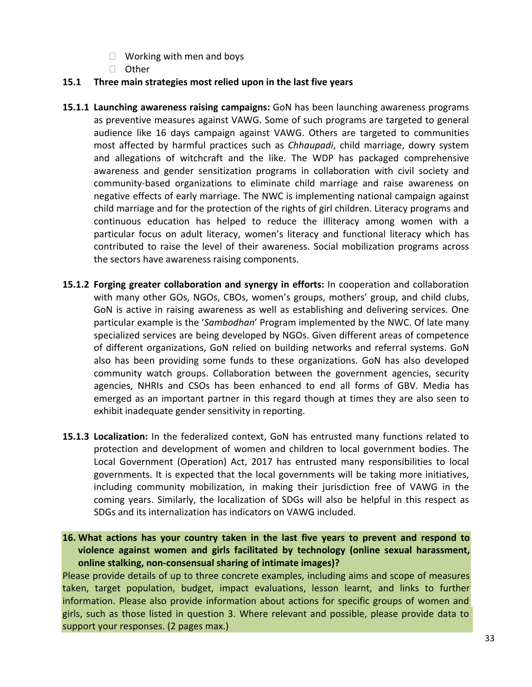- $\Box$  Working with men and boys
- □ Other

#### **15.1 Three main strategies most relied upon in the last five years**

- **15.1.1 Launching awareness raising campaigns:** GoN has been launching awareness programs as preventive measures against VAWG. Some of such programs are targeted to general audience like 16 days campaign against VAWG. Others are targeted to communities most affected by harmful practices such as *Chhaupadi*, child marriage, dowry system and allegations of witchcraft and the like. The WDP has packaged comprehensive awareness and gender sensitization programs in collaboration with civil society and community-based organizations to eliminate child marriage and raise awareness on negative effects of early marriage. The NWC is implementing national campaign against child marriage and for the protection of the rights of girl children. Literacy programs and continuous education has helped to reduce the illiteracy among women with a particular focus on adult literacy, women's literacy and functional literacy which has contributed to raise the level of their awareness. Social mobilization programs across the sectors have awareness raising components.
- **15.1.2 Forging greater collaboration and synergy in efforts:** In cooperation and collaboration with many other GOs, NGOs, CBOs, women's groups, mothers' group, and child clubs, GoN is active in raising awareness as well as establishing and delivering services. One particular example is the '*Sambodhan*' Program implemented by the NWC. Of late many specialized services are being developed by NGOs. Given different areas of competence of different organizations, GoN relied on building networks and referral systems. GoN also has been providing some funds to these organizations. GoN has also developed community watch groups. Collaboration between the government agencies, security agencies, NHRIs and CSOs has been enhanced to end all forms of GBV. Media has emerged as an important partner in this regard though at times they are also seen to exhibit inadequate gender sensitivity in reporting.
- **15.1.3 Localization:** In the federalized context, GoN has entrusted many functions related to protection and development of women and children to local government bodies. The Local Government (Operation) Act, 2017 has entrusted many responsibilities to local governments. It is expected that the local governments will be taking more initiatives, including community mobilization, in making their jurisdiction free of VAWG in the coming years. Similarly, the localization of SDGs will also be helpful in this respect as SDGs and its internalization has indicators on VAWG included.

**16. What actions has your country taken in the last five years to prevent and respond to violence against women and girls facilitated by technology (online sexual harassment, online stalking, non-consensual sharing of intimate images)?**

Please provide details of up to three concrete examples, including aims and scope of measures taken, target population, budget, impact evaluations, lesson learnt, and links to further information. Please also provide information about actions for specific groups of women and girls, such as those listed in question 3. Where relevant and possible, please provide data to support your responses. (2 pages max.)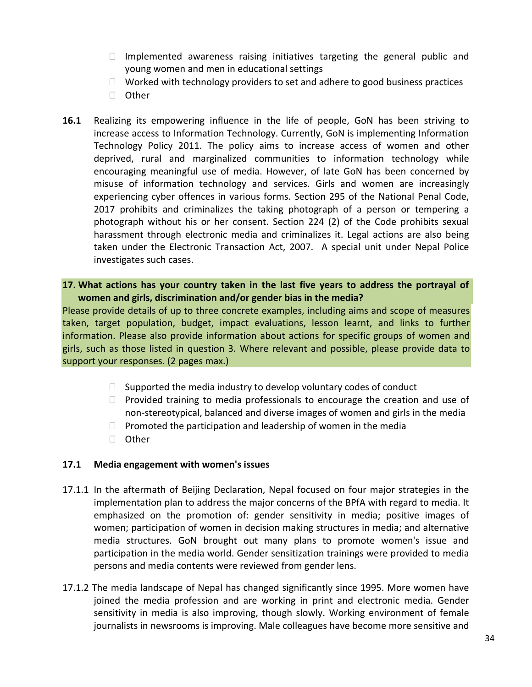- $\Box$  Implemented awareness raising initiatives targeting the general public and young women and men in educational settings
- $\Box$  Worked with technology providers to set and adhere to good business practices
- □ Other
- **16.1** Realizing its empowering influence in the life of people, GoN has been striving to increase access to Information Technology. Currently, GoN is implementing Information Technology Policy 2011. The policy aims to increase access of women and other deprived, rural and marginalized communities to information technology while encouraging meaningful use of media. However, of late GoN has been concerned by misuse of information technology and services. Girls and women are increasingly experiencing cyber offences in various forms. Section 295 of the National Penal Code, 2017 prohibits and criminalizes the taking photograph of a person or tempering a photograph without his or her consent. Section 224 (2) of the Code prohibits sexual harassment through electronic media and criminalizes it. Legal actions are also being taken under the Electronic Transaction Act, 2007. A special unit under Nepal Police investigates such cases.
- **17. What actions has your country taken in the last five years to address the portrayal of women and girls, discrimination and/or gender bias in the media?**

Please provide details of up to three concrete examples, including aims and scope of measures taken, target population, budget, impact evaluations, lesson learnt, and links to further information. Please also provide information about actions for specific groups of women and girls, such as those listed in question 3. Where relevant and possible, please provide data to support your responses. (2 pages max.)

- $\Box$  Supported the media industry to develop voluntary codes of conduct
- $\Box$  Provided training to media professionals to encourage the creation and use of non-stereotypical, balanced and diverse images of women and girls in the media
- $\Box$  Promoted the participation and leadership of women in the media
- □ Other

#### **17.1 Media engagement with women's issues**

- 17.1.1 In the aftermath of Beijing Declaration, Nepal focused on four major strategies in the implementation plan to address the major concerns of the BPfA with regard to media. It emphasized on the promotion of: gender sensitivity in media; positive images of women; participation of women in decision making structures in media; and alternative media structures. GoN brought out many plans to promote women's issue and participation in the media world. Gender sensitization trainings were provided to media persons and media contents were reviewed from gender lens.
- 17.1.2 The media landscape of Nepal has changed significantly since 1995. More women have joined the media profession and are working in print and electronic media. Gender sensitivity in media is also improving, though slowly. Working environment of female journalists in newsrooms is improving. Male colleagues have become more sensitive and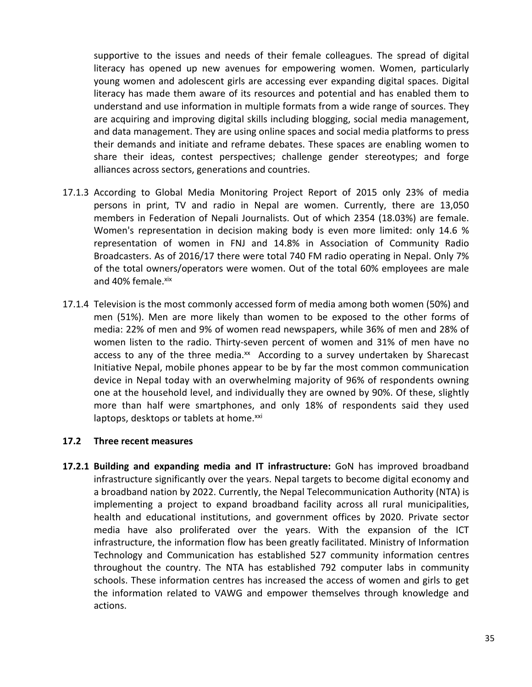supportive to the issues and needs of their female colleagues. The spread of digital literacy has opened up new avenues for empowering women. Women, particularly young women and adolescent girls are accessing ever expanding digital spaces. Digital literacy has made them aware of its resources and potential and has enabled them to understand and use information in multiple formats from a wide range of sources. They are acquiring and improving digital skills including blogging, social media management, and data management. They are using online spaces and social media platforms to press their demands and initiate and reframe debates. These spaces are enabling women to share their ideas, contest perspectives; challenge gender stereotypes; and forge alliances across sectors, generations and countries.

- 17.1.3 According to Global Media Monitoring Project Report of 2015 only 23% of media persons in print, TV and radio in Nepal are women. Currently, there are 13,050 members in Federation of Nepali Journalists. Out of which 2354 (18.03%) are female. Women's representation in decision making body is even more limited: only 14.6 % representation of women in FNJ and 14.8% in Association of Community Radio Broadcasters. As of 2016/17 there were total 740 FM radio operating in Nepal. Only 7% of the total owners/operators were women. Out of the total 60% employees are male and 40% female.xix
- 17.1.4 Television is the most commonly accessed form of media among both women (50%) and men (51%). Men are more likely than women to be exposed to the other forms of media: 22% of men and 9% of women read newspapers, while 36% of men and 28% of women listen to the radio. Thirty-seven percent of women and 31% of men have no access to any of the three media. $x^2$  According to a survey undertaken by Sharecast Initiative Nepal, mobile phones appear to be by far the most common communication device in Nepal today with an overwhelming majority of 96% of respondents owning one at the household level, and individually they are owned by 90%. Of these, slightly more than half were smartphones, and only 18% of respondents said they used laptops, desktops or tablets at home.<sup>xxi</sup>

#### **17.2 Three recent measures**

**17.2.1 Building and expanding media and IT infrastructure:** GoN has improved broadband infrastructure significantly over the years. Nepal targets to become digital economy and a broadband nation by 2022. Currently, the Nepal Telecommunication Authority (NTA) is implementing a project to expand broadband facility across all rural municipalities, health and educational institutions, and government offices by 2020. Private sector media have also proliferated over the years. With the expansion of the ICT infrastructure, the information flow has been greatly facilitated. Ministry of Information Technology and Communication has established 527 community information centres throughout the country. The NTA has established 792 computer labs in community schools. These information centres has increased the access of women and girls to get the information related to VAWG and empower themselves through knowledge and actions.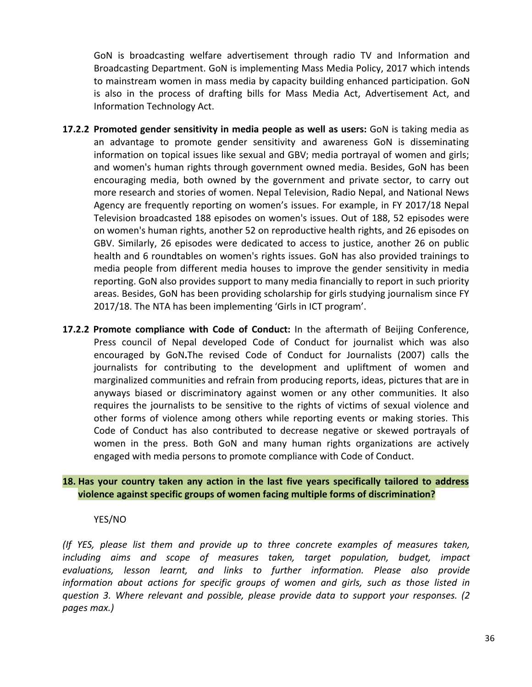GoN is broadcasting welfare advertisement through radio TV and Information and Broadcasting Department. GoN is implementing Mass Media Policy, 2017 which intends to mainstream women in mass media by capacity building enhanced participation. GoN is also in the process of drafting bills for Mass Media Act, Advertisement Act, and Information Technology Act.

- **17.2.2 Promoted gender sensitivity in media people as well as users:** GoN is taking media as an advantage to promote gender sensitivity and awareness GoN is disseminating information on topical issues like sexual and GBV; media portrayal of women and girls; and women's human rights through government owned media. Besides, GoN has been encouraging media, both owned by the government and private sector, to carry out more research and stories of women. Nepal Television, Radio Nepal, and National News Agency are frequently reporting on women's issues. For example, in FY 2017/18 Nepal Television broadcasted 188 episodes on women's issues. Out of 188, 52 episodes were on women's human rights, another 52 on reproductive health rights, and 26 episodes on GBV. Similarly, 26 episodes were dedicated to access to justice, another 26 on public health and 6 roundtables on women's rights issues. GoN has also provided trainings to media people from different media houses to improve the gender sensitivity in media reporting. GoN also provides support to many media financially to report in such priority areas. Besides, GoN has been providing scholarship for girls studying journalism since FY 2017/18. The NTA has been implementing 'Girls in ICT program'.
- **17.2.2 Promote compliance with Code of Conduct:** In the aftermath of Beijing Conference, Press council of Nepal developed Code of Conduct for journalist which was also encouraged by GoN**.**The revised Code of Conduct for Journalists (2007) calls the journalists for contributing to the development and upliftment of women and marginalized communities and refrain from producing reports, ideas, pictures that are in anyways biased or discriminatory against women or any other communities. It also requires the journalists to be sensitive to the rights of victims of sexual violence and other forms of violence among others while reporting events or making stories. This Code of Conduct has also contributed to decrease negative or skewed portrayals of women in the press. Both GoN and many human rights organizations are actively engaged with media persons to promote compliance with Code of Conduct.

# **18. Has your country taken any action in the last five years specifically tailored to address violence against specific groups of women facing multiple forms of discrimination?**

#### YES/NO

*(If YES, please list them and provide up to three concrete examples of measures taken, including aims and scope of measures taken, target population, budget, impact evaluations, lesson learnt, and links to further information. Please also provide information about actions for specific groups of women and girls, such as those listed in question 3. Where relevant and possible, please provide data to support your responses. (2 pages max.)*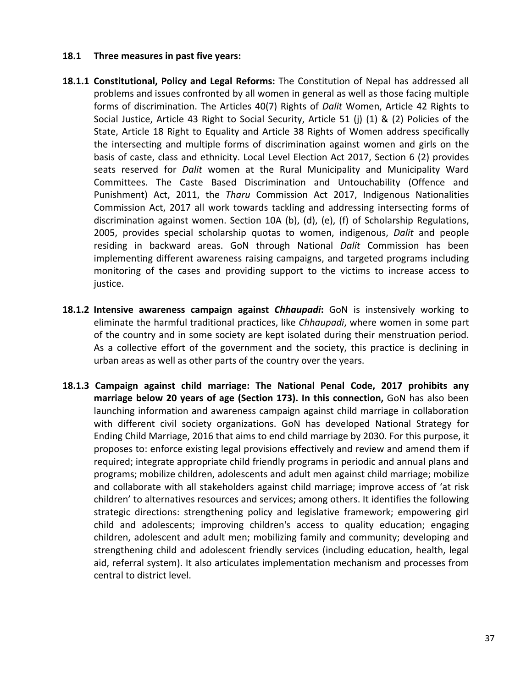#### **18.1 Three measures in past five years:**

- **18.1.1 Constitutional, Policy and Legal Reforms:** The Constitution of Nepal has addressed all problems and issues confronted by all women in general as well as those facing multiple forms of discrimination. The Articles 40(7) Rights of *Dalit* Women, Article 42 Rights to Social Justice, Article 43 Right to Social Security, Article 51 (j) (1) & (2) Policies of the State, Article 18 Right to Equality and Article 38 Rights of Women address specifically the intersecting and multiple forms of discrimination against women and girls on the basis of caste, class and ethnicity. Local Level Election Act 2017, Section 6 (2) provides seats reserved for *Dalit* women at the Rural Municipality and Municipality Ward Committees. The Caste Based Discrimination and Untouchability (Offence and Punishment) Act, 2011, the *Tharu* Commission Act 2017, Indigenous Nationalities Commission Act, 2017 all work towards tackling and addressing intersecting forms of discrimination against women. Section 10A (b), (d), (e), (f) of Scholarship Regulations, 2005, provides special scholarship quotas to women, indigenous, *Dalit* and people residing in backward areas. GoN through National *Dalit* Commission has been implementing different awareness raising campaigns, and targeted programs including monitoring of the cases and providing support to the victims to increase access to justice.
- **18.1.2 Intensive awareness campaign against** *Chhaupadi***:** GoN is instensively working to eliminate the harmful traditional practices, like *Chhaupadi*, where women in some part of the country and in some society are kept isolated during their menstruation period. As a collective effort of the government and the society, this practice is declining in urban areas as well as other parts of the country over the years.
- **18.1.3 Campaign against child marriage: The National Penal Code, 2017 prohibits any marriage below 20 years of age (Section 173). In this connection,** GoN has also been launching information and awareness campaign against child marriage in collaboration with different civil society organizations. GoN has developed National Strategy for Ending Child Marriage, 2016 that aims to end child marriage by 2030. For this purpose, it proposes to: enforce existing legal provisions effectively and review and amend them if required; integrate appropriate child friendly programs in periodic and annual plans and programs; mobilize children, adolescents and adult men against child marriage; mobilize and collaborate with all stakeholders against child marriage; improve access of 'at risk children' to alternatives resources and services; among others. It identifies the following strategic directions: strengthening policy and legislative framework; empowering girl child and adolescents; improving children's access to quality education; engaging children, adolescent and adult men; mobilizing family and community; developing and strengthening child and adolescent friendly services (including education, health, legal aid, referral system). It also articulates implementation mechanism and processes from central to district level.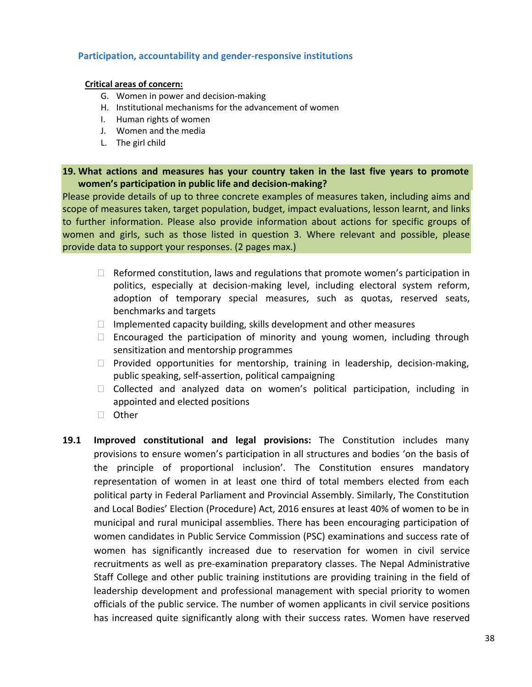### **Participation, accountability and gender-responsive institutions**

#### **Critical areas of concern:**

- G. Women in power and decision-making
- H. Institutional mechanisms for the advancement of women
- I. Human rights of women
- J. Women and the media
- L. The girl child

## **19. What actions and measures has your country taken in the last five years to promote women's participation in public life and decision-making?**

Please provide details of up to three concrete examples of measures taken, including aims and scope of measures taken, target population, budget, impact evaluations, lesson learnt, and links to further information. Please also provide information about actions for specific groups of women and girls, such as those listed in question 3. Where relevant and possible, please provide data to support your responses. (2 pages max.)

- $\Box$  Reformed constitution, laws and regulations that promote women's participation in politics, especially at decision-making level, including electoral system reform, adoption of temporary special measures, such as quotas, reserved seats, benchmarks and targets
- $\Box$  Implemented capacity building, skills development and other measures
- $\Box$  Encouraged the participation of minority and young women, including through sensitization and mentorship programmes
- $\Box$  Provided opportunities for mentorship, training in leadership, decision-making, public speaking, self-assertion, political campaigning
- $\Box$  Collected and analyzed data on women's political participation, including in appointed and elected positions
- □ Other
- **19.1 Improved constitutional and legal provisions:** The Constitution includes many provisions to ensure women's participation in all structures and bodies 'on the basis of the principle of proportional inclusion'. The Constitution ensures mandatory representation of women in at least one third of total members elected from each political party in Federal Parliament and Provincial Assembly. Similarly, The Constitution and Local Bodies' Election (Procedure) Act, 2016 ensures at least 40% of women to be in municipal and rural municipal assemblies. There has been encouraging participation of women candidates in Public Service Commission (PSC) examinations and success rate of women has significantly increased due to reservation for women in civil service recruitments as well as pre-examination preparatory classes. The Nepal Administrative Staff College and other public training institutions are providing training in the field of leadership development and professional management with special priority to women officials of the public service. The number of women applicants in civil service positions has increased quite significantly along with their success rates. Women have reserved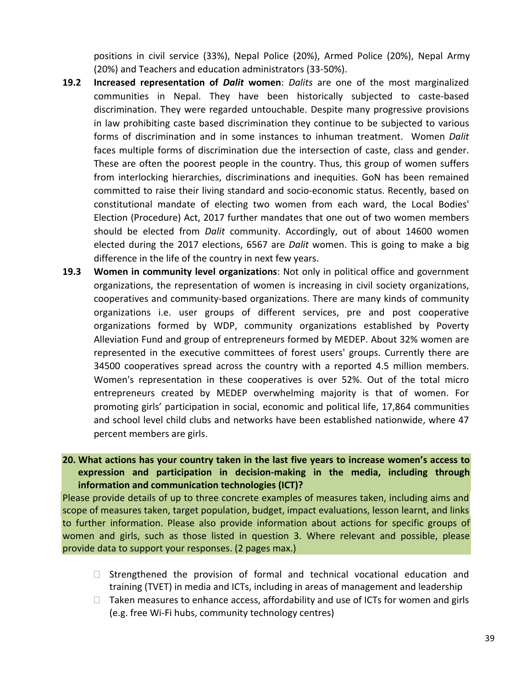positions in civil service (33%), Nepal Police (20%), Armed Police (20%), Nepal Army (20%) and Teachers and education administrators (33-50%).

- **19.2 Increased representation of** *Dalit* **women**: *Dalits* are one of the most marginalized communities in Nepal. They have been historically subjected to caste-based discrimination. They were regarded untouchable. Despite many progressive provisions in law prohibiting caste based discrimination they continue to be subjected to various forms of discrimination and in some instances to inhuman treatment. Women *Dalit* faces multiple forms of discrimination due the intersection of caste, class and gender. These are often the poorest people in the country. Thus, this group of women suffers from interlocking hierarchies, discriminations and inequities. GoN has been remained committed to raise their living standard and socio-economic status. Recently, based on constitutional mandate of electing two women from each ward, the Local Bodies' Election (Procedure) Act, 2017 further mandates that one out of two women members should be elected from *Dalit* community. Accordingly, out of about 14600 women elected during the 2017 elections, 6567 are *Dalit* women. This is going to make a big difference in the life of the country in next few years.
- **19.3 Women in community level organizations**: Not only in political office and government organizations, the representation of women is increasing in civil society organizations, cooperatives and community-based organizations. There are many kinds of community organizations i.e. user groups of different services, pre and post cooperative organizations formed by WDP, community organizations established by Poverty Alleviation Fund and group of entrepreneurs formed by MEDEP. About 32% women are represented in the executive committees of forest users' groups. Currently there are 34500 cooperatives spread across the country with a reported 4.5 million members. Women's representation in these cooperatives is over 52%. Out of the total micro entrepreneurs created by MEDEP overwhelming majority is that of women. For promoting girls' participation in social, economic and political life, 17,864 communities and school level child clubs and networks have been established nationwide, where 47 percent members are girls.

**20. What actions has your country taken in the last five years to increase women's access to expression and participation in decision-making in the media, including through information and communication technologies (ICT)?**

Please provide details of up to three concrete examples of measures taken, including aims and scope of measures taken, target population, budget, impact evaluations, lesson learnt, and links to further information. Please also provide information about actions for specific groups of women and girls, such as those listed in question 3. Where relevant and possible, please provide data to support your responses. (2 pages max.)

- $\Box$  Strengthened the provision of formal and technical vocational education and training (TVET) in media and ICTs, including in areas of management and leadership
- $\Box$  Taken measures to enhance access, affordability and use of ICTs for women and girls (e.g. free Wi-Fi hubs, community technology centres)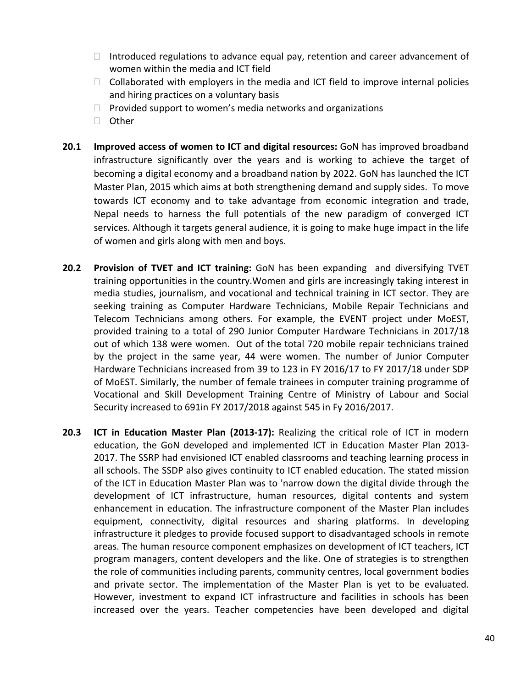- $\Box$  Introduced regulations to advance equal pay, retention and career advancement of women within the media and ICT field
- $\Box$  Collaborated with employers in the media and ICT field to improve internal policies and hiring practices on a voluntary basis
- $\Box$  Provided support to women's media networks and organizations
- □ Other
- **20.1 Improved access of women to ICT and digital resources:** GoN has improved broadband infrastructure significantly over the years and is working to achieve the target of becoming a digital economy and a broadband nation by 2022. GoN has launched the ICT Master Plan, 2015 which aims at both strengthening demand and supply sides. To move towards ICT economy and to take advantage from economic integration and trade, Nepal needs to harness the full potentials of the new paradigm of converged ICT services. Although it targets general audience, it is going to make huge impact in the life of women and girls along with men and boys.
- **20.2 Provision of TVET and ICT training:** GoN has been expanding and diversifying TVET training opportunities in the country.Women and girls are increasingly taking interest in media studies, journalism, and vocational and technical training in ICT sector. They are seeking training as Computer Hardware Technicians, Mobile Repair Technicians and Telecom Technicians among others. For example, the EVENT project under MoEST, provided training to a total of 290 Junior Computer Hardware Technicians in 2017/18 out of which 138 were women. Out of the total 720 mobile repair technicians trained by the project in the same year, 44 were women. The number of Junior Computer Hardware Technicians increased from 39 to 123 in FY 2016/17 to FY 2017/18 under SDP of MoEST. Similarly, the number of female trainees in computer training programme of Vocational and Skill Development Training Centre of Ministry of Labour and Social Security increased to 691in FY 2017/2018 against 545 in Fy 2016/2017.
- **20.3 ICT in Education Master Plan (2013-17):** Realizing the critical role of ICT in modern education, the GoN developed and implemented ICT in Education Master Plan 2013- 2017. The SSRP had envisioned ICT enabled classrooms and teaching learning process in all schools. The SSDP also gives continuity to ICT enabled education. The stated mission of the ICT in Education Master Plan was to 'narrow down the digital divide through the development of ICT infrastructure, human resources, digital contents and system enhancement in education. The infrastructure component of the Master Plan includes equipment, connectivity, digital resources and sharing platforms. In developing infrastructure it pledges to provide focused support to disadvantaged schools in remote areas. The human resource component emphasizes on development of ICT teachers, ICT program managers, content developers and the like. One of strategies is to strengthen the role of communities including parents, community centres, local government bodies and private sector. The implementation of the Master Plan is yet to be evaluated. However, investment to expand ICT infrastructure and facilities in schools has been increased over the years. Teacher competencies have been developed and digital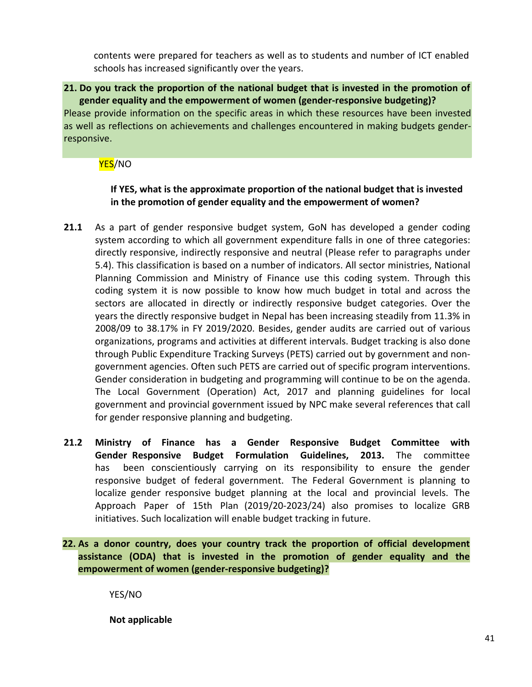contents were prepared for teachers as well as to students and number of ICT enabled schools has increased significantly over the years.

# **21. Do you track the proportion of the national budget that is invested in the promotion of gender equality and the empowerment of women (gender-responsive budgeting)?**

Please provide information on the specific areas in which these resources have been invested as well as reflections on achievements and challenges encountered in making budgets genderresponsive.

<mark>YES</mark>/NO

# **If YES, what is the approximate proportion of the national budget that is invested in the promotion of gender equality and the empowerment of women?**

- **21.1** As a part of gender responsive budget system, GoN has developed a gender coding system according to which all government expenditure falls in one of three categories: directly responsive, indirectly responsive and neutral (Please refer to paragraphs under 5.4). This classification is based on a number of indicators. All sector ministries, National Planning Commission and Ministry of Finance use this coding system. Through this coding system it is now possible to know how much budget in total and across the sectors are allocated in directly or indirectly responsive budget categories. Over the years the directly responsive budget in Nepal has been increasing steadily from 11.3% in 2008/09 to 38.17% in FY 2019/2020. Besides, gender audits are carried out of various organizations, programs and activities at different intervals. Budget tracking is also done through Public Expenditure Tracking Surveys (PETS) carried out by government and nongovernment agencies. Often such PETS are carried out of specific program interventions. Gender consideration in budgeting and programming will continue to be on the agenda. The Local Government (Operation) Act, 2017 and planning guidelines for local government and provincial government issued by NPC make several references that call for gender responsive planning and budgeting.
- **21.2 Ministry of Finance has a Gender Responsive Budget Committee with Gender Responsive Budget Formulation Guidelines, 2013.** The committee has been conscientiously carrying on its responsibility to ensure the gender responsive budget of federal government. The Federal Government is planning to localize gender responsive budget planning at the local and provincial levels. The Approach Paper of 15th Plan (2019/20-2023/24) also promises to localize GRB initiatives. Such localization will enable budget tracking in future.

# **22. As a donor country, does your country track the proportion of official development assistance (ODA) that is invested in the promotion of gender equality and the empowerment of women (gender-responsive budgeting)?**

YES/NO

**Not applicable**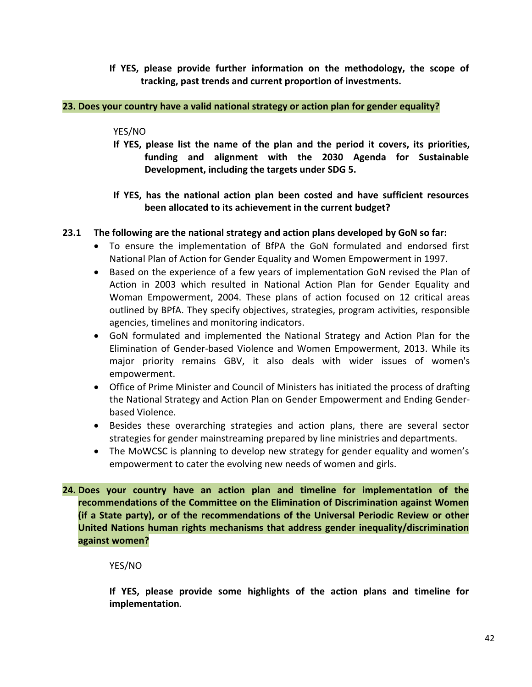**If YES, please provide further information on the methodology, the scope of tracking, past trends and current proportion of investments.**

## **23. Does your country have a valid national strategy or action plan for gender equality?**

## YES/NO

- **If YES, please list the name of the plan and the period it covers, its priorities, funding and alignment with the 2030 Agenda for Sustainable Development, including the targets under SDG 5.**
- **If YES, has the national action plan been costed and have sufficient resources been allocated to its achievement in the current budget?**

## **23.1 The following are the national strategy and action plans developed by GoN so far:**

- To ensure the implementation of BfPA the GoN formulated and endorsed first National Plan of Action for Gender Equality and Women Empowerment in 1997.
- Based on the experience of a few years of implementation GoN revised the Plan of Action in 2003 which resulted in National Action Plan for Gender Equality and Woman Empowerment, 2004. These plans of action focused on 12 critical areas outlined by BPfA. They specify objectives, strategies, program activities, responsible agencies, timelines and monitoring indicators.
- GoN formulated and implemented the National Strategy and Action Plan for the Elimination of Gender-based Violence and Women Empowerment, 2013. While its major priority remains GBV, it also deals with wider issues of women's empowerment.
- Office of Prime Minister and Council of Ministers has initiated the process of drafting the National Strategy and Action Plan on Gender Empowerment and Ending Genderbased Violence.
- Besides these overarching strategies and action plans, there are several sector strategies for gender mainstreaming prepared by line ministries and departments.
- The MoWCSC is planning to develop new strategy for gender equality and women's empowerment to cater the evolving new needs of women and girls.
- **24. Does your country have an action plan and timeline for implementation of the recommendations of the Committee on the Elimination of Discrimination against Women (if a State party), or of the recommendations of the Universal Periodic Review or other United Nations human rights mechanisms that address gender inequality/discrimination against women?**

## YES/NO

**If YES, please provide some highlights of the action plans and timeline for implementation***.*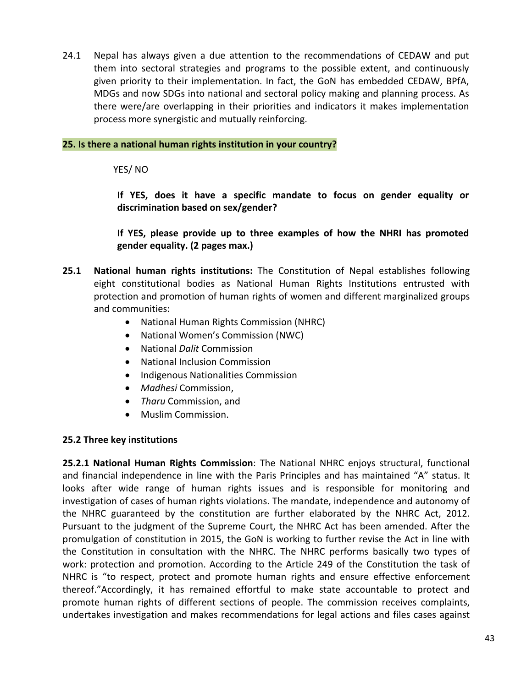24.1 Nepal has always given a due attention to the recommendations of CEDAW and put them into sectoral strategies and programs to the possible extent, and continuously given priority to their implementation. In fact, the GoN has embedded CEDAW, BPfA, MDGs and now SDGs into national and sectoral policy making and planning process. As there were/are overlapping in their priorities and indicators it makes implementation process more synergistic and mutually reinforcing.

## **25. Is there a national human rights institution in your country?**

YES/ NO

**If YES, does it have a specific mandate to focus on gender equality or discrimination based on sex/gender?**

**If YES, please provide up to three examples of how the NHRI has promoted gender equality. (2 pages max.)**

- **25.1 National human rights institutions:** The Constitution of Nepal establishes following eight constitutional bodies as National Human Rights Institutions entrusted with protection and promotion of human rights of women and different marginalized groups and communities:
	- National Human Rights Commission (NHRC)
	- National Women's Commission (NWC)
	- National *Dalit* Commission
	- National Inclusion Commission
	- Indigenous Nationalities Commission
	- *Madhesi* Commission,
	- *Tharu* Commission, and
	- Muslim Commission.

# **25.2 Three key institutions**

**25.2.1 National Human Rights Commission**: The National NHRC enjoys structural, functional and financial independence in line with the Paris Principles and has maintained "A" status. It looks after wide range of human rights issues and is responsible for monitoring and investigation of cases of human rights violations. The mandate, independence and autonomy of the NHRC guaranteed by the constitution are further elaborated by the NHRC Act, 2012. Pursuant to the judgment of the Supreme Court, the NHRC Act has been amended. After the promulgation of constitution in 2015, the GoN is working to further revise the Act in line with the Constitution in consultation with the NHRC. The NHRC performs basically two types of work: protection and promotion. According to the Article 249 of the Constitution the task of NHRC is "to respect, protect and promote human rights and ensure effective enforcement thereof."Accordingly, it has remained effortful to make state accountable to protect and promote human rights of different sections of people. The commission receives complaints, undertakes investigation and makes recommendations for legal actions and files cases against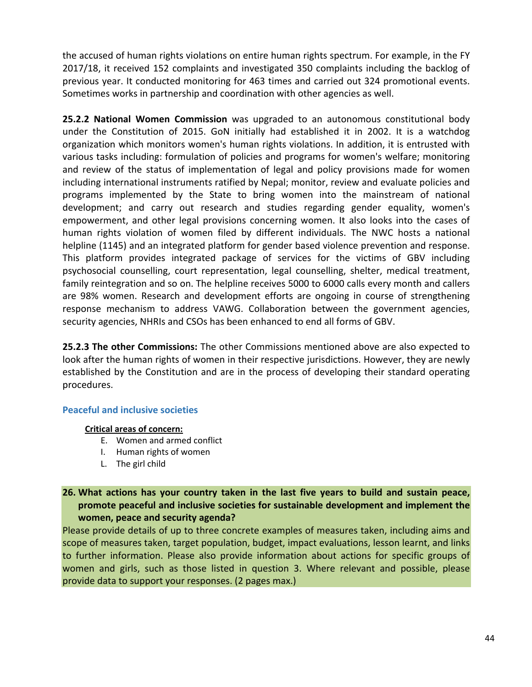the accused of human rights violations on entire human rights spectrum. For example, in the FY 2017/18, it received 152 complaints and investigated 350 complaints including the backlog of previous year. It conducted monitoring for 463 times and carried out 324 promotional events. Sometimes works in partnership and coordination with other agencies as well.

**25.2.2 National Women Commission** was upgraded to an autonomous constitutional body under the Constitution of 2015. GoN initially had established it in 2002. It is a watchdog organization which monitors women's human rights violations. In addition, it is entrusted with various tasks including: formulation of policies and programs for women's welfare; monitoring and review of the status of implementation of legal and policy provisions made for women including international instruments ratified by Nepal; monitor, review and evaluate policies and programs implemented by the State to bring women into the mainstream of national development; and carry out research and studies regarding gender equality, women's empowerment, and other legal provisions concerning women. It also looks into the cases of human rights violation of women filed by different individuals. The NWC hosts a national helpline (1145) and an integrated platform for gender based violence prevention and response. This platform provides integrated package of services for the victims of GBV including psychosocial counselling, court representation, legal counselling, shelter, medical treatment, family reintegration and so on. The helpline receives 5000 to 6000 calls every month and callers are 98% women. Research and development efforts are ongoing in course of strengthening response mechanism to address VAWG. Collaboration between the government agencies, security agencies, NHRIs and CSOs has been enhanced to end all forms of GBV.

**25.2.3 The other Commissions:** The other Commissions mentioned above are also expected to look after the human rights of women in their respective jurisdictions. However, they are newly established by the Constitution and are in the process of developing their standard operating procedures.

# **Peaceful and inclusive societies**

## **Critical areas of concern:**

- E. Women and armed conflict
- I. Human rights of women
- L. The girl child

## **26. What actions has your country taken in the last five years to build and sustain peace, promote peaceful and inclusive societies for sustainable development and implement the women, peace and security agenda?**

Please provide details of up to three concrete examples of measures taken, including aims and scope of measures taken, target population, budget, impact evaluations, lesson learnt, and links to further information. Please also provide information about actions for specific groups of women and girls, such as those listed in question 3. Where relevant and possible, please provide data to support your responses. (2 pages max.)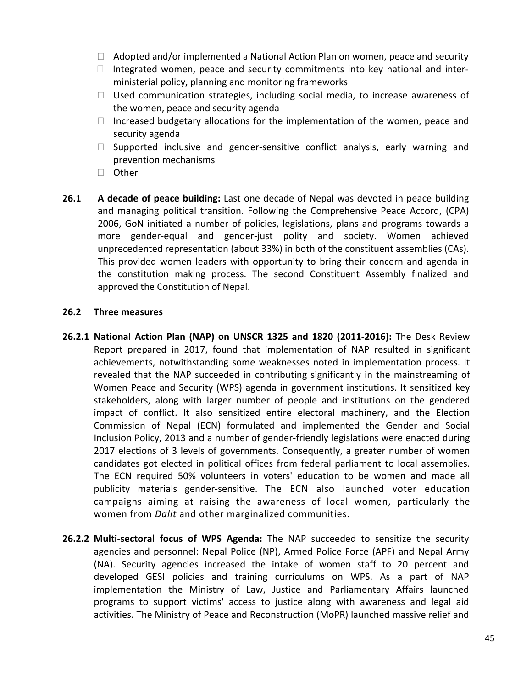- $\Box$  Adopted and/or implemented a National Action Plan on women, peace and security
- Integrated women, peace and security commitments into key national and interministerial policy, planning and monitoring frameworks
- $\Box$  Used communication strategies, including social media, to increase awareness of the women, peace and security agenda
- $\Box$  Increased budgetary allocations for the implementation of the women, peace and security agenda
- $\Box$  Supported inclusive and gender-sensitive conflict analysis, early warning and prevention mechanisms
- □ Other
- **26.1 A decade of peace building:** Last one decade of Nepal was devoted in peace building and managing political transition. Following the Comprehensive Peace Accord, (CPA) 2006, GoN initiated a number of policies, legislations, plans and programs towards a more gender-equal and gender-just polity and society. Women achieved unprecedented representation (about 33%) in both of the constituent assemblies (CAs). This provided women leaders with opportunity to bring their concern and agenda in the constitution making process. The second Constituent Assembly finalized and approved the Constitution of Nepal.

### **26.2 Three measures**

- **26.2.1 National Action Plan (NAP) on UNSCR 1325 and 1820 (2011-2016):** The Desk Review Report prepared in 2017, found that implementation of NAP resulted in significant achievements, notwithstanding some weaknesses noted in implementation process. It revealed that the NAP succeeded in contributing significantly in the mainstreaming of Women Peace and Security (WPS) agenda in government institutions. It sensitized key stakeholders, along with larger number of people and institutions on the gendered impact of conflict. It also sensitized entire electoral machinery, and the Election Commission of Nepal (ECN) formulated and implemented the Gender and Social Inclusion Policy, 2013 and a number of gender-friendly legislations were enacted during 2017 elections of 3 levels of governments. Consequently, a greater number of women candidates got elected in political offices from federal parliament to local assemblies. The ECN required 50% volunteers in voters' education to be women and made all publicity materials gender-sensitive. The ECN also launched voter education campaigns aiming at raising the awareness of local women, particularly the women from *Dalit* and other marginalized communities.
- **26.2.2 Multi-sectoral focus of WPS Agenda:** The NAP succeeded to sensitize the security agencies and personnel: Nepal Police (NP), Armed Police Force (APF) and Nepal Army (NA). Security agencies increased the intake of women staff to 20 percent and developed GESI policies and training curriculums on WPS. As a part of NAP implementation the Ministry of Law, Justice and Parliamentary Affairs launched programs to support victims' access to justice along with awareness and legal aid activities. The Ministry of Peace and Reconstruction (MoPR) launched massive relief and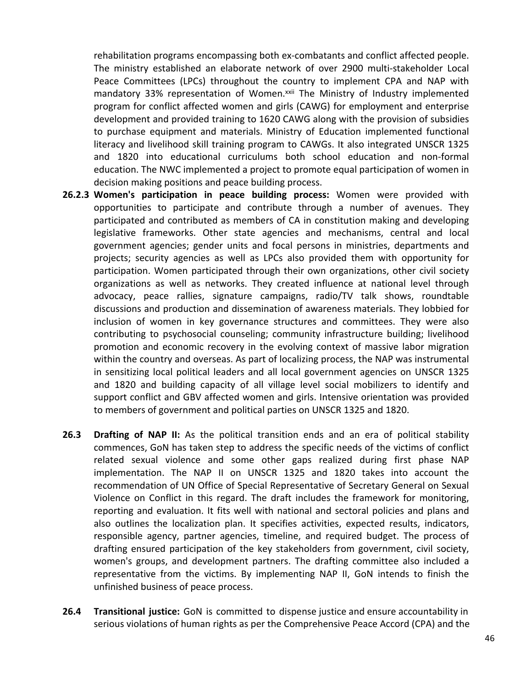rehabilitation programs encompassing both ex-combatants and conflict affected people. The ministry established an elaborate network of over 2900 multi-stakeholder Local Peace Committees (LPCs) throughout the country to implement CPA and NAP with mandatory 33% representation of Women.<sup>xxii</sup> The Ministry of Industry implemented program for conflict affected women and girls (CAWG) for employment and enterprise development and provided training to 1620 CAWG along with the provision of subsidies to purchase equipment and materials. Ministry of Education implemented functional literacy and livelihood skill training program to CAWGs. It also integrated UNSCR 1325 and 1820 into educational curriculums both school education and non-formal education. The NWC implemented a project to promote equal participation of women in decision making positions and peace building process.

- **26.2.3 Women's participation in peace building process:** Women were provided with opportunities to participate and contribute through a number of avenues. They participated and contributed as members of CA in constitution making and developing legislative frameworks. Other state agencies and mechanisms, central and local government agencies; gender units and focal persons in ministries, departments and projects; security agencies as well as LPCs also provided them with opportunity for participation. Women participated through their own organizations, other civil society organizations as well as networks. They created influence at national level through advocacy, peace rallies, signature campaigns, radio/TV talk shows, roundtable discussions and production and dissemination of awareness materials. They lobbied for inclusion of women in key governance structures and committees. They were also contributing to psychosocial counseling; community infrastructure building; livelihood promotion and economic recovery in the evolving context of massive labor migration within the country and overseas. As part of localizing process, the NAP was instrumental in sensitizing local political leaders and all local government agencies on UNSCR 1325 and 1820 and building capacity of all village level social mobilizers to identify and support conflict and GBV affected women and girls. Intensive orientation was provided to members of government and political parties on UNSCR 1325 and 1820.
- **26.3 Drafting of NAP II:** As the political transition ends and an era of political stability commences, GoN has taken step to address the specific needs of the victims of conflict related sexual violence and some other gaps realized during first phase NAP implementation. The NAP II on UNSCR 1325 and 1820 takes into account the recommendation of UN Office of Special Representative of Secretary General on Sexual Violence on Conflict in this regard. The draft includes the framework for monitoring, reporting and evaluation. It fits well with national and sectoral policies and plans and also outlines the localization plan. It specifies activities, expected results, indicators, responsible agency, partner agencies, timeline, and required budget. The process of drafting ensured participation of the key stakeholders from government, civil society, women's groups, and development partners. The drafting committee also included a representative from the victims. By implementing NAP II, GoN intends to finish the unfinished business of peace process.
- **26.4 Transitional justice:** GoN is committed to dispense justice and ensure accountability in serious violations of human rights as per the Comprehensive Peace Accord (CPA) and the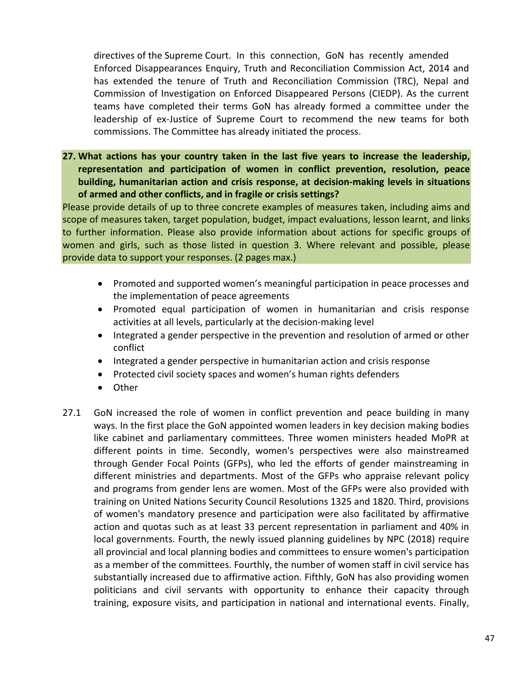directives of the Supreme Court. In this connection, GoN has recently amended Enforced Disappearances Enquiry, Truth and Reconciliation Commission Act, 2014 and has extended the tenure of Truth and Reconciliation Commission (TRC), Nepal and Commission of Investigation on Enforced Disappeared Persons (CIEDP). As the current teams have completed their terms GoN has already formed a committee under the leadership of ex-Justice of Supreme Court to recommend the new teams for both commissions. The Committee has already initiated the process.

**27. What actions has your country taken in the last five years to increase the leadership, representation and participation of women in conflict prevention, resolution, peace building, humanitarian action and crisis response, at decision-making levels in situations of armed and other conflicts, and in fragile or crisis settings?**

Please provide details of up to three concrete examples of measures taken, including aims and scope of measures taken, target population, budget, impact evaluations, lesson learnt, and links to further information. Please also provide information about actions for specific groups of women and girls, such as those listed in question 3. Where relevant and possible, please provide data to support your responses. (2 pages max.)

- Promoted and supported women's meaningful participation in peace processes and the implementation of peace agreements
- Promoted equal participation of women in humanitarian and crisis response activities at all levels, particularly at the decision-making level
- Integrated a gender perspective in the prevention and resolution of armed or other conflict
- Integrated a gender perspective in humanitarian action and crisis response
- Protected civil society spaces and women's human rights defenders
- Other
- 27.1 GoN increased the role of women in conflict prevention and peace building in many ways. In the first place the GoN appointed women leaders in key decision making bodies like cabinet and parliamentary committees. Three women ministers headed MoPR at different points in time. Secondly, women's perspectives were also mainstreamed through Gender Focal Points (GFPs), who led the efforts of gender mainstreaming in different ministries and departments. Most of the GFPs who appraise relevant policy and programs from gender lens are women. Most of the GFPs were also provided with training on United Nations Security Council Resolutions 1325 and 1820. Third, provisions of women's mandatory presence and participation were also facilitated by affirmative action and quotas such as at least 33 percent representation in parliament and 40% in local governments. Fourth, the newly issued planning guidelines by NPC (2018) require all provincial and local planning bodies and committees to ensure women's participation as a member of the committees. Fourthly, the number of women staff in civil service has substantially increased due to affirmative action. Fifthly, GoN has also providing women politicians and civil servants with opportunity to enhance their capacity through training, exposure visits, and participation in national and international events. Finally,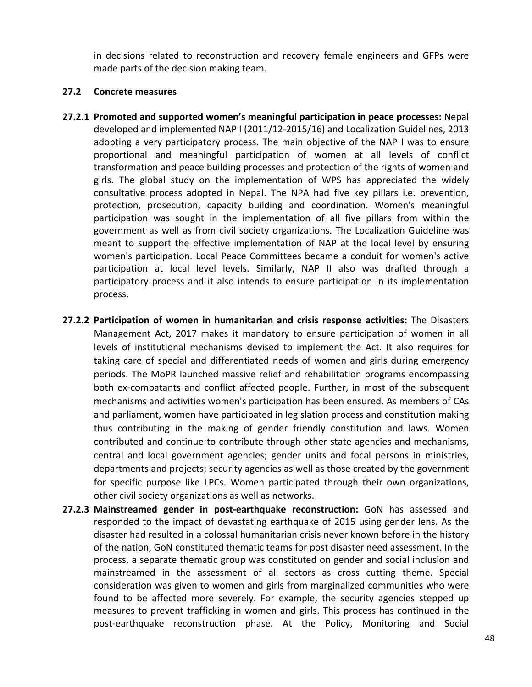in decisions related to reconstruction and recovery female engineers and GFPs were made parts of the decision making team.

### **27.2 Concrete measures**

- **27.2.1 Promoted and supported women's meaningful participation in peace processes:** Nepal developed and implemented NAP I (2011/12-2015/16) and Localization Guidelines, 2013 adopting a very participatory process. The main objective of the NAP I was to ensure proportional and meaningful participation of women at all levels of conflict transformation and peace building processes and protection of the rights of women and girls. The global study on the implementation of WPS has appreciated the widely consultative process adopted in Nepal. The NPA had five key pillars i.e. prevention, protection, prosecution, capacity building and coordination. Women's meaningful participation was sought in the implementation of all five pillars from within the government as well as from civil society organizations. The Localization Guideline was meant to support the effective implementation of NAP at the local level by ensuring women's participation. Local Peace Committees became a conduit for women's active participation at local level levels. Similarly, NAP II also was drafted through a participatory process and it also intends to ensure participation in its implementation process.
- **27.2.2 Participation of women in humanitarian and crisis response activities:** The Disasters Management Act, 2017 makes it mandatory to ensure participation of women in all levels of institutional mechanisms devised to implement the Act. It also requires for taking care of special and differentiated needs of women and girls during emergency periods. The MoPR launched massive relief and rehabilitation programs encompassing both ex-combatants and conflict affected people. Further, in most of the subsequent mechanisms and activities women's participation has been ensured. As members of CAs and parliament, women have participated in legislation process and constitution making thus contributing in the making of gender friendly constitution and laws. Women contributed and continue to contribute through other state agencies and mechanisms, central and local government agencies; gender units and focal persons in ministries, departments and projects; security agencies as well as those created by the government for specific purpose like LPCs. Women participated through their own organizations, other civil society organizations as well as networks.
- **27.2.3 Mainstreamed gender in post-earthquake reconstruction:** GoN has assessed and responded to the impact of devastating earthquake of 2015 using gender lens. As the disaster had resulted in a colossal humanitarian crisis never known before in the history of the nation, GoN constituted thematic teams for post disaster need assessment. In the process, a separate thematic group was constituted on gender and social inclusion and mainstreamed in the assessment of all sectors as cross cutting theme. Special consideration was given to women and girls from marginalized communities who were found to be affected more severely. For example, the security agencies stepped up measures to prevent trafficking in women and girls. This process has continued in the post-earthquake reconstruction phase. At the Policy, Monitoring and Social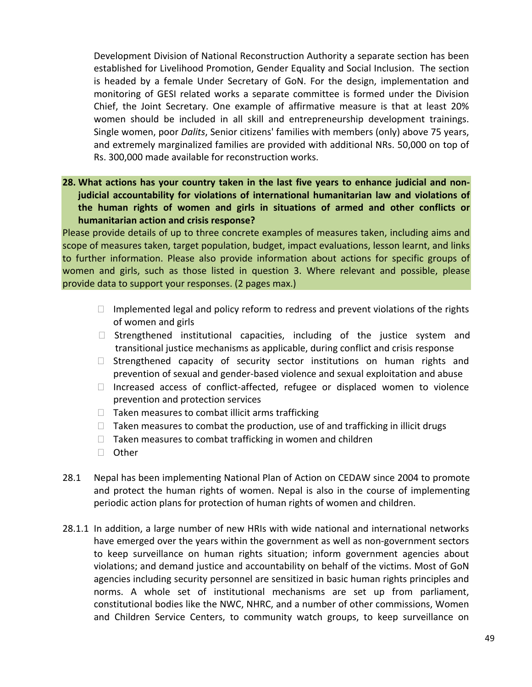Development Division of National Reconstruction Authority a separate section has been established for Livelihood Promotion, Gender Equality and Social Inclusion. The section is headed by a female Under Secretary of GoN. For the design, implementation and monitoring of GESI related works a separate committee is formed under the Division Chief, the Joint Secretary. One example of affirmative measure is that at least 20% women should be included in all skill and entrepreneurship development trainings. Single women, poor *Dalits*, Senior citizens' families with members (only) above 75 years, and extremely marginalized families are provided with additional NRs. 50,000 on top of Rs. 300,000 made available for reconstruction works.

**28. What actions has your country taken in the last five years to enhance judicial and nonjudicial accountability for violations of international humanitarian law and violations of the human rights of women and girls in situations of armed and other conflicts or humanitarian action and crisis response?**

Please provide details of up to three concrete examples of measures taken, including aims and scope of measures taken, target population, budget, impact evaluations, lesson learnt, and links to further information. Please also provide information about actions for specific groups of women and girls, such as those listed in question 3. Where relevant and possible, please provide data to support your responses. (2 pages max.)

- $\Box$  Implemented legal and policy reform to redress and prevent violations of the rights of women and girls
- $\Box$  Strengthened institutional capacities, including of the justice system and transitional justice mechanisms as applicable, during conflict and crisis response
- $\Box$  Strengthened capacity of security sector institutions on human rights and prevention of sexual and gender-based violence and sexual exploitation and abuse
- $\Box$  Increased access of conflict-affected, refugee or displaced women to violence prevention and protection services
- $\Box$  Taken measures to combat illicit arms trafficking
- $\Box$  Taken measures to combat the production, use of and trafficking in illicit drugs
- $\Box$  Taken measures to combat trafficking in women and children
- □ Other
- 28.1 Nepal has been implementing National Plan of Action on CEDAW since 2004 to promote and protect the human rights of women. Nepal is also in the course of implementing periodic action plans for protection of human rights of women and children.
- 28.1.1 In addition, a large number of new HRIs with wide national and international networks have emerged over the years within the government as well as non-government sectors to keep surveillance on human rights situation; inform government agencies about violations; and demand justice and accountability on behalf of the victims. Most of GoN agencies including security personnel are sensitized in basic human rights principles and norms. A whole set of institutional mechanisms are set up from parliament, constitutional bodies like the NWC, NHRC, and a number of other commissions, Women and Children Service Centers, to community watch groups, to keep surveillance on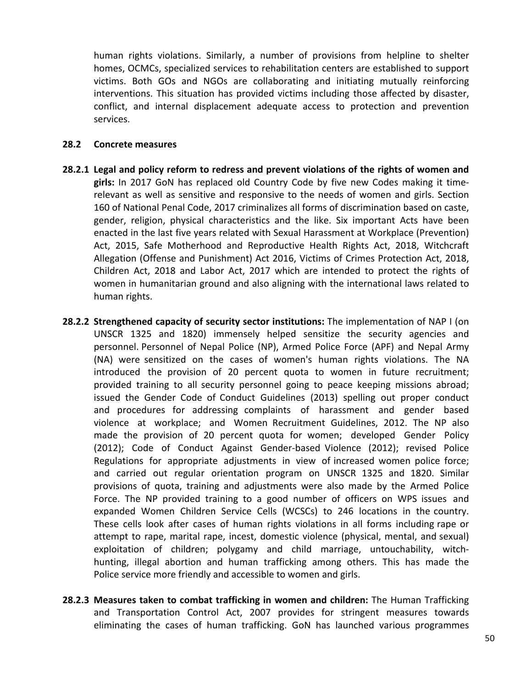human rights violations. Similarly, a number of provisions from helpline to shelter homes, OCMCs, specialized services to rehabilitation centers are established to support victims. Both GOs and NGOs are collaborating and initiating mutually reinforcing interventions. This situation has provided victims including those affected by disaster, conflict, and internal displacement adequate access to protection and prevention services.

### **28.2 Concrete measures**

- **28.2.1 Legal and policy reform to redress and prevent violations of the rights of women and girls:** In 2017 GoN has replaced old Country Code by five new Codes making it timerelevant as well as sensitive and responsive to the needs of women and girls. Section 160 of National Penal Code, 2017 criminalizes all forms of discrimination based on caste, gender, religion, physical characteristics and the like. Six important Acts have been enacted in the last five years related with Sexual Harassment at Workplace (Prevention) Act, 2015, Safe Motherhood and Reproductive Health Rights Act, 2018, Witchcraft Allegation (Offense and Punishment) Act 2016, Victims of Crimes Protection Act, 2018, Children Act, 2018 and Labor Act, 2017 which are intended to protect the rights of women in humanitarian ground and also aligning with the international laws related to human rights.
- **28.2.2 Strengthened capacity of security sector institutions:** The implementation of NAP I (on UNSCR 1325 and 1820) immensely helped sensitize the security agencies and personnel. Personnel of Nepal Police (NP), Armed Police Force (APF) and Nepal Army (NA) were sensitized on the cases of women's human rights violations. The NA introduced the provision of 20 percent quota to women in future recruitment; provided training to all security personnel going to peace keeping missions abroad; issued the Gender Code of Conduct Guidelines (2013) spelling out proper conduct and procedures for addressing complaints of harassment and gender based violence at workplace; and Women Recruitment Guidelines, 2012. The NP also made the provision of 20 percent quota for women; developed Gender Policy (2012); Code of Conduct Against Gender-based Violence (2012); revised Police Regulations for appropriate adjustments in view of increased women police force; and carried out regular orientation program on UNSCR 1325 and 1820. Similar provisions of quota, training and adjustments were also made by the Armed Police Force. The NP provided training to a good number of officers on WPS issues and expanded Women Children Service Cells (WCSCs) to 246 locations in the country. These cells look after cases of human rights violations in all forms including rape or attempt to rape, marital rape, incest, domestic violence (physical, mental, and sexual) exploitation of children; polygamy and child marriage, untouchability, witchhunting, illegal abortion and human trafficking among others. This has made the Police service more friendly and accessible to women and girls.
- **28.2.3 Measures taken to combat trafficking in women and children:** The Human Trafficking and Transportation Control Act, 2007 provides for stringent measures towards eliminating the cases of human trafficking. GoN has launched various programmes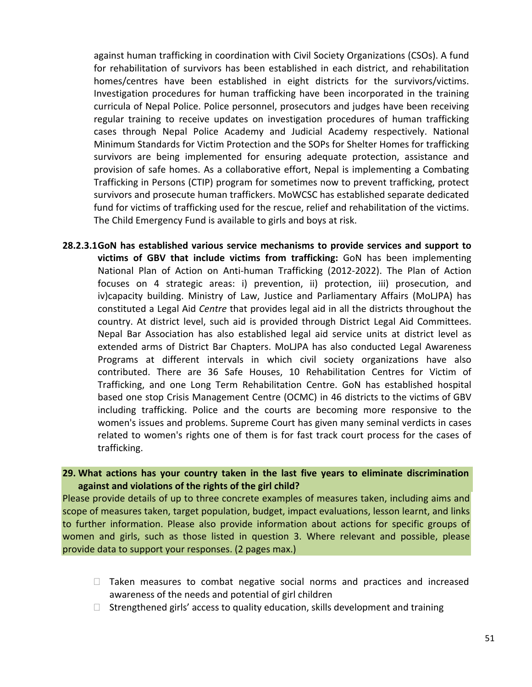against human trafficking in coordination with Civil Society Organizations (CSOs). A fund for rehabilitation of survivors has been established in each district, and rehabilitation homes/centres have been established in eight districts for the survivors/victims. Investigation procedures for human trafficking have been incorporated in the training curricula of Nepal Police. Police personnel, prosecutors and judges have been receiving regular training to receive updates on investigation procedures of human trafficking cases through Nepal Police Academy and Judicial Academy respectively. National Minimum Standards for Victim Protection and the SOPs for Shelter Homes for trafficking survivors are being implemented for ensuring adequate protection, assistance and provision of safe homes. As a collaborative effort, Nepal is implementing a Combating Trafficking in Persons (CTIP) program for sometimes now to prevent trafficking, protect survivors and prosecute human traffickers. MoWCSC has established separate dedicated fund for victims of trafficking used for the rescue, relief and rehabilitation of the victims. The Child Emergency Fund is available to girls and boys at risk.

**28.2.3.1GoN has established various service mechanisms to provide services and support to victims of GBV that include victims from trafficking:** GoN has been implementing National Plan of Action on Anti-human Trafficking (2012-2022). The Plan of Action focuses on 4 strategic areas: i) prevention, ii) protection, iii) prosecution, and iv)capacity building. Ministry of Law, Justice and Parliamentary Affairs (MoLJPA) has constituted a Legal Aid *Centre* that provides legal aid in all the districts throughout the country. At district level, such aid is provided through District Legal Aid Committees. Nepal Bar Association has also established legal aid service units at district level as extended arms of District Bar Chapters. MoLJPA has also conducted Legal Awareness Programs at different intervals in which civil society organizations have also contributed. There are 36 Safe Houses, 10 Rehabilitation Centres for Victim of Trafficking, and one Long Term Rehabilitation Centre. GoN has established hospital based one stop Crisis Management Centre (OCMC) in 46 districts to the victims of GBV including trafficking. Police and the courts are becoming more responsive to the women's issues and problems. Supreme Court has given many seminal verdicts in cases related to women's rights one of them is for fast track court process for the cases of trafficking.

## **29. What actions has your country taken in the last five years to eliminate discrimination against and violations of the rights of the girl child?**

Please provide details of up to three concrete examples of measures taken, including aims and scope of measures taken, target population, budget, impact evaluations, lesson learnt, and links to further information. Please also provide information about actions for specific groups of women and girls, such as those listed in question 3. Where relevant and possible, please provide data to support your responses. (2 pages max.)

- $\Box$  Taken measures to combat negative social norms and practices and increased awareness of the needs and potential of girl children
- $\Box$  Strengthened girls' access to quality education, skills development and training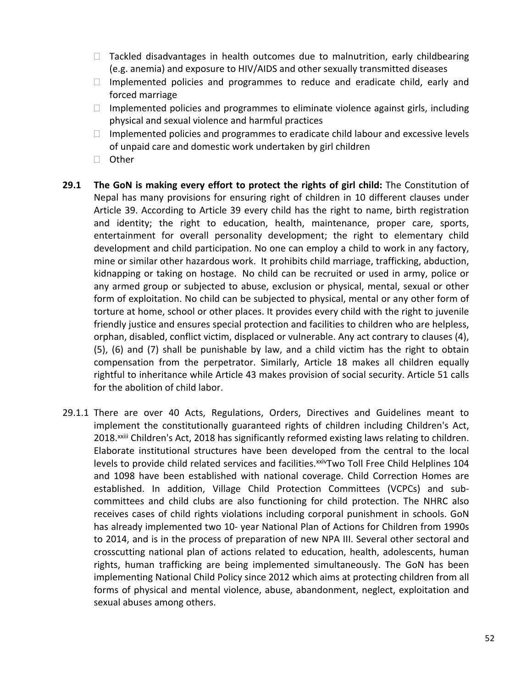- $\Box$  Tackled disadvantages in health outcomes due to malnutrition, early childbearing (e.g. anemia) and exposure to HIV/AIDS and other sexually transmitted diseases
- $\Box$  Implemented policies and programmes to reduce and eradicate child, early and forced marriage
- $\Box$  Implemented policies and programmes to eliminate violence against girls, including physical and sexual violence and harmful practices
- $\Box$  Implemented policies and programmes to eradicate child labour and excessive levels of unpaid care and domestic work undertaken by girl children
- □ Other
- **29.1 The GoN is making every effort to protect the rights of girl child:** The Constitution of Nepal has many provisions for ensuring right of children in 10 different clauses under Article 39. According to Article 39 every child has the right to name, birth registration and identity; the right to education, health, maintenance, proper care, sports, entertainment for overall personality development; the right to elementary child development and child participation. No one can employ a child to work in any factory, mine or similar other hazardous work. It prohibits child marriage, trafficking, abduction, kidnapping or taking on hostage. No child can be recruited or used in army, police or any armed group or subjected to abuse, exclusion or physical, mental, sexual or other form of exploitation. No child can be subjected to physical, mental or any other form of torture at home, school or other places. It provides every child with the right to juvenile friendly justice and ensures special protection and facilities to children who are helpless, orphan, disabled, conflict victim, displaced or vulnerable. Any act contrary to clauses (4), (5), (6) and (7) shall be punishable by law, and a child victim has the right to obtain compensation from the perpetrator. Similarly, Article 18 makes all children equally rightful to inheritance while Article 43 makes provision of social security. Article 51 calls for the abolition of child labor.
- 29.1.1 There are over 40 Acts, Regulations, Orders, Directives and Guidelines meant to implement the constitutionally guaranteed rights of children including Children's Act, 2018.<sup>xxiii</sup> Children's Act, 2018 has significantly reformed existing laws relating to children. Elaborate institutional structures have been developed from the central to the local levels to provide child related services and facilities. XXIV Two Toll Free Child Helplines 104 and 1098 have been established with national coverage. Child Correction Homes are established. In addition, Village Child Protection Committees (VCPCs) and subcommittees and child clubs are also functioning for child protection. The NHRC also receives cases of child rights violations including corporal punishment in schools. GoN has already implemented two 10- year National Plan of Actions for Children from 1990s to 2014, and is in the process of preparation of new NPA III. Several other sectoral and crosscutting national plan of actions related to education, health, adolescents, human rights, human trafficking are being implemented simultaneously. The GoN has been implementing National Child Policy since 2012 which aims at protecting children from all forms of physical and mental violence, abuse, abandonment, neglect, exploitation and sexual abuses among others.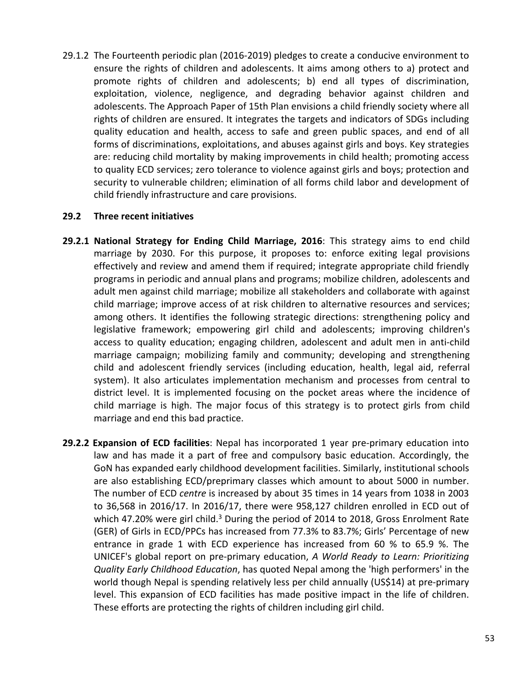29.1.2 The Fourteenth periodic plan (2016-2019) pledges to create a conducive environment to ensure the rights of children and adolescents. It aims among others to a) protect and promote rights of children and adolescents; b) end all types of discrimination, exploitation, violence, negligence, and degrading behavior against children and adolescents. The Approach Paper of 15th Plan envisions a child friendly society where all rights of children are ensured. It integrates the targets and indicators of SDGs including quality education and health, access to safe and green public spaces, and end of all forms of discriminations, exploitations, and abuses against girls and boys. Key strategies are: reducing child mortality by making improvements in child health; promoting access to quality ECD services; zero tolerance to violence against girls and boys; protection and security to vulnerable children; elimination of all forms child labor and development of child friendly infrastructure and care provisions.

## **29.2 Three recent initiatives**

- **29.2.1 National Strategy for Ending Child Marriage, 2016**: This strategy aims to end child marriage by 2030. For this purpose, it proposes to: enforce exiting legal provisions effectively and review and amend them if required; integrate appropriate child friendly programs in periodic and annual plans and programs; mobilize children, adolescents and adult men against child marriage; mobilize all stakeholders and collaborate with against child marriage; improve access of at risk children to alternative resources and services; among others. It identifies the following strategic directions: strengthening policy and legislative framework; empowering girl child and adolescents; improving children's access to quality education; engaging children, adolescent and adult men in anti-child marriage campaign; mobilizing family and community; developing and strengthening child and adolescent friendly services (including education, health, legal aid, referral system). It also articulates implementation mechanism and processes from central to district level. It is implemented focusing on the pocket areas where the incidence of child marriage is high. The major focus of this strategy is to protect girls from child marriage and end this bad practice.
- **29.2.2 Expansion of ECD facilities**: Nepal has incorporated 1 year pre-primary education into law and has made it a part of free and compulsory basic education. Accordingly, the GoN has expanded early childhood development facilities. Similarly, institutional schools are also establishing ECD/preprimary classes which amount to about 5000 in number. The number of ECD *centre* is increased by about 35 times in 14 years from 1038 in 2003 to 36,568 in 2016/17. In 2016/17, there were 958,127 children enrolled in ECD out of which 47.20% were girl child.<sup>3</sup> During the period of 2014 to 2018, Gross Enrolment Rate (GER) of Girls in ECD/PPCs has increased from 77.3% to 83.7%; Girls' Percentage of new entrance in grade 1 with ECD experience has increased from 60 % to 65.9 %. The UNICEF's global report on pre-primary education, *A World Ready to Learn: Prioritizing Quality Early Childhood Education*, has quoted Nepal among the 'high performers' in the world though Nepal is spending relatively less per child annually (US\$14) at pre-primary level. This expansion of ECD facilities has made positive impact in the life of children. These efforts are protecting the rights of children including girl child.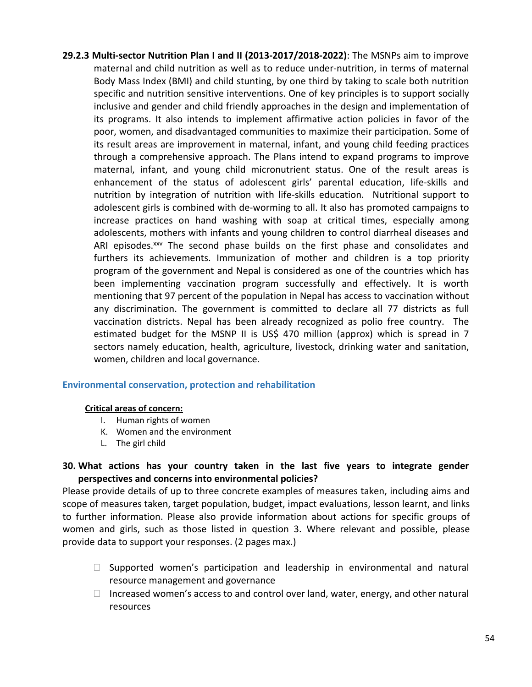**29.2.3 Multi-sector Nutrition Plan I and II (2013-2017/2018-2022)**: The MSNPs aim to improve maternal and child nutrition as well as to reduce under-nutrition, in terms of maternal Body Mass Index (BMI) and child stunting, by one third by taking to scale both nutrition specific and nutrition sensitive interventions. One of key principles is to support socially inclusive and gender and child friendly approaches in the design and implementation of its programs. It also intends to implement affirmative action policies in favor of the poor, women, and disadvantaged communities to maximize their participation. Some of its result areas are improvement in maternal, infant, and young child feeding practices through a comprehensive approach. The Plans intend to expand programs to improve maternal, infant, and young child micronutrient status. One of the result areas is enhancement of the status of adolescent girls' parental education, life-skills and nutrition by integration of nutrition with life-skills education. Nutritional support to adolescent girls is combined with de-worming to all. It also has promoted campaigns to increase practices on hand washing with soap at critical times, especially among adolescents, mothers with infants and young children to control diarrheal diseases and ARI episodes.<sup>xxv</sup> The second phase builds on the first phase and consolidates and furthers its achievements. Immunization of mother and children is a top priority program of the government and Nepal is considered as one of the countries which has been implementing vaccination program successfully and effectively. It is worth mentioning that 97 percent of the population in Nepal has access to vaccination without any discrimination. The government is committed to declare all 77 districts as full vaccination districts. Nepal has been already recognized as polio free country. The estimated budget for the MSNP II is US\$ 470 million (approx) which is spread in 7 sectors namely education, health, agriculture, livestock, drinking water and sanitation, women, children and local governance.

## **Environmental conservation, protection and rehabilitation**

#### **Critical areas of concern:**

- I. Human rights of women
- K. Women and the environment
- L. The girl child

# **30. What actions has your country taken in the last five years to integrate gender perspectives and concerns into environmental policies?**

Please provide details of up to three concrete examples of measures taken, including aims and scope of measures taken, target population, budget, impact evaluations, lesson learnt, and links to further information. Please also provide information about actions for specific groups of women and girls, such as those listed in question 3. Where relevant and possible, please provide data to support your responses. (2 pages max.)

- $\Box$  Supported women's participation and leadership in environmental and natural resource management and governance
- $\Box$  Increased women's access to and control over land, water, energy, and other natural resources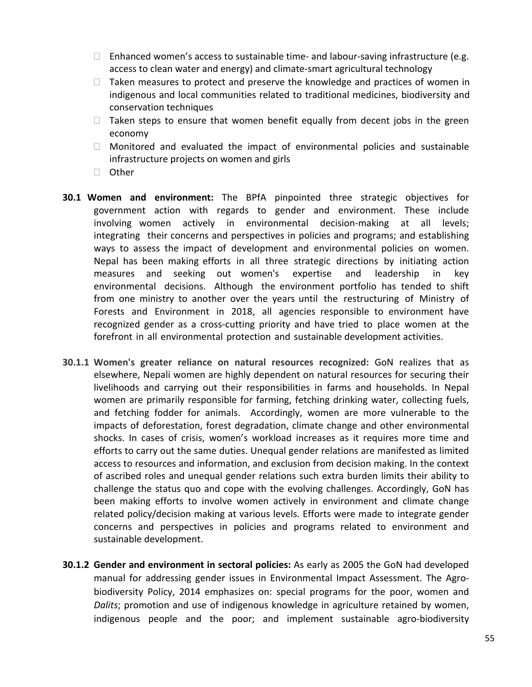- $\Box$  Enhanced women's access to sustainable time- and labour-saving infrastructure (e.g. access to clean water and energy) and climate-smart agricultural technology
- $\Box$  Taken measures to protect and preserve the knowledge and practices of women in indigenous and local communities related to traditional medicines, biodiversity and conservation techniques
- $\Box$  Taken steps to ensure that women benefit equally from decent jobs in the green economy
- $\Box$  Monitored and evaluated the impact of environmental policies and sustainable infrastructure projects on women and girls
- □ Other
- **30.1 Women and environment:** The BPfA pinpointed three strategic objectives for government action with regards to gender and environment. These include involving women actively in environmental decision-making at all levels; integrating their concerns and perspectives in policies and programs; and establishing ways to assess the impact of development and environmental policies on women. Nepal has been making efforts in all three strategic directions by initiating action measures and seeking out women's expertise and leadership in key environmental decisions. Although the environment portfolio has tended to shift from one ministry to another over the years until the restructuring of Ministry of Forests and Environment in 2018, all agencies responsible to environment have recognized gender as a cross-cutting priority and have tried to place women at the forefront in all environmental protection and sustainable development activities.
- **30.1.1 Women's greater reliance on natural resources recognized:** GoN realizes that as elsewhere, Nepali women are highly dependent on natural resources for securing their livelihoods and carrying out their responsibilities in farms and households. In Nepal women are primarily responsible for farming, fetching drinking water, collecting fuels, and fetching fodder for animals. Accordingly, women are more vulnerable to the impacts of deforestation, forest degradation, climate change and other environmental shocks. In cases of crisis, women's workload increases as it requires more time and efforts to carry out the same duties. Unequal gender relations are manifested as limited access to resources and information, and exclusion from decision making. In the context of ascribed roles and unequal gender relations such extra burden limits their ability to challenge the status quo and cope with the evolving challenges. Accordingly, GoN has been making efforts to involve women actively in environment and climate change related policy/decision making at various levels. Efforts were made to integrate gender concerns and perspectives in policies and programs related to environment and sustainable development.
- **30.1.2 Gender and environment in sectoral policies:** As early as 2005 the GoN had developed manual for addressing gender issues in Environmental Impact Assessment. The Agrobiodiversity Policy, 2014 emphasizes on: special programs for the poor, women and *Dalits*; promotion and use of indigenous knowledge in agriculture retained by women, indigenous people and the poor; and implement sustainable agro-biodiversity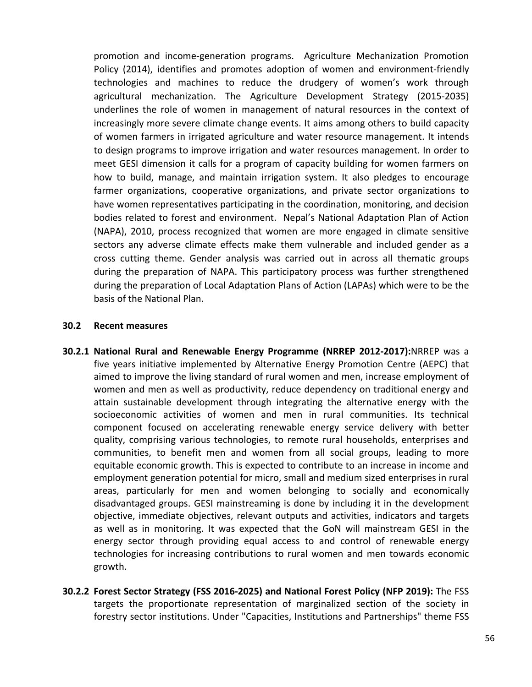promotion and income-generation programs. Agriculture Mechanization Promotion Policy (2014), identifies and promotes adoption of women and environment-friendly technologies and machines to reduce the drudgery of women's work through agricultural mechanization. The Agriculture Development Strategy (2015-2035) underlines the role of women in management of natural resources in the context of increasingly more severe climate change events. It aims among others to build capacity of women farmers in irrigated agriculture and water resource management. It intends to design programs to improve irrigation and water resources management. In order to meet GESI dimension it calls for a program of capacity building for women farmers on how to build, manage, and maintain irrigation system. It also pledges to encourage farmer organizations, cooperative organizations, and private sector organizations to have women representatives participating in the coordination, monitoring, and decision bodies related to forest and environment. Nepal's National Adaptation Plan of Action (NAPA), 2010, process recognized that women are more engaged in climate sensitive sectors any adverse climate effects make them vulnerable and included gender as a cross cutting theme. Gender analysis was carried out in across all thematic groups during the preparation of NAPA. This participatory process was further strengthened during the preparation of Local Adaptation Plans of Action (LAPAs) which were to be the basis of the National Plan.

### **30.2 Recent measures**

- **30.2.1 National Rural and Renewable Energy Programme (NRREP 2012-2017):**NRREP was a five years initiative implemented by Alternative Energy Promotion Centre (AEPC) that aimed to improve the living standard of rural women and men, increase employment of women and men as well as productivity, reduce dependency on traditional energy and attain sustainable development through integrating the alternative energy with the socioeconomic activities of women and men in rural communities. Its technical component focused on accelerating renewable energy service delivery with better quality, comprising various technologies, to remote rural households, enterprises and communities, to benefit men and women from all social groups, leading to more equitable economic growth. This is expected to contribute to an increase in income and employment generation potential for micro, small and medium sized enterprises in rural areas, particularly for men and women belonging to socially and economically disadvantaged groups. GESI mainstreaming is done by including it in the development objective, immediate objectives, relevant outputs and activities, indicators and targets as well as in monitoring. It was expected that the GoN will mainstream GESI in the energy sector through providing equal access to and control of renewable energy technologies for increasing contributions to rural women and men towards economic growth.
- **30.2.2 Forest Sector Strategy (FSS 2016-2025) and National Forest Policy (NFP 2019):** The FSS targets the proportionate representation of marginalized section of the society in forestry sector institutions. Under "Capacities, Institutions and Partnerships" theme FSS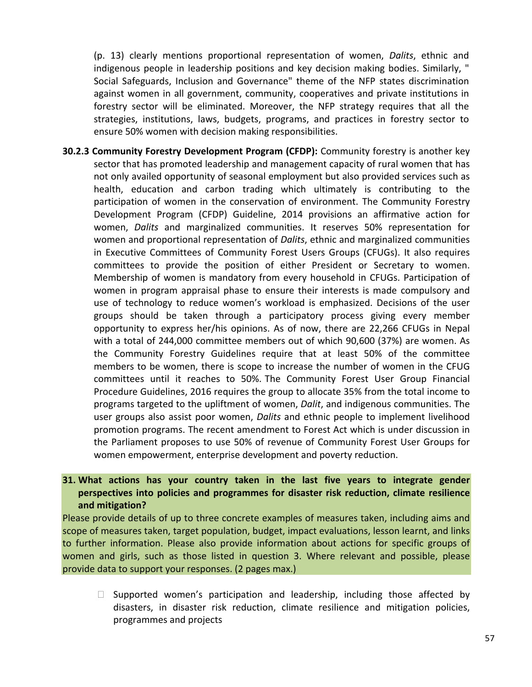(p. 13) clearly mentions proportional representation of women, *Dalits*, ethnic and indigenous people in leadership positions and key decision making bodies. Similarly, " Social Safeguards, Inclusion and Governance" theme of the NFP states discrimination against women in all government, community, cooperatives and private institutions in forestry sector will be eliminated. Moreover, the NFP strategy requires that all the strategies, institutions, laws, budgets, programs, and practices in forestry sector to ensure 50% women with decision making responsibilities.

**30.2.3 Community Forestry Development Program (CFDP):** Community forestry is another key sector that has promoted leadership and management capacity of rural women that has not only availed opportunity of seasonal employment but also provided services such as health, education and carbon trading which ultimately is contributing to the participation of women in the conservation of environment. The Community Forestry Development Program (CFDP) Guideline, 2014 provisions an affirmative action for women, *Dalits* and marginalized communities. It reserves 50% representation for women and proportional representation of *Dalits*, ethnic and marginalized communities in Executive Committees of Community Forest Users Groups (CFUGs). It also requires committees to provide the position of either President or Secretary to women. Membership of women is mandatory from every household in CFUGs. Participation of women in program appraisal phase to ensure their interests is made compulsory and use of technology to reduce women's workload is emphasized. Decisions of the user groups should be taken through a participatory process giving every member opportunity to express her/his opinions. As of now, there are 22,266 CFUGs in Nepal with a total of 244,000 committee members out of which 90,600 (37%) are women. As the Community Forestry Guidelines require that at least 50% of the committee members to be women, there is scope to increase the number of women in the CFUG committees until it reaches to 50%. The Community Forest User Group Financial Procedure Guidelines, 2016 requires the group to allocate 35% from the total income to programs targeted to the upliftment of women, *Dalit*, and indigenous communities. The user groups also assist poor women, *Dalits* and ethnic people to implement livelihood promotion programs. The recent amendment to Forest Act which is under discussion in the Parliament proposes to use 50% of revenue of Community Forest User Groups for women empowerment, enterprise development and poverty reduction.

# **31. What actions has your country taken in the last five years to integrate gender perspectives into policies and programmes for disaster risk reduction, climate resilience and mitigation?**

Please provide details of up to three concrete examples of measures taken, including aims and scope of measures taken, target population, budget, impact evaluations, lesson learnt, and links to further information. Please also provide information about actions for specific groups of women and girls, such as those listed in question 3. Where relevant and possible, please provide data to support your responses. (2 pages max.)

 $\Box$  Supported women's participation and leadership, including those affected by disasters, in disaster risk reduction, climate resilience and mitigation policies, programmes and projects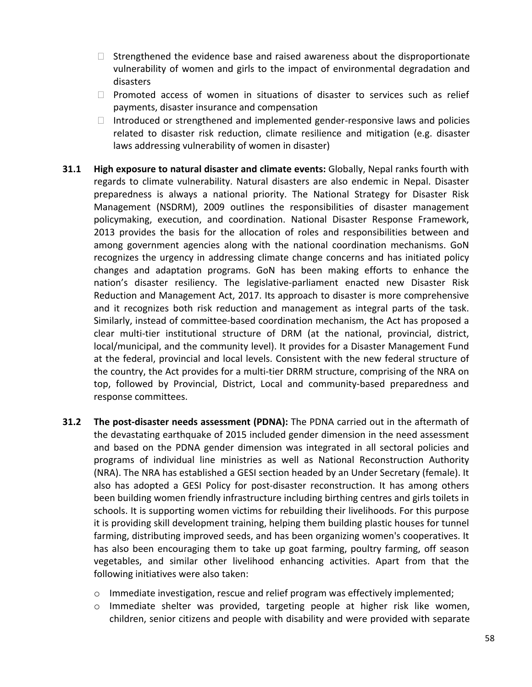- $\Box$  Strengthened the evidence base and raised awareness about the disproportionate vulnerability of women and girls to the impact of environmental degradation and disasters
- $\Box$  Promoted access of women in situations of disaster to services such as relief payments, disaster insurance and compensation
- $\Box$  Introduced or strengthened and implemented gender-responsive laws and policies related to disaster risk reduction, climate resilience and mitigation (e.g. disaster laws addressing vulnerability of women in disaster)
- **31.1 High exposure to natural disaster and climate events:** Globally, Nepal ranks fourth with regards to climate vulnerability. Natural disasters are also endemic in Nepal. Disaster preparedness is always a national priority. The National Strategy for Disaster Risk Management (NSDRM), 2009 outlines the responsibilities of disaster management policymaking, execution, and coordination. National Disaster Response Framework, 2013 provides the basis for the allocation of roles and responsibilities between and among government agencies along with the national coordination mechanisms. GoN recognizes the urgency in addressing climate change concerns and has initiated policy changes and adaptation programs. GoN has been making efforts to enhance the nation's disaster resiliency. The legislative-parliament enacted new Disaster Risk Reduction and Management Act, 2017. Its approach to disaster is more comprehensive and it recognizes both risk reduction and management as integral parts of the task. Similarly, instead of committee-based coordination mechanism, the Act has proposed a clear multi-tier institutional structure of DRM (at the national, provincial, district, local/municipal, and the community level). It provides for a Disaster Management Fund at the federal, provincial and local levels. Consistent with the new federal structure of the country, the Act provides for a multi-tier DRRM structure, comprising of the NRA on top, followed by Provincial, District, Local and community-based preparedness and response committees.
- **31.2 The post-disaster needs assessment (PDNA):** The PDNA carried out in the aftermath of the devastating earthquake of 2015 included gender dimension in the need assessment and based on the PDNA gender dimension was integrated in all sectoral policies and programs of individual line ministries as well as National Reconstruction Authority (NRA). The NRA has established a GESI section headed by an Under Secretary (female). It also has adopted a GESI Policy for post-disaster reconstruction. It has among others been building women friendly infrastructure including birthing centres and girls toilets in schools. It is supporting women victims for rebuilding their livelihoods. For this purpose it is providing skill development training, helping them building plastic houses for tunnel farming, distributing improved seeds, and has been organizing women's cooperatives. It has also been encouraging them to take up goat farming, poultry farming, off season vegetables, and similar other livelihood enhancing activities. Apart from that the following initiatives were also taken:
	- $\circ$  Immediate investigation, rescue and relief program was effectively implemented;
	- $\circ$  Immediate shelter was provided, targeting people at higher risk like women, children, senior citizens and people with disability and were provided with separate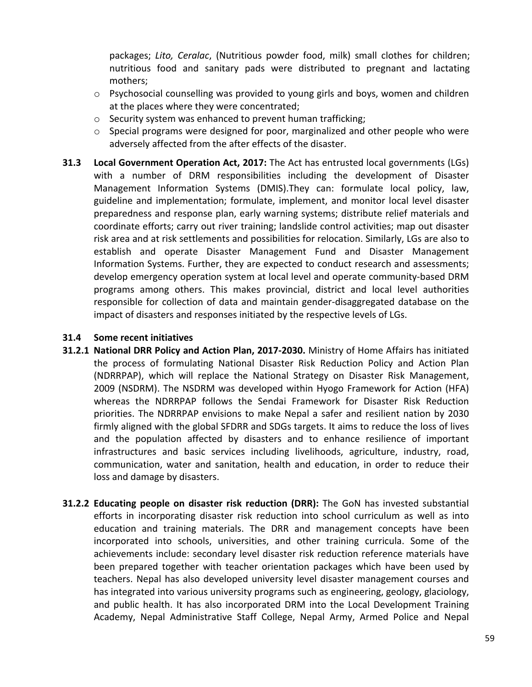packages; *Lito, Ceralac*, (Nutritious powder food, milk) small clothes for children; nutritious food and sanitary pads were distributed to pregnant and lactating mothers;

- $\circ$  Psychosocial counselling was provided to young girls and boys, women and children at the places where they were concentrated;
- o Security system was enhanced to prevent human trafficking;
- $\circ$  Special programs were designed for poor, marginalized and other people who were adversely affected from the after effects of the disaster.
- **31.3 Local Government Operation Act, 2017:** The Act has entrusted local governments (LGs) with a number of DRM responsibilities including the development of Disaster Management Information Systems (DMIS).They can: formulate local policy, law, guideline and implementation; formulate, implement, and monitor local level disaster preparedness and response plan, early warning systems; distribute relief materials and coordinate efforts; carry out river training; landslide control activities; map out disaster risk area and at risk settlements and possibilities for relocation. Similarly, LGs are also to establish and operate Disaster Management Fund and Disaster Management Information Systems. Further, they are expected to conduct research and assessments; develop emergency operation system at local level and operate community-based DRM programs among others. This makes provincial, district and local level authorities responsible for collection of data and maintain gender-disaggregated database on the impact of disasters and responses initiated by the respective levels of LGs.

## **31.4 Some recent initiatives**

- **31.2.1 National DRR Policy and Action Plan, 2017-2030.** Ministry of Home Affairs has initiated the process of formulating National Disaster Risk Reduction Policy and Action Plan (NDRRPAP), which will replace the National Strategy on Disaster Risk Management, 2009 (NSDRM). The NSDRM was developed within Hyogo Framework for Action (HFA) whereas the NDRRPAP follows the Sendai Framework for Disaster Risk Reduction priorities. The NDRRPAP envisions to make Nepal a safer and resilient nation by 2030 firmly aligned with the global SFDRR and SDGs targets. It aims to reduce the loss of lives and the population affected by disasters and to enhance resilience of important infrastructures and basic services including livelihoods, agriculture, industry, road, communication, water and sanitation, health and education, in order to reduce their loss and damage by disasters.
- **31.2.2 Educating people on disaster risk reduction (DRR):** The GoN has invested substantial efforts in incorporating disaster risk reduction into school curriculum as well as into education and training materials. The DRR and management concepts have been incorporated into schools, universities, and other training curricula. Some of the achievements include: secondary level disaster risk reduction reference materials have been prepared together with teacher orientation packages which have been used by teachers. Nepal has also developed university level disaster management courses and has integrated into various university programs such as engineering, geology, glaciology, and public health. It has also incorporated DRM into the Local Development Training Academy, Nepal Administrative Staff College, Nepal Army, Armed Police and Nepal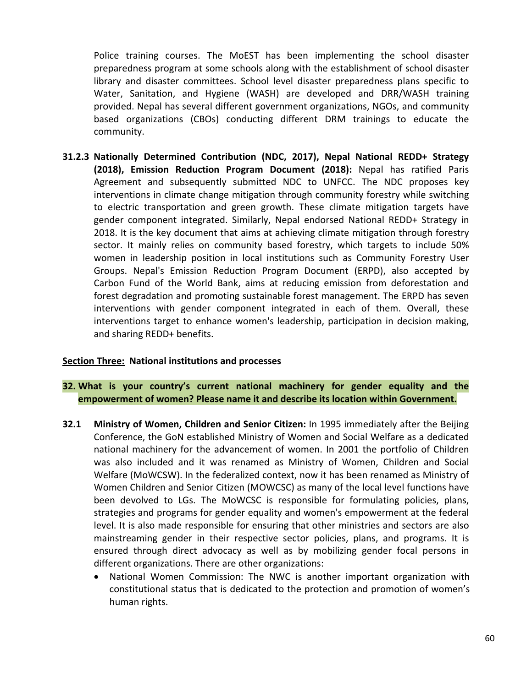Police training courses. The MoEST has been implementing the school disaster preparedness program at some schools along with the establishment of school disaster library and disaster committees. School level disaster preparedness plans specific to Water, Sanitation, and Hygiene (WASH) are developed and DRR/WASH training provided. Nepal has several different government organizations, NGOs, and community based organizations (CBOs) conducting different DRM trainings to educate the community.

**31.2.3 Nationally Determined Contribution (NDC, 2017), Nepal National REDD+ Strategy (2018), Emission Reduction Program Document (2018):** Nepal has ratified Paris Agreement and subsequently submitted NDC to UNFCC. The NDC proposes key interventions in climate change mitigation through community forestry while switching to electric transportation and green growth. These climate mitigation targets have gender component integrated. Similarly, Nepal endorsed National REDD+ Strategy in 2018. It is the key document that aims at achieving climate mitigation through forestry sector. It mainly relies on community based forestry, which targets to include 50% women in leadership position in local institutions such as Community Forestry User Groups. Nepal's Emission Reduction Program Document (ERPD), also accepted by Carbon Fund of the World Bank, aims at reducing emission from deforestation and forest degradation and promoting sustainable forest management. The ERPD has seven interventions with gender component integrated in each of them. Overall, these interventions target to enhance women's leadership, participation in decision making, and sharing REDD+ benefits.

## **Section Three: National institutions and processes**

## **32. What is your country's current national machinery for gender equality and the empowerment of women? Please name it and describe its location within Government.**

- **32.1 Ministry of Women, Children and Senior Citizen:** In 1995 immediately after the Beijing Conference, the GoN established Ministry of Women and Social Welfare as a dedicated national machinery for the advancement of women. In 2001 the portfolio of Children was also included and it was renamed as Ministry of Women, Children and Social Welfare (MoWCSW). In the federalized context, now it has been renamed as Ministry of Women Children and Senior Citizen (MOWCSC) as many of the local level functions have been devolved to LGs. The MoWCSC is responsible for formulating policies, plans, strategies and programs for gender equality and women's empowerment at the federal level. It is also made responsible for ensuring that other ministries and sectors are also mainstreaming gender in their respective sector policies, plans, and programs. It is ensured through direct advocacy as well as by mobilizing gender focal persons in different organizations. There are other organizations:
	- National Women Commission: The NWC is another important organization with constitutional status that is dedicated to the protection and promotion of women's human rights.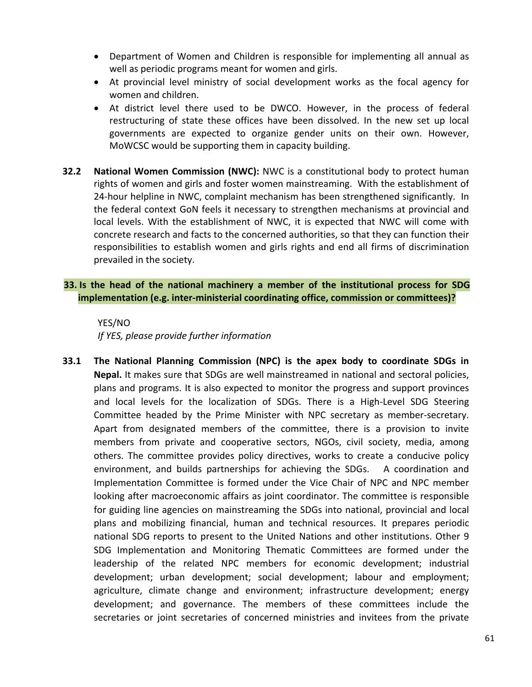- Department of Women and Children is responsible for implementing all annual as well as periodic programs meant for women and girls.
- At provincial level ministry of social development works as the focal agency for women and children.
- At district level there used to be DWCO. However, in the process of federal restructuring of state these offices have been dissolved. In the new set up local governments are expected to organize gender units on their own. However, MoWCSC would be supporting them in capacity building.
- **32.2 National Women Commission (NWC):** NWC is a constitutional body to protect human rights of women and girls and foster women mainstreaming. With the establishment of 24-hour helpline in NWC, complaint mechanism has been strengthened significantly. In the federal context GoN feels it necessary to strengthen mechanisms at provincial and local levels. With the establishment of NWC, it is expected that NWC will come with concrete research and facts to the concerned authorities, so that they can function their responsibilities to establish women and girls rights and end all firms of discrimination prevailed in the society.

# **33. Is the head of the national machinery a member of the institutional process for SDG implementation (e.g. inter-ministerial coordinating office, commission or committees)?**

YES/NO *If YES, please provide further information*

**33.1 The National Planning Commission (NPC) is the apex body to coordinate SDGs in Nepal.** It makes sure that SDGs are well mainstreamed in national and sectoral policies, plans and programs. It is also expected to monitor the progress and support provinces and local levels for the localization of SDGs. There is a High-Level SDG Steering Committee headed by the Prime Minister with NPC secretary as member-secretary. Apart from designated members of the committee, there is a provision to invite members from private and cooperative sectors, NGOs, civil society, media, among others. The committee provides policy directives, works to create a conducive policy environment, and builds partnerships for achieving the SDGs. A coordination and Implementation Committee is formed under the Vice Chair of NPC and NPC member looking after macroeconomic affairs as joint coordinator. The committee is responsible for guiding line agencies on mainstreaming the SDGs into national, provincial and local plans and mobilizing financial, human and technical resources. It prepares periodic national SDG reports to present to the United Nations and other institutions. Other 9 SDG Implementation and Monitoring Thematic Committees are formed under the leadership of the related NPC members for economic development; industrial development; urban development; social development; labour and employment; agriculture, climate change and environment; infrastructure development; energy development; and governance. The members of these committees include the secretaries or joint secretaries of concerned ministries and invitees from the private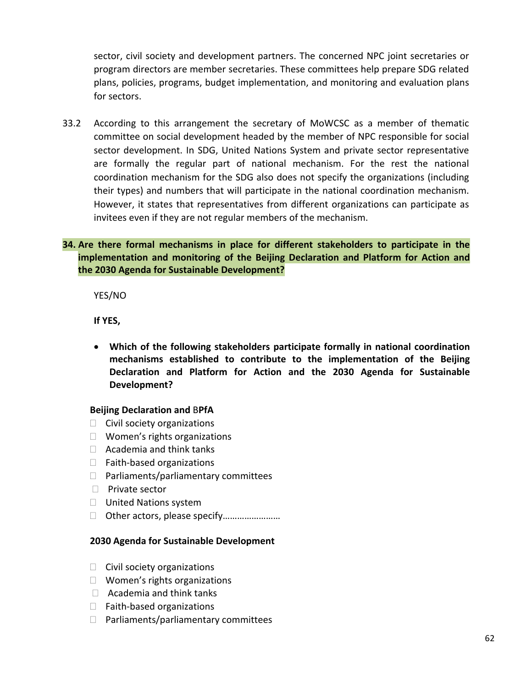sector, civil society and development partners. The concerned NPC joint secretaries or program directors are member secretaries. These committees help prepare SDG related plans, policies, programs, budget implementation, and monitoring and evaluation plans for sectors.

33.2 According to this arrangement the secretary of MoWCSC as a member of thematic committee on social development headed by the member of NPC responsible for social sector development. In SDG, United Nations System and private sector representative are formally the regular part of national mechanism. For the rest the national coordination mechanism for the SDG also does not specify the organizations (including their types) and numbers that will participate in the national coordination mechanism. However, it states that representatives from different organizations can participate as invitees even if they are not regular members of the mechanism.

# **34. Are there formal mechanisms in place for different stakeholders to participate in the implementation and monitoring of the Beijing Declaration and Platform for Action and the 2030 Agenda for Sustainable Development?**

YES/NO

**If YES,**

 **Which of the following stakeholders participate formally in national coordination mechanisms established to contribute to the implementation of the Beijing Declaration and Platform for Action and the 2030 Agenda for Sustainable Development?**

## **Beijing Declaration and** B**PfA**

- $\Box$  Civil society organizations
- $\Box$  Women's rights organizations
- $\Box$  Academia and think tanks
- $\Box$  Faith-based organizations
- $\Box$  Parliaments/parliamentary committees
- $\Box$  Private sector
- □ United Nations system
- Other actors, please specify……………………

## **2030 Agenda for Sustainable Development**

- $\Box$  Civil society organizations
- $\Box$  Women's rights organizations
- $\Box$  Academia and think tanks
- $\Box$  Faith-based organizations
- $\Box$  Parliaments/parliamentary committees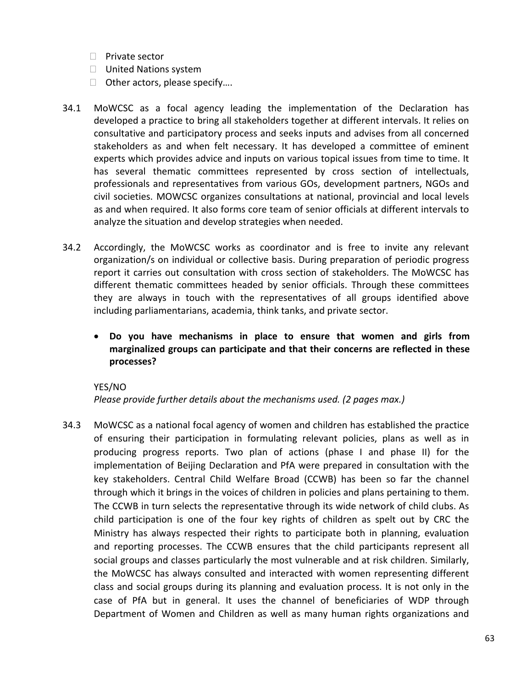- $\Box$  Private sector
- □ United Nations system
- □ Other actors, please specify....
- 34.1 MoWCSC as a focal agency leading the implementation of the Declaration has developed a practice to bring all stakeholders together at different intervals. It relies on consultative and participatory process and seeks inputs and advises from all concerned stakeholders as and when felt necessary. It has developed a committee of eminent experts which provides advice and inputs on various topical issues from time to time. It has several thematic committees represented by cross section of intellectuals, professionals and representatives from various GOs, development partners, NGOs and civil societies. MOWCSC organizes consultations at national, provincial and local levels as and when required. It also forms core team of senior officials at different intervals to analyze the situation and develop strategies when needed.
- 34.2 Accordingly, the MoWCSC works as coordinator and is free to invite any relevant organization/s on individual or collective basis. During preparation of periodic progress report it carries out consultation with cross section of stakeholders. The MoWCSC has different thematic committees headed by senior officials. Through these committees they are always in touch with the representatives of all groups identified above including parliamentarians, academia, think tanks, and private sector.
	- **Do you have mechanisms in place to ensure that women and girls from marginalized groups can participate and that their concerns are reflected in these processes?**

## YES/NO

*Please provide further details about the mechanisms used. (2 pages max.)*

34.3 MoWCSC as a national focal agency of women and children has established the practice of ensuring their participation in formulating relevant policies, plans as well as in producing progress reports. Two plan of actions (phase I and phase II) for the implementation of Beijing Declaration and PfA were prepared in consultation with the key stakeholders. Central Child Welfare Broad (CCWB) has been so far the channel through which it brings in the voices of children in policies and plans pertaining to them. The CCWB in turn selects the representative through its wide network of child clubs. As child participation is one of the four key rights of children as spelt out by CRC the Ministry has always respected their rights to participate both in planning, evaluation and reporting processes. The CCWB ensures that the child participants represent all social groups and classes particularly the most vulnerable and at risk children. Similarly, the MoWCSC has always consulted and interacted with women representing different class and social groups during its planning and evaluation process. It is not only in the case of PfA but in general. It uses the channel of beneficiaries of WDP through Department of Women and Children as well as many human rights organizations and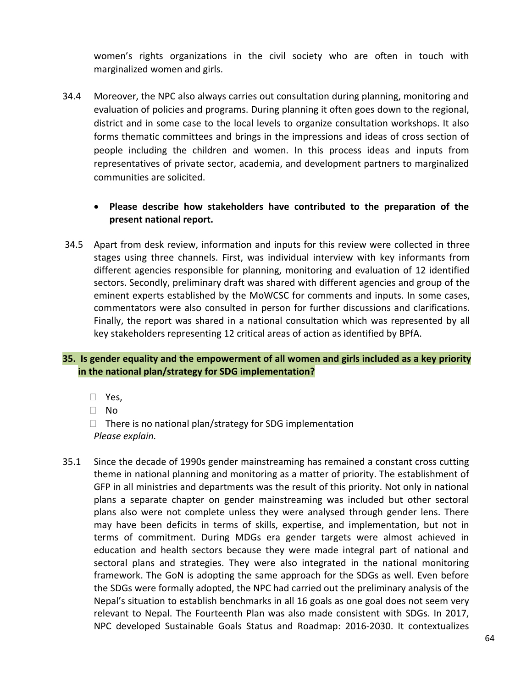women's rights organizations in the civil society who are often in touch with marginalized women and girls.

34.4 Moreover, the NPC also always carries out consultation during planning, monitoring and evaluation of policies and programs. During planning it often goes down to the regional, district and in some case to the local levels to organize consultation workshops. It also forms thematic committees and brings in the impressions and ideas of cross section of people including the children and women. In this process ideas and inputs from representatives of private sector, academia, and development partners to marginalized communities are solicited.

# **Please describe how stakeholders have contributed to the preparation of the present national report.**

34.5 Apart from desk review, information and inputs for this review were collected in three stages using three channels. First, was individual interview with key informants from different agencies responsible for planning, monitoring and evaluation of 12 identified sectors. Secondly, preliminary draft was shared with different agencies and group of the eminent experts established by the MoWCSC for comments and inputs. In some cases, commentators were also consulted in person for further discussions and clarifications. Finally, the report was shared in a national consultation which was represented by all key stakeholders representing 12 critical areas of action as identified by BPfA.

# **35. Is gender equality and the empowerment of all women and girls included as a key priority in the national plan/strategy for SDG implementation?**

- Yes,
- No
- $\Box$  There is no national plan/strategy for SDG implementation *Please explain.*
- 35.1 Since the decade of 1990s gender mainstreaming has remained a constant cross cutting theme in national planning and monitoring as a matter of priority. The establishment of GFP in all ministries and departments was the result of this priority. Not only in national plans a separate chapter on gender mainstreaming was included but other sectoral plans also were not complete unless they were analysed through gender lens. There may have been deficits in terms of skills, expertise, and implementation, but not in terms of commitment. During MDGs era gender targets were almost achieved in education and health sectors because they were made integral part of national and sectoral plans and strategies. They were also integrated in the national monitoring framework. The GoN is adopting the same approach for the SDGs as well. Even before the SDGs were formally adopted, the NPC had carried out the preliminary analysis of the Nepal's situation to establish benchmarks in all 16 goals as one goal does not seem very relevant to Nepal. The Fourteenth Plan was also made consistent with SDGs. In 2017, NPC developed Sustainable Goals Status and Roadmap: 2016-2030. It contextualizes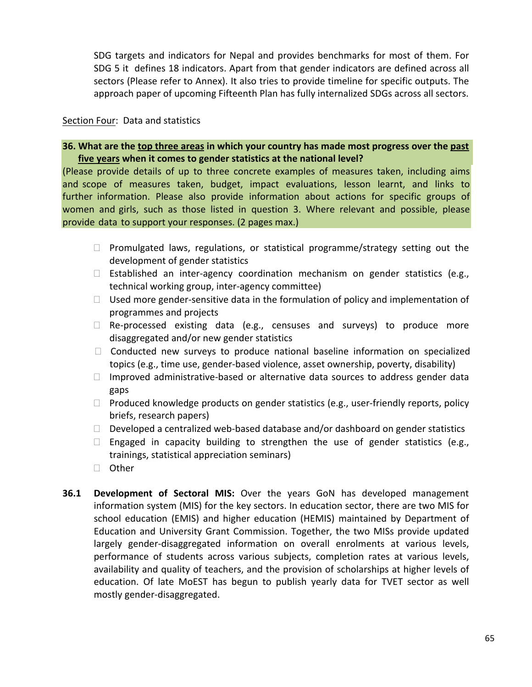SDG targets and indicators for Nepal and provides benchmarks for most of them. For SDG 5 it defines 18 indicators. Apart from that gender indicators are defined across all sectors (Please refer to Annex). It also tries to provide timeline for specific outputs. The approach paper of upcoming Fifteenth Plan has fully internalized SDGs across all sectors.

## Section Four: Data and statistics

# **36. What are the top three areas in which your country has made most progress over the past five years when it comes to gender statistics at the national level?**

(Please provide details of up to three concrete examples of measures taken, including aims and scope of measures taken, budget, impact evaluations, lesson learnt, and links to further information. Please also provide information about actions for specific groups of women and girls, such as those listed in question 3. Where relevant and possible, please provide data to support your responses. (2 pages max.)

- $\Box$  Promulgated laws, regulations, or statistical programme/strategy setting out the development of gender statistics
- Established an inter-agency coordination mechanism on gender statistics (e.g., technical working group, inter-agency committee)
- $\Box$  Used more gender-sensitive data in the formulation of policy and implementation of programmes and projects
- $\Box$  Re-processed existing data (e.g., censuses and surveys) to produce more disaggregated and/or new gender statistics
- $\Box$  Conducted new surveys to produce national baseline information on specialized topics (e.g., time use, gender-based violence, asset ownership, poverty, disability)
- $\Box$  Improved administrative-based or alternative data sources to address gender data gaps
- $\Box$  Produced knowledge products on gender statistics (e.g., user-friendly reports, policy briefs, research papers)
- $\Box$  Developed a centralized web-based database and/or dashboard on gender statistics
- $\Box$  Engaged in capacity building to strengthen the use of gender statistics (e.g., trainings, statistical appreciation seminars)
- □ Other
- **36.1 Development of Sectoral MIS:** Over the years GoN has developed management information system (MIS) for the key sectors. In education sector, there are two MIS for school education (EMIS) and higher education (HEMIS) maintained by Department of Education and University Grant Commission. Together, the two MISs provide updated largely gender-disaggregated information on overall enrolments at various levels, performance of students across various subjects, completion rates at various levels, availability and quality of teachers, and the provision of scholarships at higher levels of education. Of late MoEST has begun to publish yearly data for TVET sector as well mostly gender-disaggregated.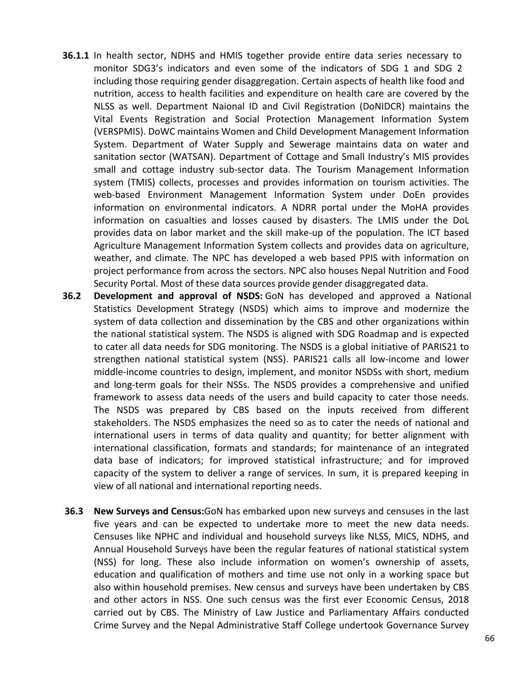- **36.1.1** In health sector, NDHS and HMIS together provide entire data series necessary to monitor SDG3's indicators and even some of the indicators of SDG 1 and SDG 2 including those requiring gender disaggregation. Certain aspects of health like food and nutrition, access to health facilities and expenditure on health care are covered by the NLSS as well. Department Naional ID and Civil Registration (DoNIDCR) maintains the Vital Events Registration and Social Protection Management Information System (VERSPMIS). DoWC maintains Women and Child Development Management Information System. Department of Water Supply and Sewerage maintains data on water and sanitation sector (WATSAN). Department of Cottage and Small Industry's MIS provides small and cottage industry sub-sector data. The Tourism Management Information system (TMIS) collects, processes and provides information on tourism activities. The web-based Environment Management Information System under DoEn provides information on environmental indicators. A NDRR portal under the MoHA provides information on casualties and losses caused by disasters. The LMIS under the DoL provides data on labor market and the skill make-up of the population. The ICT based Agriculture Management Information System collects and provides data on agriculture, weather, and climate. The NPC has developed a web based PPIS with information on project performance from across the sectors. NPC also houses Nepal Nutrition and Food Security Portal. Most of these data sources provide gender disaggregated data.
- **36.2 Development and approval of NSDS:** GoN has developed and approved a National Statistics Development Strategy (NSDS) which aims to improve and modernize the system of data collection and dissemination by the CBS and other organizations within the national statistical system. The NSDS is aligned with SDG Roadmap and is expected to cater all data needs for SDG monitoring. The NSDS is a global initiative of PARIS21 to strengthen national statistical system (NSS). PARIS21 calls all low-income and lower middle-income countries to design, implement, and monitor NSDSs with short, medium and long-term goals for their NSSs. The NSDS provides a comprehensive and unified framework to assess data needs of the users and build capacity to cater those needs. The NSDS was prepared by CBS based on the inputs received from different stakeholders. The NSDS emphasizes the need so as to cater the needs of national and international users in terms of data quality and quantity; for better alignment with international classification, formats and standards; for maintenance of an integrated data base of indicators; for improved statistical infrastructure; and for improved capacity of the system to deliver a range of services. In sum, it is prepared keeping in view of all national and international reporting needs.
- **36.3 New Surveys and Census:**GoN has embarked upon new surveys and censuses in the last five years and can be expected to undertake more to meet the new data needs. Censuses like NPHC and individual and household surveys like NLSS, MICS, NDHS, and Annual Household Surveys have been the regular features of national statistical system (NSS) for long. These also include information on women's ownership of assets, education and qualification of mothers and time use not only in a working space but also within household premises. New census and surveys have been undertaken by CBS and other actors in NSS. One such census was the first ever Economic Census, 2018 carried out by CBS. The Ministry of Law Justice and Parliamentary Affairs conducted Crime Survey and the Nepal Administrative Staff College undertook Governance Survey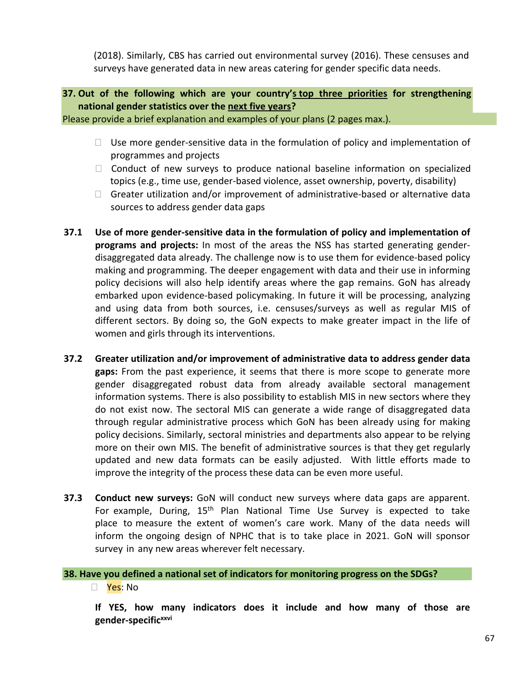(2018). Similarly, CBS has carried out environmental survey (2016). These censuses and surveys have generated data in new areas catering for gender specific data needs.

**37. Out of the following which are your country's top three priorities for strengthening national gender statistics over the next five years?**

Please provide a brief explanation and examples of your plans (2 pages max.).

- $\Box$  Use more gender-sensitive data in the formulation of policy and implementation of programmes and projects
- $\Box$  Conduct of new surveys to produce national baseline information on specialized topics (e.g., time use, gender-based violence, asset ownership, poverty, disability)
- $\Box$  Greater utilization and/or improvement of administrative-based or alternative data sources to address gender data gaps
- **37.1 Use of more gender-sensitive data in the formulation of policy and implementation of programs and projects:** In most of the areas the NSS has started generating genderdisaggregated data already. The challenge now is to use them for evidence-based policy making and programming. The deeper engagement with data and their use in informing policy decisions will also help identify areas where the gap remains. GoN has already embarked upon evidence-based policymaking. In future it will be processing, analyzing and using data from both sources, i.e. censuses/surveys as well as regular MIS of different sectors. By doing so, the GoN expects to make greater impact in the life of women and girls through its interventions.
- **37.2 Greater utilization and/or improvement of administrative data to address gender data gaps:** From the past experience, it seems that there is more scope to generate more gender disaggregated robust data from already available sectoral management information systems. There is also possibility to establish MIS in new sectors where they do not exist now. The sectoral MIS can generate a wide range of disaggregated data through regular administrative process which GoN has been already using for making policy decisions. Similarly, sectoral ministries and departments also appear to be relying more on their own MIS. The benefit of administrative sources is that they get regularly updated and new data formats can be easily adjusted. With little efforts made to improve the integrity of the process these data can be even more useful.
- **37.3 Conduct new surveys:** GoN will conduct new surveys where data gaps are apparent. For example, During, 15<sup>th</sup> Plan National Time Use Survey is expected to take place to measure the extent of women's care work. Many of the data needs will inform the ongoing design of NPHC that is to take place in 2021. GoN will sponsor survey in any new areas wherever felt necessary.

**38. Have you defined a national set of indicators for monitoring progress on the SDGs?**

Yes: No

**If YES, how many indicators does it include and how many of those are gender-specificxxvi**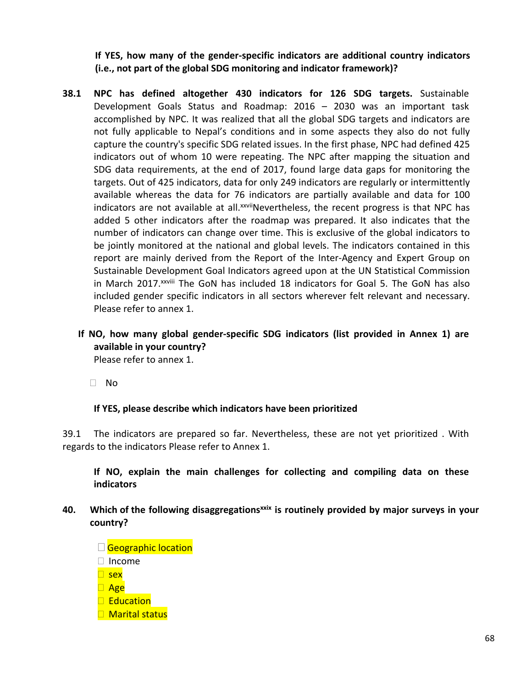**If YES, how many of the gender-specific indicators are additional country indicators (i.e., not part of the global SDG monitoring and indicator framework)?**

- **38.1 NPC has defined altogether 430 indicators for 126 SDG targets.** Sustainable Development Goals Status and Roadmap: 2016 – 2030 was an important task accomplished by NPC. It was realized that all the global SDG targets and indicators are not fully applicable to Nepal's conditions and in some aspects they also do not fully capture the country's specific SDG related issues. In the first phase, NPC had defined 425 indicators out of whom 10 were repeating. The NPC after mapping the situation and SDG data requirements, at the end of 2017, found large data gaps for monitoring the targets. Out of 425 indicators, data for only 249 indicators are regularly or intermittently available whereas the data for 76 indicators are partially available and data for 100 indicators are not available at all.<sup>xxvii</sup>Nevertheless, the recent progress is that NPC has added 5 other indicators after the roadmap was prepared. It also indicates that the number of indicators can change over time. This is exclusive of the global indicators to be jointly monitored at the national and global levels. The indicators contained in this report are mainly derived from the Report of the Inter-Agency and Expert Group on Sustainable Development Goal Indicators agreed upon at the UN Statistical Commission in March 2017.<sup>xxviii</sup> The GoN has included 18 indicators for Goal 5. The GoN has also included gender specific indicators in all sectors wherever felt relevant and necessary. Please refer to annex 1.
	- **If NO, how many global gender-specific SDG indicators (list provided in Annex 1) are available in your country?** Please refer to annex 1.

No

# **If YES, please describe which indicators have been prioritized**

39.1 The indicators are prepared so far. Nevertheless, these are not yet prioritized . With regards to the indicators Please refer to Annex 1.

**If NO, explain the main challenges for collecting and compiling data on these indicators**

- **40. Which of the following disaggregationsxxix is routinely provided by major surveys in your country?**
	- **Geographic location** □ Income  $\Box$  sex  $\Box$  Age **Education** □ Marital status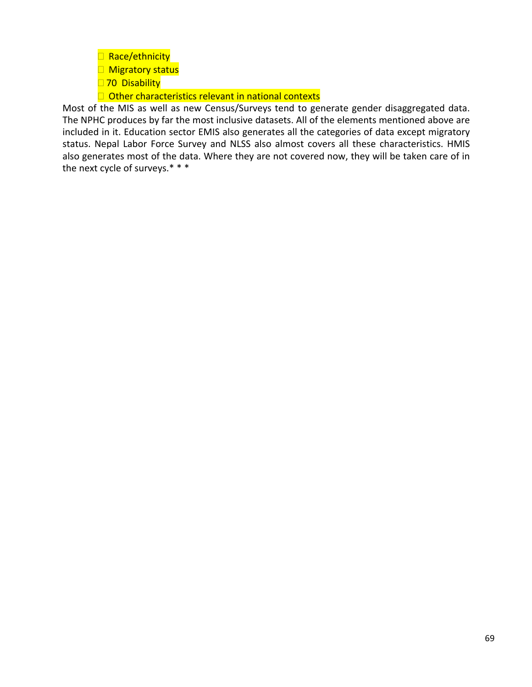- Race/ethnicity
- **Migratory status**
- □ 70 Disability

 $\Box$  Other characteristics relevant in national contexts

Most of the MIS as well as new Census/Surveys tend to generate gender disaggregated data. The NPHC produces by far the most inclusive datasets. All of the elements mentioned above are included in it. Education sector EMIS also generates all the categories of data except migratory status. Nepal Labor Force Survey and NLSS also almost covers all these characteristics. HMIS also generates most of the data. Where they are not covered now, they will be taken care of in the next cycle of surveys.\* \* \*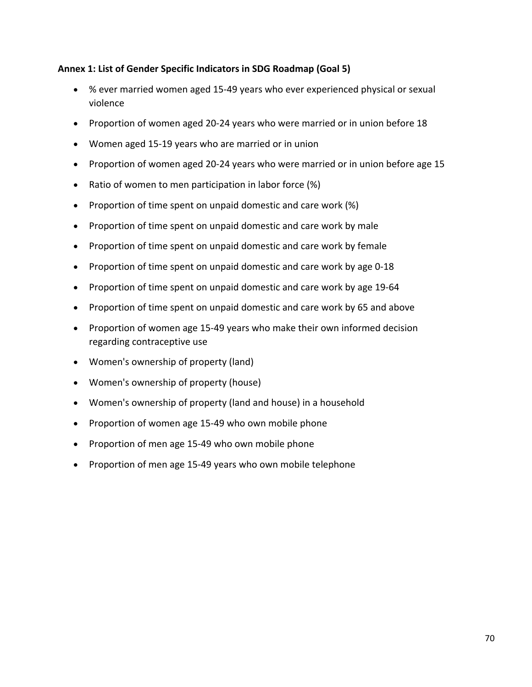# **Annex 1: List of Gender Specific Indicators in SDG Roadmap (Goal 5)**

- % ever married women aged 15-49 years who ever experienced physical or sexual violence
- Proportion of women aged 20-24 years who were married or in union before 18
- Women aged 15-19 years who are married or in union
- Proportion of women aged 20-24 years who were married or in union before age 15
- Ratio of women to men participation in labor force (%)
- Proportion of time spent on unpaid domestic and care work (%)
- Proportion of time spent on unpaid domestic and care work by male
- Proportion of time spent on unpaid domestic and care work by female
- Proportion of time spent on unpaid domestic and care work by age 0-18
- Proportion of time spent on unpaid domestic and care work by age 19-64
- Proportion of time spent on unpaid domestic and care work by 65 and above
- Proportion of women age 15-49 years who make their own informed decision regarding contraceptive use
- Women's ownership of property (land)
- Women's ownership of property (house)
- Women's ownership of property (land and house) in a household
- Proportion of women age 15-49 who own mobile phone
- Proportion of men age 15-49 who own mobile phone
- Proportion of men age 15-49 years who own mobile telephone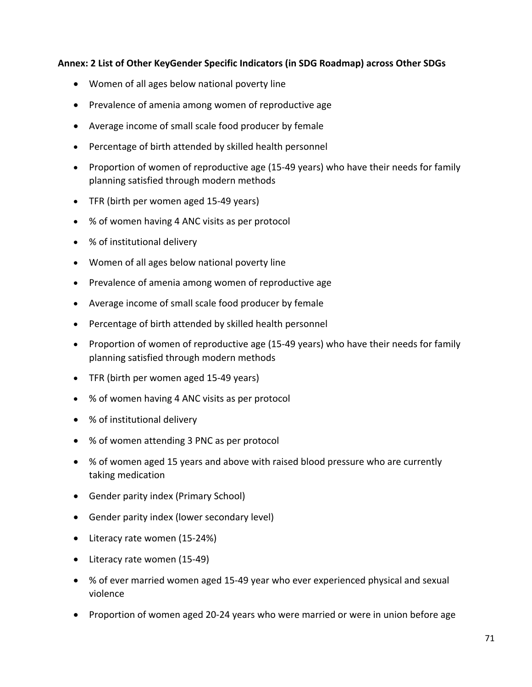## **Annex: 2 List of Other KeyGender Specific Indicators (in SDG Roadmap) across Other SDGs**

- Women of all ages below national poverty line
- Prevalence of amenia among women of reproductive age
- Average income of small scale food producer by female
- Percentage of birth attended by skilled health personnel
- Proportion of women of reproductive age (15-49 years) who have their needs for family planning satisfied through modern methods
- TFR (birth per women aged 15-49 years)
- % of women having 4 ANC visits as per protocol
- % of institutional delivery
- Women of all ages below national poverty line
- Prevalence of amenia among women of reproductive age
- Average income of small scale food producer by female
- Percentage of birth attended by skilled health personnel
- Proportion of women of reproductive age (15-49 years) who have their needs for family planning satisfied through modern methods
- TFR (birth per women aged 15-49 years)
- % of women having 4 ANC visits as per protocol
- % of institutional delivery
- % of women attending 3 PNC as per protocol
- % of women aged 15 years and above with raised blood pressure who are currently taking medication
- Gender parity index (Primary School)
- Gender parity index (lower secondary level)
- Literacy rate women (15-24%)
- Literacy rate women (15-49)
- % of ever married women aged 15-49 year who ever experienced physical and sexual violence
- Proportion of women aged 20-24 years who were married or were in union before age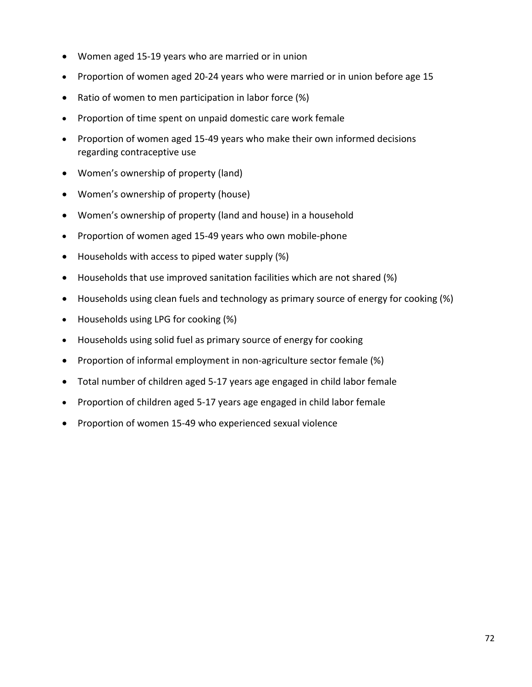- Women aged 15-19 years who are married or in union
- Proportion of women aged 20-24 years who were married or in union before age 15
- Ratio of women to men participation in labor force (%)
- Proportion of time spent on unpaid domestic care work female
- Proportion of women aged 15-49 years who make their own informed decisions regarding contraceptive use
- Women's ownership of property (land)
- Women's ownership of property (house)
- Women's ownership of property (land and house) in a household
- Proportion of women aged 15-49 years who own mobile-phone
- Households with access to piped water supply (%)
- Households that use improved sanitation facilities which are not shared (%)
- Households using clean fuels and technology as primary source of energy for cooking (%)
- Households using LPG for cooking (%)
- Households using solid fuel as primary source of energy for cooking
- Proportion of informal employment in non-agriculture sector female (%)
- Total number of children aged 5-17 years age engaged in child labor female
- Proportion of children aged 5-17 years age engaged in child labor female
- Proportion of women 15-49 who experienced sexual violence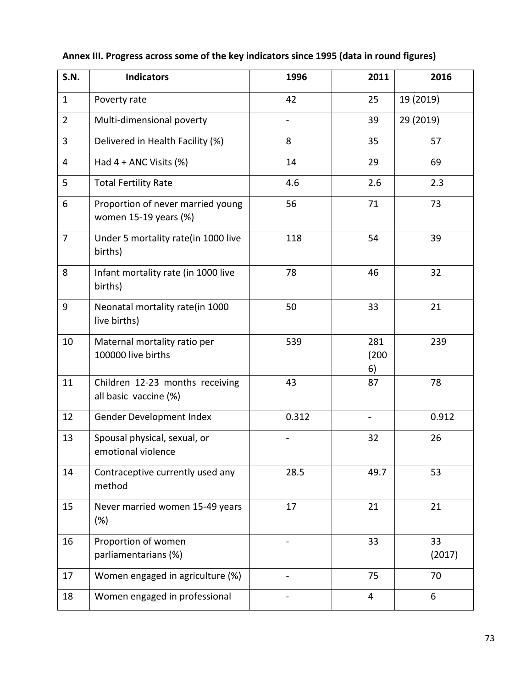| <b>S.N.</b>    | <b>Indicators</b>                                          | 1996  | 2011               | 2016         |  |  |
|----------------|------------------------------------------------------------|-------|--------------------|--------------|--|--|
| $\mathbf{1}$   | Poverty rate                                               | 42    | 25                 | 19 (2019)    |  |  |
| $\overline{2}$ | Multi-dimensional poverty                                  |       | 39                 | 29 (2019)    |  |  |
| 3              | Delivered in Health Facility (%)                           | 8     | 35                 | 57           |  |  |
| 4              | Had $4 + ANC$ Visits $(\%)$                                | 14    | 29                 | 69           |  |  |
| 5              | <b>Total Fertility Rate</b>                                | 4.6   | 2.6                | 2.3          |  |  |
| 6              | Proportion of never married young<br>women 15-19 years (%) | 56    | 71                 |              |  |  |
| $\overline{7}$ | Under 5 mortality rate(in 1000 live<br>births)             | 118   | 54                 | 39           |  |  |
| 8              | Infant mortality rate (in 1000 live<br>births)             | 78    | 46                 |              |  |  |
| 9              | Neonatal mortality rate(in 1000<br>live births)            | 50    | 33                 | 21           |  |  |
| 10             | Maternal mortality ratio per<br>100000 live births         | 539   | 281<br>(200)<br>6) | 239          |  |  |
| 11             | Children 12-23 months receiving<br>all basic vaccine (%)   | 43    | 87                 | 78           |  |  |
| 12             | Gender Development Index                                   | 0.312 | $\blacksquare$     |              |  |  |
| 13             | Spousal physical, sexual, or<br>emotional violence         |       | 32                 | 26           |  |  |
| 14             | Contraceptive currently used any<br>method                 | 28.5  | 49.7               | 53           |  |  |
| 15             | Never married women 15-49 years<br>(%)                     | 17    | 21                 | 21           |  |  |
| 16             | Proportion of women<br>parliamentarians (%)                |       | 33                 | 33<br>(2017) |  |  |
| 17             | Women engaged in agriculture (%)                           |       | 75<br>70           |              |  |  |
| 18             | Women engaged in professional                              |       | 6                  |              |  |  |

## **Annex III. Progress across some of the key indicators since 1995 (data in round figures)**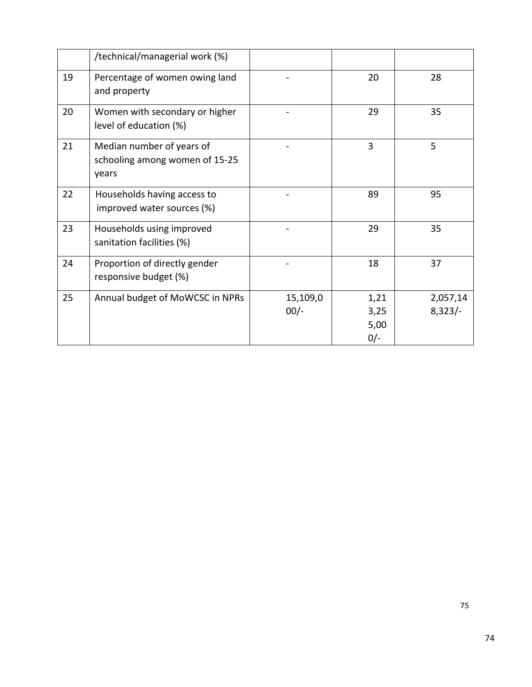|    | /technical/managerial work (%)                                       |                    |                               |                       |
|----|----------------------------------------------------------------------|--------------------|-------------------------------|-----------------------|
| 19 | Percentage of women owing land<br>and property                       |                    | 20                            | 28                    |
| 20 | Women with secondary or higher<br>level of education (%)             |                    | 29                            | 35                    |
| 21 | Median number of years of<br>schooling among women of 15-25<br>years |                    | 3                             | 5                     |
| 22 | Households having access to<br>improved water sources (%)            |                    | 89                            | 95                    |
| 23 | Households using improved<br>sanitation facilities (%)               |                    | 29                            | 35                    |
| 24 | Proportion of directly gender<br>responsive budget (%)               |                    | 18                            | 37                    |
| 25 | Annual budget of MoWCSC in NPRs                                      | 15,109,0<br>$00/-$ | 1,21<br>3,25<br>5,00<br>$0/-$ | 2,057,14<br>$8,323/-$ |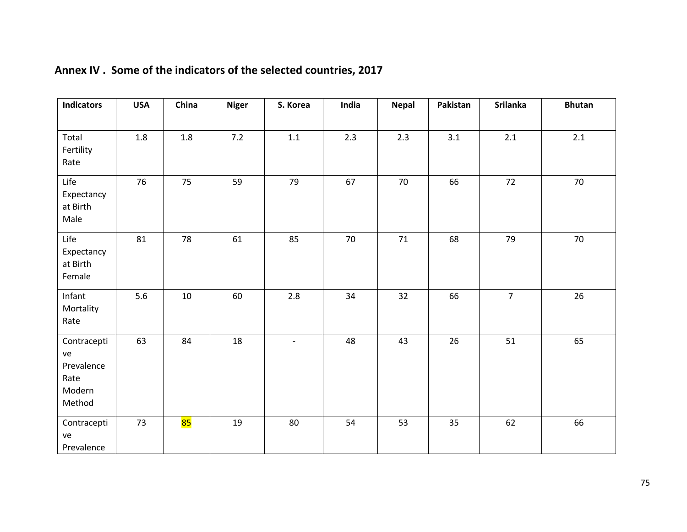| <b>Indicators</b>                                           | <b>USA</b> | China   | <b>Niger</b> | S. Korea                 | India | <b>Nepal</b> | Pakistan | <b>Srilanka</b> | <b>Bhutan</b> |
|-------------------------------------------------------------|------------|---------|--------------|--------------------------|-------|--------------|----------|-----------------|---------------|
| Total<br>Fertility<br>Rate                                  | 1.8        | $1.8\,$ | $7.2$        | $1.1\,$                  | 2.3   | 2.3          | 3.1      | 2.1             | 2.1           |
| Life<br>Expectancy<br>at Birth<br>Male                      | 76         | 75      | 59           | 79                       | 67    | $70\,$       | 66       | 72              | 70            |
| Life<br>Expectancy<br>at Birth<br>Female                    | 81         | 78      | 61           | 85                       | 70    | $71\,$       | 68       | 79              | 70            |
| Infant<br>Mortality<br>Rate                                 | 5.6        | $10\,$  | 60           | $2.8\,$                  | 34    | 32           | 66       | $\overline{7}$  | 26            |
| Contracepti<br>ve<br>Prevalence<br>Rate<br>Modern<br>Method | 63         | 84      | $18\,$       | $\overline{\phantom{a}}$ | 48    | 43           | 26       | 51              | 65            |
| Contracepti<br>ve<br>Prevalence                             | 73         | 85      | $19\,$       | 80                       | 54    | 53           | 35       | 62              | 66            |

# **Annex IV . Some of the indicators of the selected countries, 2017**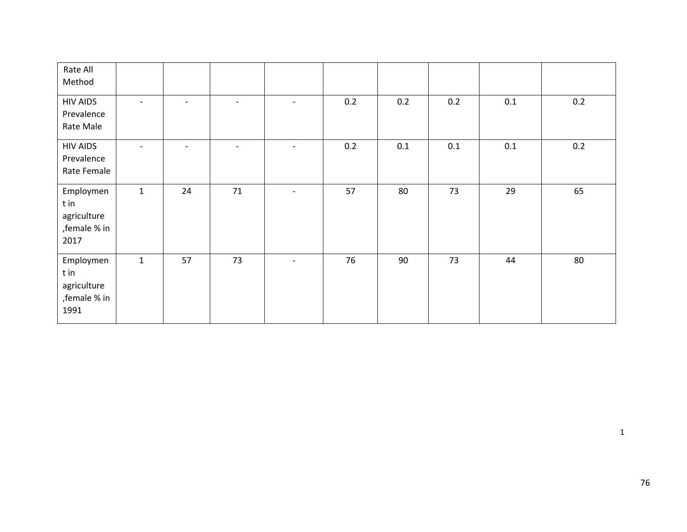| Rate All<br>Method                                        |                          |                          |                          |                          |     |     |     |     |     |
|-----------------------------------------------------------|--------------------------|--------------------------|--------------------------|--------------------------|-----|-----|-----|-----|-----|
| <b>HIV AIDS</b><br>Prevalence<br>Rate Male                | $\overline{\phantom{a}}$ | $\overline{\phantom{0}}$ | $\overline{\phantom{0}}$ | $\overline{\phantom{a}}$ | 0.2 | 0.2 | 0.2 | 0.1 | 0.2 |
| <b>HIV AIDS</b><br>Prevalence<br>Rate Female              | $\overline{\phantom{a}}$ | $\overline{\phantom{a}}$ | $\overline{\phantom{a}}$ | $\overline{\phantom{a}}$ | 0.2 | 0.1 | 0.1 | 0.1 | 0.2 |
| Employmen<br>t in<br>agriculture<br>, female % in<br>2017 | $\mathbf{1}$             | 24                       | 71                       |                          | 57  | 80  | 73  | 29  | 65  |
| Employmen<br>t in<br>agriculture<br>, female % in<br>1991 | $\mathbf{1}$             | 57                       | 73                       | $\overline{\phantom{a}}$ | 76  | 90  | 73  | 44  | 80  |

1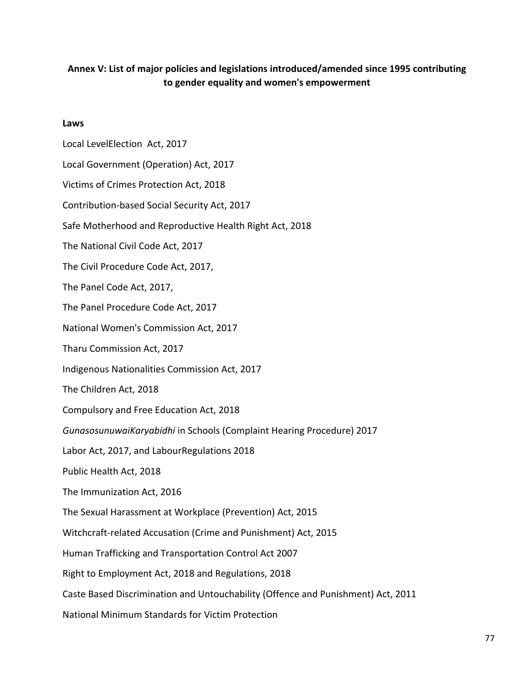### **Annex V: List of major policies and legislations introduced/amended since 1995 contributing to gender equality and women's empowerment**

#### **Laws**

Local LevelElection Act, 2017 Local Government (Operation) Act, 2017 Victims of Crimes Protection Act, 2018 Contribution-based Social Security Act, 2017 Safe Motherhood and Reproductive Health Right Act, 2018 The National Civil Code Act, 2017 The Civil Procedure Code Act, 2017, The Panel Code Act, 2017, The Panel Procedure Code Act, 2017 National Women's Commission Act, 2017 Tharu Commission Act, 2017 Indigenous Nationalities Commission Act, 2017 The Children Act, 2018 Compulsory and Free Education Act, 2018 *GunasosunuwaiKaryabidhi* in Schools (Complaint Hearing Procedure) 2017 Labor Act, 2017, and LabourRegulations 2018 Public Health Act, 2018 The Immunization Act, 2016 The Sexual Harassment at Workplace (Prevention) Act, 2015 Witchcraft-related Accusation (Crime and Punishment) Act, 2015 Human Trafficking and Transportation Control Act 2007 Right to Employment Act, 2018 and Regulations, 2018 Caste Based Discrimination and Untouchability (Offence and Punishment) Act, 2011 National Minimum Standards for Victim Protection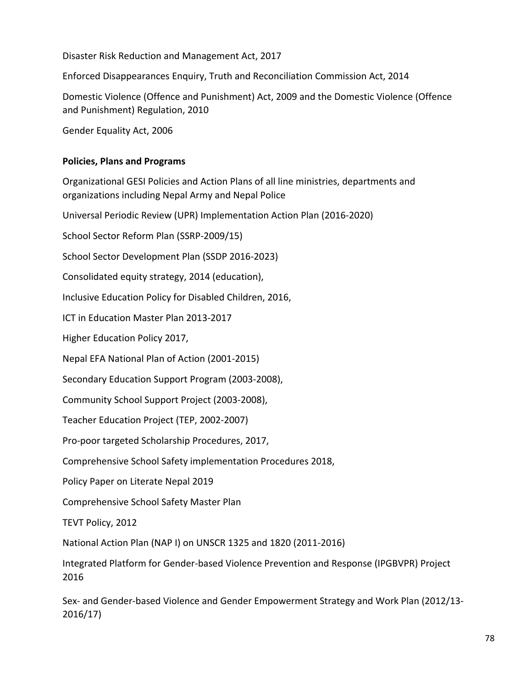Disaster Risk Reduction and Management Act, 2017

Enforced Disappearances Enquiry, Truth and Reconciliation Commission Act, 2014

Domestic Violence (Offence and Punishment) Act, 2009 and the Domestic Violence (Offence and Punishment) Regulation, 2010

Gender Equality Act, 2006

### **Policies, Plans and Programs**

Organizational GESI Policies and Action Plans of all line ministries, departments and organizations including Nepal Army and Nepal Police

Universal Periodic Review (UPR) Implementation Action Plan (2016-2020)

School Sector Reform Plan (SSRP-2009/15)

School Sector Development Plan (SSDP 2016-2023)

Consolidated equity strategy, 2014 (education),

Inclusive Education Policy for Disabled Children, 2016,

ICT in Education Master Plan 2013-2017

Higher Education Policy 2017,

Nepal EFA National Plan of Action (2001-2015)

Secondary Education Support Program (2003-2008),

Community School Support Project (2003-2008),

Teacher Education Project (TEP, 2002-2007)

Pro-poor targeted Scholarship Procedures, 2017,

Comprehensive School Safety implementation Procedures 2018,

Policy Paper on Literate Nepal 2019

Comprehensive School Safety Master Plan

TEVT Policy, 2012

National Action Plan (NAP I) on UNSCR 1325 and 1820 (2011-2016)

Integrated Platform for Gender-based Violence Prevention and Response (IPGBVPR) Project 2016

Sex- and Gender-based Violence and Gender Empowerment Strategy and Work Plan (2012/13- 2016/17)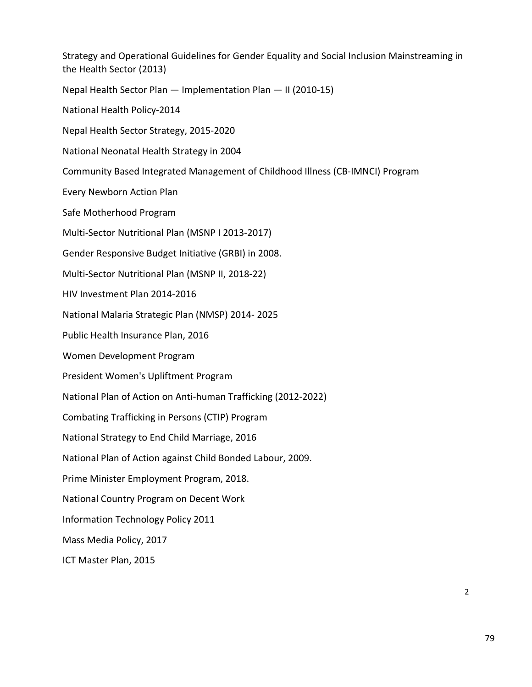Strategy and Operational Guidelines for Gender Equality and Social Inclusion Mainstreaming in the Health Sector (2013) Nepal Health Sector Plan — Implementation Plan — II (2010-15) National Health Policy-2014 Nepal Health Sector Strategy, 2015-2020 National Neonatal Health Strategy in 2004 Community Based Integrated Management of Childhood Illness (CB-IMNCI) Program Every Newborn Action Plan Safe Motherhood Program Multi-Sector Nutritional Plan (MSNP I 2013-2017) Gender Responsive Budget Initiative (GRBI) in 2008. Multi-Sector Nutritional Plan (MSNP II, 2018-22) HIV Investment Plan 2014-2016 National Malaria Strategic Plan (NMSP) 2014- 2025 Public Health Insurance Plan, 2016 Women Development Program President Women's Upliftment Program National Plan of Action on Anti-human Trafficking (2012-2022) Combating Trafficking in Persons (CTIP) Program National Strategy to End Child Marriage, 2016 National Plan of Action against Child Bonded Labour, 2009. Prime Minister Employment Program, 2018. National Country Program on Decent Work Information Technology Policy 2011 Mass Media Policy, 2017 ICT Master Plan, 2015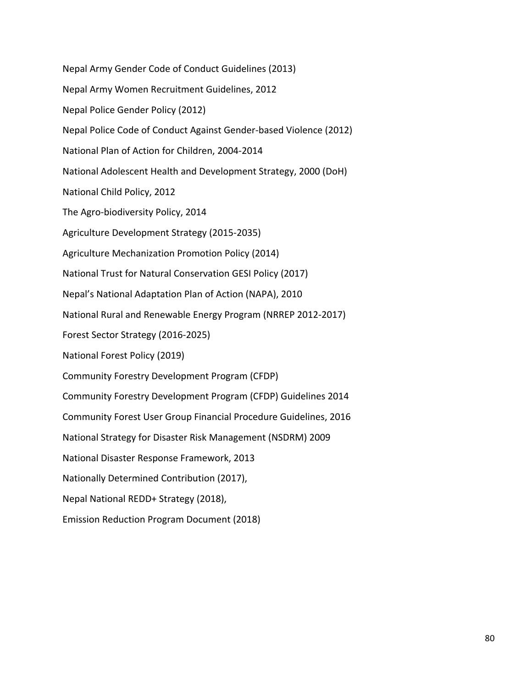Nepal Army Gender Code of Conduct Guidelines (2013) Nepal Army Women Recruitment Guidelines, 2012 Nepal Police Gender Policy (2012) Nepal Police Code of Conduct Against Gender-based Violence (2012) National Plan of Action for Children, 2004-2014 National Adolescent Health and Development Strategy, 2000 (DoH) National Child Policy, 2012 The Agro-biodiversity Policy, 2014 Agriculture Development Strategy (2015-2035) Agriculture Mechanization Promotion Policy (2014) National Trust for Natural Conservation GESI Policy (2017) Nepal's National Adaptation Plan of Action (NAPA), 2010 National Rural and Renewable Energy Program (NRREP 2012-2017) Forest Sector Strategy (2016-2025) National Forest Policy (2019) Community Forestry Development Program (CFDP) Community Forestry Development Program (CFDP) Guidelines 2014 Community Forest User Group Financial Procedure Guidelines, 2016 National Strategy for Disaster Risk Management (NSDRM) 2009 National Disaster Response Framework, 2013 Nationally Determined Contribution (2017), Nepal National REDD+ Strategy (2018), Emission Reduction Program Document (2018)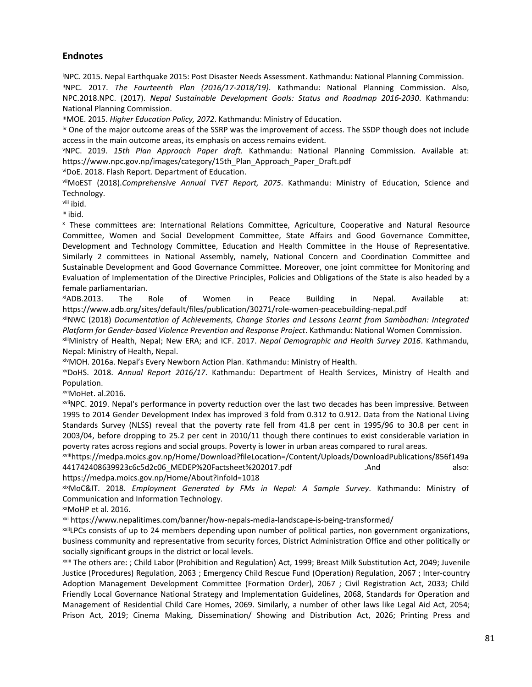#### **Endnotes**

<sup>i</sup>NPC. 2015. Nepal Earthquake 2015: Post Disaster Needs Assessment. Kathmandu: National Planning Commission. iiNPC. 2017. *The Fourteenth Plan (2016/17-2018/19)*. Kathmandu: National Planning Commission. Also, NPC.2018.NPC. (2017). *Nepal Sustainable Development Goals: Status and Roadmap 2016-2030*. Kathmandu: National Planning Commission.

iiiMOE. 2015. *Higher Education Policy, 2072*. Kathmandu: Ministry of Education.

iv One of the major outcome areas of the SSRP was the improvement of access. The SSDP though does not include access in the main outcome areas, its emphasis on access remains evident.

<sup>v</sup>NPC. 2019. *15th Plan Approach Paper draft.* Kathmandu: National Planning Commission. Available at: https://www.npc.gov.np/images/category/15th\_Plan\_Approach\_Paper\_Draft.pdf

viDoE. 2018. Flash Report. Department of Education.

viiMoEST (2018).*Comprehensive Annual TVET Report, 2075*. Kathmandu: Ministry of Education, Science and Technology.

viii ibid.

ix ibid.

<sup>x</sup>These committees are: International Relations Committee, Agriculture, Cooperative and Natural Resource Committee, Women and Social Development Committee, State Affairs and Good Governance Committee, Development and Technology Committee, Education and Health Committee in the House of Representative. Similarly 2 committees in National Assembly, namely, National Concern and Coordination Committee and Sustainable Development and Good Governance Committee. Moreover, one joint committee for Monitoring and Evaluation of Implementation of the Directive Principles, Policies and Obligations of the State is also headed by a female parliamentarian.

xiADB.2013. The Role of Women in Peace Building in Nepal. Available at: https://www.adb.org/sites/default/files/publication/30271/role-women-peacebuilding-nepal.pdf

xiiNWC (2018) *Documentation of Achievements, Change Stories and Lessons Learnt from Sambodhan: Integrated Platform for Gender-based Violence Prevention and Response Project*. Kathmandu: National Women Commission.

xiiiMinistry of Health, Nepal; New ERA; and ICF. 2017. *Nepal Demographic and Health Survey 2016*. Kathmandu, Nepal: Ministry of Health, Nepal.

xivMOH. 2016a. Nepal's Every Newborn Action Plan. Kathmandu: Ministry of Health.

xvDoHS. 2018. *Annual Report 2016/17*. Kathmandu: Department of Health Services, Ministry of Health and Population.

xviMoHet. al.2016.

xviiNPC. 2019. Nepal's performance in poverty reduction over the last two decades has been impressive. Between 1995 to 2014 Gender Development Index has improved 3 fold from 0.312 to 0.912. Data from the National Living Standards Survey (NLSS) reveal that the poverty rate fell from 41.8 per cent in 1995/96 to 30.8 per cent in 2003/04, before dropping to 25.2 per cent in 2010/11 though there continues to exist considerable variation in poverty rates across regions and social groups. Poverty is lower in urban areas compared to rural areas.

xviiihttps://medpa.moics.gov.np/Home/Download?fileLocation=/Content/Uploads/DownloadPublications/856f149a 441742408639923c6c5d2c06\_MEDEP%20Factsheet%202017.pdf .And .And also: https://medpa.moics.gov.np/Home/About?infoId=1018

xixMoC&IT. 2018. *Employment Generated by FMs in Nepal: A Sample Survey*. Kathmandu: Ministry of Communication and Information Technology.

xxMoHP et al. 2016.

xxi https://www.nepalitimes.com/banner/how-nepals-media-landscape-is-being-transformed/

xxiiLPCs consists of up to 24 members depending upon number of political parties, non government organizations, business community and representative from security forces, District Administration Office and other politically or socially significant groups in the district or local levels.

xxiii The others are: ; Child Labor (Prohibition and Regulation) Act, 1999; Breast Milk Substitution Act, 2049; Juvenile Justice (Procedures) Regulation, 2063 ; Emergency Child Rescue Fund (Operation) Regulation, 2067 ; Inter-country Adoption Management Development Committee (Formation Order), 2067 ; Civil Registration Act, 2033; Child Friendly Local Governance National Strategy and Implementation Guidelines, 2068, Standards for Operation and Management of Residential Child Care Homes, 2069. Similarly, a number of other laws like Legal Aid Act, 2054; Prison Act, 2019; Cinema Making, Dissemination/ Showing and Distribution Act, 2026; Printing Press and